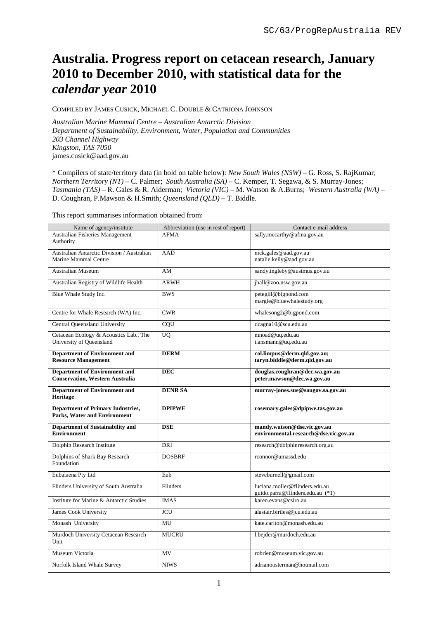# **Australia. Progress report on cetacean research, January 2010 to December 2010, with statistical data for the**  *calendar year* **2010**

COMPILED BY JAMES CUSICK, MICHAEL C. DOUBLE & CATRIONA JOHNSON

*Australian Marine Mammal Centre – Australian Antarctic Division Department of Sustainability, Environment, Water, Population and Communities 203 Channel Highway Kingston, TAS 7050*  james.cusick@aad.gov.au

\* Compilers of state/territory data (in bold on table below): *New South Wales (NSW)* – G. Ross, S. RajKumar; *Northern Territory (NT)* – C. Palmer; *South Australia (SA)* – C. Kemper, T. Segawa, & S. Murray-Jones; *Tasmania (TAS)* – R. Gales & R. Alderman; *Victoria (VIC)* – M. Watson & A.Burns; *Western Australia (WA)* – D. Coughran, P.Mawson & H.Smith; *Queensland (QLD)* – T. Biddle.

This report summarises information obtained from:

| Name of agency/institute                   | Abbreviation (use in rest of report) | Contact e-mail address                                   |  |
|--------------------------------------------|--------------------------------------|----------------------------------------------------------|--|
| <b>Australian Fisheries Management</b>     | <b>AFMA</b>                          | sally.mccarthy@afma.gov.au                               |  |
| Authority                                  |                                      |                                                          |  |
| Australian Antarctic Division / Australian | <b>AAD</b>                           | nick.gales@aad.gov.au                                    |  |
| Marine Mammal Centre                       |                                      | natalie.kelly@aad.gov.au                                 |  |
| <b>Australian Museum</b>                   | AM                                   | sandy.ingleby@austmus.gov.au                             |  |
| Australian Registry of Wildlife Health     | <b>ARWH</b>                          | jhall@zoo.nsw.gov.au                                     |  |
|                                            | <b>BWS</b>                           |                                                          |  |
| Blue Whale Study Inc.                      |                                      | petegill@bigpond.com<br>margie@bluewhalestudy.org        |  |
|                                            |                                      |                                                          |  |
| Centre for Whale Research (WA) Inc.        | <b>CWR</b>                           | whalesong2@bigpond.com                                   |  |
| Central Queensland University              | COU                                  | dcagna10@scu.edu.au                                      |  |
| Cetacean Ecology & Acoustics Lab., The     | <b>UQ</b>                            | mnoad@uq.edu.au                                          |  |
| University of Queensland                   |                                      | i.ansmann@uq.edu.au                                      |  |
| <b>Department of Environment and</b>       | <b>DERM</b>                          | col.limpus@derm.qld.gov.au;                              |  |
| <b>Resource Management</b>                 |                                      | tarvn.biddle@derm.qld.gov.au                             |  |
| <b>Department of Environment and</b>       | <b>DEC</b>                           | douglas.coughran@dec.wa.gov.au                           |  |
| <b>Conservation, Western Australia</b>     |                                      | peter.mawson@dec.wa.gov.au                               |  |
| <b>Department of Environment and</b>       | <b>DENR SA</b>                       | murray-jones.sue@saugov.sa.gov.au                        |  |
| Heritage                                   |                                      |                                                          |  |
| <b>Department of Primary Industries,</b>   | <b>DPIPWE</b>                        | rosemary.gales@dpipwe.tas.gov.au                         |  |
| <b>Parks, Water and Environment</b>        |                                      |                                                          |  |
| <b>Department of Sustainability and</b>    | <b>DSE</b>                           | mandy.watson@dse.vic.gov.au                              |  |
| <b>Environment</b>                         |                                      | environmental.research@dse.vic.gov.au                    |  |
| Dolphin Research Institute                 | DRI                                  | research@dolphinresearch.org.au                          |  |
| Dolphins of Shark Bay Research             | <b>DOSBRF</b>                        | rconnor@umassd.edu                                       |  |
| Foundation                                 |                                      |                                                          |  |
| Eubalaena Pty Ltd                          | Eub                                  | steveburnell@gmail.com                                   |  |
|                                            |                                      |                                                          |  |
| Flinders University of South Australia     | Flinders                             | luciana.moller@flinders.edu.au                           |  |
| Institute for Marine & Antarctic Studies   | <b>IMAS</b>                          | guido.parra@flinders.edu.au (*1)<br>karen.evans@csiro.au |  |
|                                            |                                      |                                                          |  |
| James Cook University                      | <b>JCU</b>                           | alastair.birtles@jcu.edu.au                              |  |
| Monash University                          | MU                                   | kate.carlton@monash.edu.au                               |  |
| Murdoch University Cetacean Research       | MUCRU                                | 1.bejder@murdoch.edu.au                                  |  |
| Unit                                       |                                      |                                                          |  |
| Museum Victoria                            | MV                                   | robrien@museum.vic.gov.au                                |  |
| Norfolk Island Whale Survey                | <b>NIWS</b>                          | adrianoosterman@hotmail.com                              |  |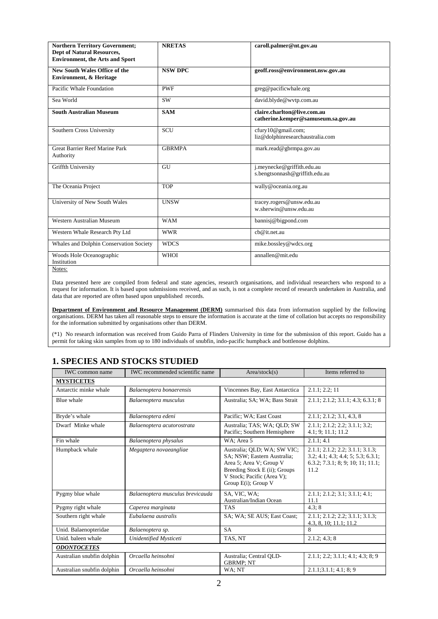| <b>Northern Territory Government;</b><br><b>Dept of Natural Resources,</b><br><b>Environment, the Arts and Sport</b> | <b>NRETAS</b>  | caroll.palmer@nt.gov.au                                            |
|----------------------------------------------------------------------------------------------------------------------|----------------|--------------------------------------------------------------------|
| <b>New South Wales Office of the</b><br><b>Environment, &amp; Heritage</b>                                           | <b>NSW DPC</b> | geoff.ross@environment.nsw.gov.au                                  |
| Pacific Whale Foundation                                                                                             | <b>PWF</b>     | greg@pacificwhale.org                                              |
| Sea World                                                                                                            | <b>SW</b>      | david.blyde@wvtp.com.au                                            |
| <b>South Australian Museum</b>                                                                                       | <b>SAM</b>     | claire.charlton@live.com.au<br>catherine.kemper@samuseum.sa.gov.au |
| Southern Cross University                                                                                            | <b>SCU</b>     | cfury10@gmail.com;<br>liz@dolphinresearchaustralia.com             |
| <b>Great Barrier Reef Marine Park</b><br>Authority                                                                   | <b>GBRMPA</b>  | mark.read@gbrmpa.gov.au                                            |
| Griffth University                                                                                                   | GU             | j.meynecke@griffith.edu.au<br>s.bengtsonnash@griffith.edu.au       |
| The Oceania Project                                                                                                  | <b>TOP</b>     | wally@oceania.org.au                                               |
| University of New South Wales                                                                                        | <b>UNSW</b>    | tracey.rogers@unsw.edu.au<br>w.sherwin@unsw.edu.au                 |
| Western Australian Museum                                                                                            | <b>WAM</b>     | bannisj@bigpond.com                                                |
| Western Whale Research Pty Ltd                                                                                       | <b>WWR</b>     | cb@it.net.au                                                       |
| Whales and Dolphin Conservation Society                                                                              | <b>WDCS</b>    | mike.bossley@wdcs.org                                              |
| Woods Hole Oceanographic<br>Institution<br>Notes:                                                                    | <b>WHOI</b>    | annallen@mit.edu                                                   |

Data presented here are compiled from federal and state agencies, research organisations, and individual researchers who respond to a request for information. It is based upon submissions received, and as such, is not a complete record of research undertaken in Australia, and data that are reported are often based upon unpublished records.

**Department of Environment and Resource Management (DERM)** summarised this data from information supplied by the following organisations. DERM has taken all reasonable steps to ensure the information is accurate at the time of collation but accepts no responsibility for the information submitted by organisations other than DERM.

(\*1) No research information was received from Guido Parra of Flinders University in time for the submission of this report. Guido has a permit for taking skin samples from up to 180 individuals of snubfin, indo-pacific humpback and bottlenose dolphins.

### **1. SPECIES AND STOCKS STUDIED**

| IWC common name            | <b>IWC</b> recommended scientific name | Area/stock(s)                                                                                                                                                               | Items referred to                                                                                                                        |
|----------------------------|----------------------------------------|-----------------------------------------------------------------------------------------------------------------------------------------------------------------------------|------------------------------------------------------------------------------------------------------------------------------------------|
| <b>MYSTICETES</b>          |                                        |                                                                                                                                                                             |                                                                                                                                          |
| Antarctic minke whale      | Balaenoptera bonaerensis               | Vincennes Bay, East Antarctica                                                                                                                                              | 2.1.1; 2.2; 11                                                                                                                           |
| <b>Blue</b> whale          | Balaenoptera musculus                  | Australia; SA; WA; Bass Strait                                                                                                                                              | 2.1.1; 2.1.2; 3.1.1; 4.3; 6.3.1; 8                                                                                                       |
| Bryde's whale              | Balaenoptera edeni                     | Pacific: WA: East Coast                                                                                                                                                     | 2.1.1; 2.1.2; 3.1, 4.3, 8                                                                                                                |
| Dwarf Minke whale          | Balaenoptera acutorostrata             | Australia; TAS; WA; OLD; SW<br>Pacific; Southern Hemisphere                                                                                                                 | 2.1.1; 2.1.2; 2.2; 3.1.1; 3.2;<br>4.1; 9; 11.1; 11.2                                                                                     |
| Fin whale                  | Balaenoptera physalus                  | WA: Area 5                                                                                                                                                                  | 2.1.1:4.1                                                                                                                                |
| Humpback whale             | Megaptera novaeangliae                 | Australia; QLD; WA; SW VIC;<br>SA; NSW; Eastern Australia;<br>Area 5; Area V; Group V<br>Breeding Stock E (ii); Groups<br>V Stock; Pacific (Area V);<br>Group E(i); Group V | 2.1.1; 2.1.2; 2.2; 3.1.1; 3.1.3;<br>3.2; 4.1; 4.3; 4.4; 5; 5.3; 6.3.1;<br>$6.3.2$ ; $7.3.1$ ; $8$ ; $9$ ; $10$ ; $11$ ; $11.1$ ;<br>11.2 |
| Pygmy blue whale           | Balaenoptera musculus brevicauda       | SA, VIC, WA:<br>Australian/Indian Ocean                                                                                                                                     | 2.1.1; 2.1.2; 3.1; 3.1.1; 4.1;<br>11.1                                                                                                   |
| Pygmy right whale          | Caperea marginata                      | <b>TAS</b>                                                                                                                                                                  | 4.3:8                                                                                                                                    |
| Southern right whale       | Eubalaena australis                    | SA; WA; SE AUS; East Coast;                                                                                                                                                 | 2.1.1; 2.1.2; 2.2; 3.1.1; 3.1.3;<br>4.3, 8, 10; 11.1; 11.2                                                                               |
| Unid. Balaenopteridae      | Balaenoptera sp.                       | <b>SA</b>                                                                                                                                                                   | 8                                                                                                                                        |
| Unid, baleen whale         | Unidentified Mysticeti                 | TAS, NT                                                                                                                                                                     | 2.1.2; 4.3; 8                                                                                                                            |
| <b>ODONTOCETES</b>         |                                        |                                                                                                                                                                             |                                                                                                                                          |
| Australian snubfin dolphin | Orcaella heinsohni                     | Australia; Central QLD-<br><b>GBRMP</b> ; NT                                                                                                                                | 2.1.1; 2.2; 3.1.1; 4.1; 4.3; 8; 9                                                                                                        |
| Australian snubfin dolphin | Orcaella heinsohni                     | WA: NT                                                                                                                                                                      | 2.1.1; 3.1.1; 4.1; 8; 9                                                                                                                  |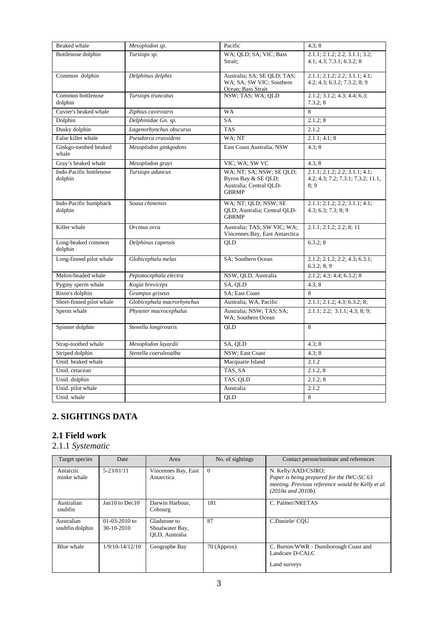| <b>Beaked</b> whale                | Mesoplodon sp.             | Pacific                                                                                    | 4.3:8                                                                       |
|------------------------------------|----------------------------|--------------------------------------------------------------------------------------------|-----------------------------------------------------------------------------|
| Bottlenose dolphin                 | Tursiops sp.               | WA; QLD; SA; VIC; Bass<br>Strait:                                                          | 2.1.1; 2.1.2; 2.2, 3.1.1; 3.2;<br>4.1; 4.3; 7.3.1; 6.3.2; 8                 |
| Common dolphin                     | Delphinus delphis          | Australia; SA; SE QLD; TAS;<br>WA; SA; SW VIC; Southern<br>Ocean; Bass Strait              | 2.1.1; 2.1.2; 2.2; 3.1.1; 4.1;<br>4.2; 4.3; 6.3.2; 7.3.2; 8; 9              |
| Common bottlenose<br>dolphin       | Tursiops truncatus         | NSW; TAS; WA; QLD                                                                          | 2.1.2; 3.1.2; 4.3; 4.4; 6.3;<br>7.3.2; 8                                    |
| Cuvier's beaked whale              | Ziphius cavirostris        | WA                                                                                         | 8                                                                           |
| Dolphin                            | Delphinidae Gn. sp.        | <b>SA</b>                                                                                  | 2.1.2; 8                                                                    |
| Dusky dolphin                      | Lagenorhynchus obscurus    | <b>TAS</b>                                                                                 | 2.1.2                                                                       |
| False killer whale                 | Pseudorca crassidens       | WA; NT                                                                                     | 2.1.1; 4.1; 8                                                               |
| Ginkgo-toothed beaked<br>whale     | Mesoplodon ginkgodens      | East Coast Australia, NSW                                                                  | 4.3:8                                                                       |
| Gray's beaked whale                | Mesoplodon grayi           | VIC; WA; SW VC                                                                             | 4.3, 8                                                                      |
| Indo-Pacific bottlenose<br>dolphin | Tursiops aduncus           | WA; NT; SA; NSW; SE QLD;<br>Byron Bay & SE QLD;<br>Australia; Central QLD-<br><b>GBRMP</b> | 2.1.1; 2.1.2; 2.2; 3.1.1; 4.1;<br>4.2; 4.3; 7.2; 7.3.1; 7.3.2; 11.1,<br>8:9 |
| Indo-Pacific humpback<br>dolphin   | Sousa chinensis            | WA; NT; QLD; NSW; SE<br>QLD; Australia; Central QLD-<br><b>GBRMP</b>                       | 2.1.1; 2.1.2; 2.2; 3.1.1; 4.1;<br>4.3; 6.3; 7.3; 8; 9                       |
| Killer whale                       | Orcinus orca               | Australia; TAS; SW VIC; WA;<br>Vincennes Bay, East Antarctica                              | 2.1.1; 2.1.2; 2.2; 8; 11                                                    |
| Long-beaked common<br>dolphin      | Delphinus capensis         | <b>OLD</b>                                                                                 | 6.3.2;8                                                                     |
| Long-finned pilot whale            | Globicephala melas         | SA; Southern Ocean                                                                         | 2.1.2; 2.1.2; 2.2; 4.3; 6.3.1;<br>6.3.2; 8; 9                               |
| Melon-headed whale                 | Peponocephala electra      | NSW, QLD, Australia                                                                        | 2.1.2; 4.3; 4.4; 6.3.2; 8                                                   |
| Pygmy sperm whale                  | Kogia breviceps            | SA, OLD                                                                                    | 4.3.8                                                                       |
| Risso's dolphin                    | Grampus griseus            | SA; East Coast                                                                             | 8                                                                           |
| Short-finned pilot whale           | Globicephala macrorhynchus | Australia, WA, Pacific                                                                     | 2.1.1; 2.1.2; 4.3; 6.3.2; 8;                                                |
| Sperm whale                        | Physeter macrocephalus     | Australia; NSW; TAS; SA;<br>WA: Southern Ocean                                             | 2.1.1; 2.2; 3.1.1; 4.3; 8; 9;                                               |
| Spinner dolphin                    | Stenella longirostris      | QLD                                                                                        | 8                                                                           |
| Strap-toothed whale                | Mesoplodon layardii        | SA, QLD                                                                                    | 4.3; 8                                                                      |
| Striped dolphin                    | Stenella coeruleoalba      | NSW; East Coast                                                                            | 4.3; 8                                                                      |
| Unid. beaked whale                 |                            | Macquarie Island                                                                           | 2.1.2                                                                       |
| Unid. cetacean                     |                            | TAS, SA                                                                                    | 2.1.2, 8                                                                    |
| Unid. dolphin                      |                            | TAS, QLD                                                                                   | 2.1.2; 8                                                                    |
| Unid. pilot whale                  |                            | Australia                                                                                  | 2.1.2                                                                       |
| Unid. whale                        |                            | $\overline{QLD}$                                                                           | 8                                                                           |

## **2. SIGHTINGS DATA**

## **2.1 Field work**

## 2.1.1 *Systematic*

| Target species                | Date                            | Area                                              | No. of sightings | Contact person/institute and references                                                                                                          |
|-------------------------------|---------------------------------|---------------------------------------------------|------------------|--------------------------------------------------------------------------------------------------------------------------------------------------|
| Antarctic<br>minke whale      | $5 - 23/01/11$                  | Vincennes Bay, East<br>Antarctica                 | $\Omega$         | N. Kelly/AAD/CSIRO:<br>Paper is being prepared for the IWC-SC 63<br>meeting. Previous reference would be Kelly et al.<br>$(2010a$ and $2010b)$ . |
| Australian<br>snubfin         | Jan10 to Dec10                  | Darwin Harbour,<br>Cobourg                        | 181              | C. Palmer/NRETAS                                                                                                                                 |
| Australian<br>snubfin dolphin | $01-03-2010$ to<br>$30-10-2010$ | Gladstone to<br>Shoalwater Bay,<br>OLD, Australia | 87               | C.Daniele/COU                                                                                                                                    |
| Blue whale                    | $1/9/10 - 14/12/10$             | Geographe Bay                                     | 70 (Approx)      | C. Burton/WWR - Dunsborough Coast and<br>Landcare D-CALC<br>Land surveys                                                                         |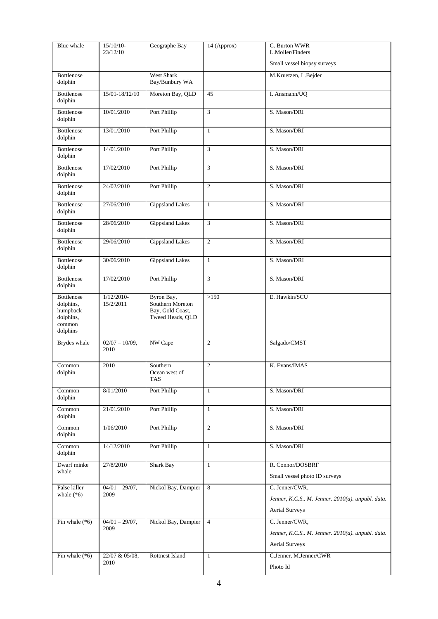| Blue whale                                                             | 15/10/10-<br>23/12/10     | Geographe Bay                                                          | 14 (Approx)    | C. Burton WWR<br>L.Moller/Finders                 |
|------------------------------------------------------------------------|---------------------------|------------------------------------------------------------------------|----------------|---------------------------------------------------|
|                                                                        |                           |                                                                        |                | Small vessel biopsy surveys                       |
| Bottlenose                                                             |                           | <b>West Shark</b>                                                      |                | M.Kruetzen, L.Bejder                              |
| dolphin                                                                |                           | Bay/Bunbury WA                                                         |                |                                                   |
| <b>Bottlenose</b><br>dolphin                                           | 15/01-18/12/10            | Moreton Bay, QLD                                                       | 45             | I. Ansmann/UQ                                     |
| Bottlenose<br>dolphin                                                  | 10/01/2010                | Port Phillip                                                           | 3              | S. Mason/DRI                                      |
| Bottlenose<br>dolphin                                                  | 13/01/2010                | Port Phillip                                                           | $\mathbf{1}$   | S. Mason/DRI                                      |
| Bottlenose<br>dolphin                                                  | 14/01/2010                | Port Phillip                                                           | 3              | S. Mason/DRI                                      |
| Bottlenose<br>dolphin                                                  | 17/02/2010                | Port Phillip                                                           | 3              | S. Mason/DRI                                      |
| Bottlenose<br>dolphin                                                  | 24/02/2010                | Port Phillip                                                           | $\overline{2}$ | S. Mason/DRI                                      |
| Bottlenose<br>dolphin                                                  | 27/06/2010                | <b>Gippsland Lakes</b>                                                 | $\mathbf{1}$   | S. Mason/DRI                                      |
| Bottlenose<br>dolphin                                                  | 28/06/2010                | <b>Gippsland Lakes</b>                                                 | 3              | S. Mason/DRI                                      |
| Bottlenose<br>dolphin                                                  | 29/06/2010                | <b>Gippsland Lakes</b>                                                 | $\overline{2}$ | S. Mason/DRI                                      |
| Bottlenose<br>dolphin                                                  | 30/06/2010                | <b>Gippsland Lakes</b>                                                 | $\mathbf{1}$   | S. Mason/DRI                                      |
| Bottlenose<br>dolphin                                                  | 17/02/2010                | Port Phillip                                                           | 3              | S. Mason/DRI                                      |
| Bottlenose<br>dolphins,<br>humpback<br>dolphins,<br>common<br>dolphins | $1/12/2010-$<br>15/2/2011 | Byron Bay,<br>Southern Moreton<br>Bay, Gold Coast,<br>Tweed Heads, QLD | >150           | E. Hawkin/SCU                                     |
| Brydes whale                                                           | $02/07 - 10/09$ ,<br>2010 | NW Cape                                                                | $\overline{2}$ | Salgado/CMST                                      |
| Common<br>dolphin                                                      | 2010                      | Southern<br>Ocean west of<br><b>TAS</b>                                | $\overline{2}$ | K. Evans/IMAS                                     |
| Common<br>dolphin                                                      | 8/01/2010                 | Port Phillip                                                           | $\mathbf{1}$   | S. Mason/DRI                                      |
| Common<br>dolphin                                                      | 21/01/2010                | Port Phillip                                                           | $\mathbf{1}$   | S. Mason/DRI                                      |
| Common<br>dolphin                                                      | 1/06/2010                 | Port Phillip                                                           | $\overline{c}$ | S. Mason/DRI                                      |
| Common<br>dolphin                                                      | 14/12/2010                | Port Phillip                                                           | $\mathbf{1}$   | S. Mason/DRI                                      |
| Dwarf minke<br>whale                                                   | 27/8/2010                 | Shark Bay                                                              | $\mathbf{1}$   | R. Connor/DOSBRF<br>Small vessel photo ID surveys |
| False killer                                                           | $04/01 - 29/07$ ,         | Nickol Bay, Dampier                                                    | 8              | C. Jenner/CWR,                                    |
| whale $(*6)$                                                           | 2009                      |                                                                        |                | Jenner, K.C.S M. Jenner. 2010(a). unpubl. data.   |
|                                                                        |                           |                                                                        |                | <b>Aerial Surveys</b>                             |
| Fin whale $(*6)$                                                       | $04/01 - 29/07,$          | Nickol Bay, Dampier                                                    | $\overline{4}$ | C. Jenner/CWR,                                    |
|                                                                        | 2009                      |                                                                        |                | Jenner, K.C.S M. Jenner. 2010(a). unpubl. data.   |
|                                                                        |                           |                                                                        |                | <b>Aerial Surveys</b>                             |
| Fin whale $(*6)$                                                       | 22/07 & 05/08,            | <b>Rottnest Island</b>                                                 | $\mathbf{1}$   | C.Jenner, M.Jenner/CWR                            |
|                                                                        | 2010                      |                                                                        |                | Photo Id                                          |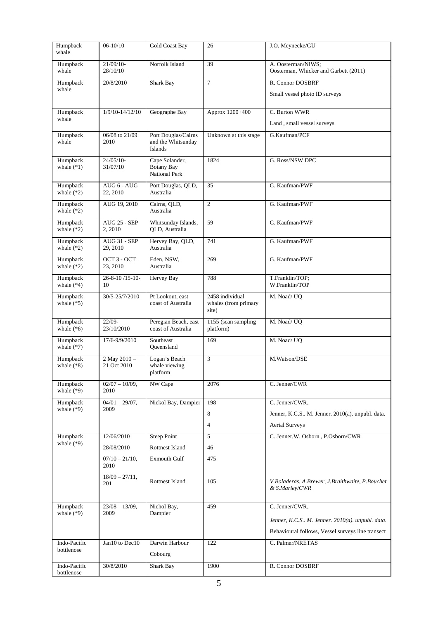| Humpback<br>whale          | $06 - 10/10$                    | <b>Gold Coast Bay</b>                                | 26                                               | J.O. Meynecke/GU                                                  |
|----------------------------|---------------------------------|------------------------------------------------------|--------------------------------------------------|-------------------------------------------------------------------|
| Humpback<br>whale          | 21/09/10-<br>28/10/10           | Norfolk Island                                       | 39                                               | A. Oosterman/NIWS;<br>Oosterman, Whicker and Garbett (2011)       |
| Humpback                   | 20/8/2010                       | Shark Bay                                            | $\overline{7}$                                   | R. Connor DOSBRF                                                  |
| whale                      |                                 |                                                      |                                                  | Small vessel photo ID surveys                                     |
| Humpback                   | $1/9/10 - 14/12/10$             | Geographe Bay                                        | Approx 1200+400                                  | C. Burton WWR                                                     |
| whale                      |                                 |                                                      |                                                  | Land, small vessel surveys                                        |
| Humpback<br>whale          | 06/08 to 21/09<br>2010          | Port Douglas/Cairns<br>and the Whitsunday<br>Islands | Unknown at this stage                            | G.Kaufman/PCF                                                     |
| Humpback<br>whale $(*1)$   | $24/05/10-$<br>31/07/10         | Cape Solander,<br><b>Botany Bay</b><br>National Perk | 1824                                             | G. Ross/NSW DPC                                                   |
| Humpback<br>whale $(*2)$   | AUG 6 - AUG<br>22, 2010         | Port Douglas, QLD,<br>Australia                      | $\overline{35}$                                  | G. Kaufman/PWF                                                    |
| Humpback<br>whale $(*2)$   | AUG 19, 2010                    | Cairns, QLD,<br>Australia                            | 2                                                | G. Kaufman/PWF                                                    |
| Humpback<br>whale $(*2)$   | <b>AUG 25 - SEP</b><br>2, 2010  | Whitsunday Islands,<br>QLD, Australia                | 59                                               | G. Kaufman/PWF                                                    |
| Humpback<br>whale $(*2)$   | <b>AUG 31 - SEP</b><br>29, 2010 | Hervey Bay, QLD,<br>Australia                        | 741                                              | G. Kaufman/PWF                                                    |
| Humpback<br>whale $(*2)$   | OCT 3 - OCT<br>23, 2010         | Eden, NSW,<br>Australia                              | 269                                              | G. Kaufman/PWF                                                    |
| Humpback<br>whale $(*4)$   | $26 - 8 - 10 / 15 - 10 -$<br>10 | <b>Hervey Bay</b>                                    | 788                                              | T.Franklin/TOP;<br>W.Franklin/TOP                                 |
| Humpback<br>whale $(*5)$   | 30/5-25/7/2010                  | Pt Lookout, east<br>coast of Australia               | 2458 individual<br>whales (from primary<br>site) | M. Noad/ UQ                                                       |
| Humpback<br>whale $(*6)$   | $22/09 -$<br>23/10/2010         | Peregian Beach, east<br>coast of Australia           | 1155 (scan sampling<br>platform)                 | M. Noad/ UQ                                                       |
| Humpback<br>whale $(*7)$   | 17/6-9/9/2010                   | Southeast<br>Queensland                              | 169                                              | M. Noad/ UQ                                                       |
| Humpback<br>whale $(*8)$   | 2 May 2010 -<br>21 Oct 2010     | Logan's Beach<br>whale viewing<br>platform           | 3                                                | M.Watson/DSE                                                      |
| Humpback<br>whale $(*9)$   | $02/07 - 10/09$ ,<br>2010       | NW Cape                                              | 2076                                             | C. Jenner/CWR                                                     |
| Humpback                   | $04/01 - 29/07,$                | Nickol Bay, Dampier                                  | 198                                              | C. Jenner/CWR,                                                    |
| whale $(*9)$               | 2009                            |                                                      | 8                                                | Jenner, K.C.S M. Jenner. 2010(a). unpubl. data.                   |
|                            |                                 |                                                      | $\overline{4}$                                   | <b>Aerial Surveys</b>                                             |
| Humpback                   | 12/06/2010                      | Steep Point                                          | 5                                                | C. Jenner, W. Osborn, P.Osborn/CWR                                |
| whale $(*9)$               | 28/08/2010                      | Rottnest Island                                      | 46                                               |                                                                   |
|                            | $07/10 - 21/10$ ,<br>2010       | Exmouth Gulf                                         | 475                                              |                                                                   |
|                            | $18/09 - 27/11$ ,<br>201        | Rottnest Island                                      | 105                                              | V.Boladeras, A.Brewer, J.Braithwaite, P.Bouchet<br>& S.Marley/CWR |
| Humpback                   | $23/08 - 13/09$ ,               | Nichol Bay,                                          | 459                                              | C. Jenner/CWR,                                                    |
| whale $(*9)$               | 2009                            | Dampier                                              |                                                  | Jenner, K.C.S M. Jenner. 2010(a). unpubl. data.                   |
|                            |                                 |                                                      |                                                  | Behavioural follows, Vessel surveys line transect                 |
| Indo-Pacific               | Jan10 to Dec10                  | Darwin Harbour                                       | 122                                              | C. Palmer/NRETAS                                                  |
| bottlenose                 |                                 | Cobourg                                              |                                                  |                                                                   |
| Indo-Pacific<br>bottlenose | 30/8/2010                       | Shark Bay                                            | 1900                                             | R. Connor DOSBRF                                                  |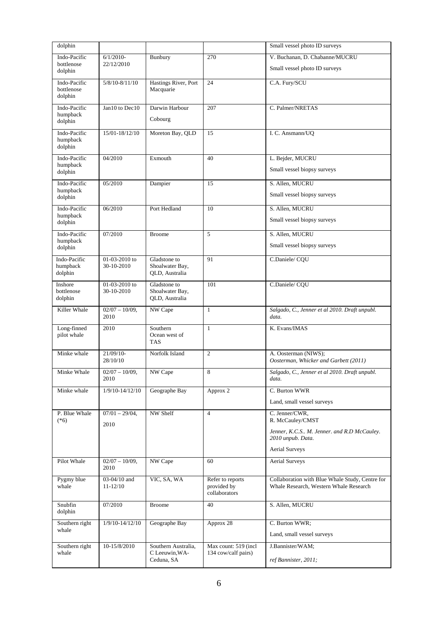| dolphin                               |                                |                                                     |                                                  | Small vessel photo ID surveys                                                             |
|---------------------------------------|--------------------------------|-----------------------------------------------------|--------------------------------------------------|-------------------------------------------------------------------------------------------|
| Indo-Pacific                          | $6/1/2010-$                    | Bunbury                                             | 270                                              | V. Buchanan, D. Chabanne/MUCRU                                                            |
| bottlenose<br>dolphin                 | 22/12/2010                     |                                                     |                                                  | Small vessel photo ID surveys                                                             |
| Indo-Pacific<br>bottlenose<br>dolphin | $5/8/10-8/11/10$               | Hastings River, Port<br>Macquarie                   | 24                                               | C.A. Fury/SCU                                                                             |
| Indo-Pacific<br>humpback<br>dolphin   | Jan10 to Dec10                 | Darwin Harbour<br>Cobourg                           | 207                                              | C. Palmer/NRETAS                                                                          |
| Indo-Pacific<br>humpback<br>dolphin   | 15/01-18/12/10                 | Moreton Bay, QLD                                    | 15                                               | I. C. Ansmann/UQ                                                                          |
| Indo-Pacific<br>humpback<br>dolphin   | 04/2010                        | Exmouth                                             | 40                                               | L. Bejder, MUCRU<br>Small vessel biopsy surveys                                           |
| Indo-Pacific<br>humpback<br>dolphin   | 05/2010                        | Dampier                                             | 15                                               | S. Allen, MUCRU<br>Small vessel biopsy surveys                                            |
| Indo-Pacific                          | 06/2010                        | Port Hedland                                        | 10                                               | S. Allen, MUCRU                                                                           |
| humpback<br>dolphin                   |                                |                                                     |                                                  | Small vessel biopsy surveys                                                               |
| Indo-Pacific                          | 07/2010                        | <b>Broome</b>                                       | 5                                                | S. Allen, MUCRU                                                                           |
| humpback<br>dolphin                   |                                |                                                     |                                                  | Small vessel biopsy surveys                                                               |
| Indo-Pacific<br>humpback<br>dolphin   | $01-03-2010$ to<br>30-10-2010  | Gladstone to<br>Shoalwater Bay,<br>QLD, Australia   | 91                                               | C.Daniele/CQU                                                                             |
| Inshore<br>bottlenose<br>dolphin      | $01-03-2010$ to<br>30-10-2010  | Gladstone to<br>Shoalwater Bay,<br>QLD, Australia   | 101                                              | C.Daniele/CQU                                                                             |
| Killer Whale                          | $02/07 - 10/09$ ,<br>2010      | NW Cape                                             | $\mathbf{1}$                                     | Salgado, C., Jenner et al 2010. Draft unpubl.<br>data.                                    |
| Long-finned<br>pilot whale            | 2010                           | Southern<br>Ocean west of<br><b>TAS</b>             | $\mathbf{1}$                                     | K. Evans/IMAS                                                                             |
| Minke whale                           | 21/09/10-<br>28/10/10          | Norfolk Island                                      | $\overline{2}$                                   | A. Oosterman (NIWS);<br>Oosterman, Whicker and Garbett (2011)                             |
| Minke Whale                           | $02/07 - 10/09$ ,<br>2010      | NW Cape                                             | 8                                                | Salgado, C., Jenner et al 2010. Draft unpubl.<br>data.                                    |
| Minke whale                           | $1/9/10 - 14/12/10$            | Geographe Bay                                       | Approx 2                                         | C. Burton WWR                                                                             |
|                                       |                                |                                                     |                                                  | Land, small vessel surveys                                                                |
| P. Blue Whale<br>$(*6)$               | $07/01 - 29/04,$<br>2010       | NW Shelf                                            | $\overline{4}$                                   | C. Jenner/CWR,<br>R. McCauley/CMST                                                        |
|                                       |                                |                                                     |                                                  | Jenner, K.C.S., M. Jenner, and R.D McCauley.<br>2010 unpub. Data.                         |
|                                       |                                |                                                     |                                                  | <b>Aerial Surveys</b>                                                                     |
| Pilot Whale                           | $02/07 - 10/09$ ,<br>2010      | NW Cape                                             | 60                                               | <b>Aerial Surveys</b>                                                                     |
| Pygmy blue<br>whale                   | $03-04/10$ and<br>$11 - 12/10$ | VIC, SA, WA                                         | Refer to reports<br>provided by<br>collaborators | Collaboration with Blue Whale Study, Centre for<br>Whale Research, Western Whale Research |
| Snubfin<br>dolphin                    | 07/2010                        | <b>Broome</b>                                       | 40                                               | S. Allen, MUCRU                                                                           |
| Southern right<br>whale               | $1/9/10 - 14/12/10$            | Geographe Bay                                       | Approx 28                                        | C. Burton WWR;<br>Land, small vessel surveys                                              |
|                                       |                                |                                                     | Max count: 519 (incl.                            |                                                                                           |
| Southern right<br>whale               | 10-15/8/2010                   | Southern Australia,<br>C Leeuwin, WA-<br>Ceduna, SA | 134 cow/calf pairs)                              | J.Bannister/WAM;<br>ref Bannister, 2011;                                                  |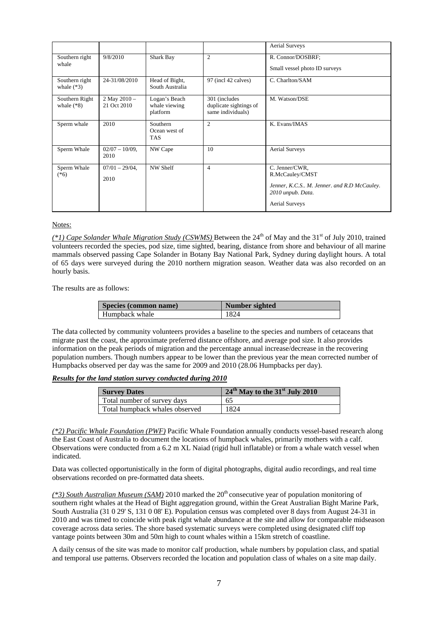|                                |                               |                                            |                                                               | <b>Aerial Surveys</b>                                                                                                           |
|--------------------------------|-------------------------------|--------------------------------------------|---------------------------------------------------------------|---------------------------------------------------------------------------------------------------------------------------------|
| Southern right<br>whale        | 9/8/2010                      | Shark Bay                                  | $\overline{2}$                                                | R. Connor/DOSBRF;<br>Small vessel photo ID surveys                                                                              |
| Southern right<br>whale $(*3)$ | 24-31/08/2010                 | Head of Bight,<br>South Australia          | 97 (incl 42 calves)                                           | C. Charlton/SAM                                                                                                                 |
| Southern Right<br>whale $(*8)$ | 2 May $2010 -$<br>21 Oct 2010 | Logan's Beach<br>whale viewing<br>platform | 301 (includes)<br>duplicate sightings of<br>same individuals) | M. Watson/DSE                                                                                                                   |
| Sperm whale                    | 2010                          | Southern<br>Ocean west of<br><b>TAS</b>    | $\mathfrak{D}$                                                | K. Evans/IMAS                                                                                                                   |
| Sperm Whale                    | $02/07 - 10/09$ ,<br>2010     | NW Cape                                    | 10                                                            | <b>Aerial Surveys</b>                                                                                                           |
| Sperm Whale<br>$(*6)$          | $07/01 - 29/04$ ,<br>2010     | NW Shelf                                   | $\overline{4}$                                                | C. Jenner/CWR,<br>R.McCauley/CMST<br>Jenner, K.C.S., M. Jenner, and R.D McCauley.<br>2010 unpub. Data.<br><b>Aerial Surveys</b> |

*(\*1) Cape Solander Whale Migration Study (CSWMS)* Between the 24<sup>th</sup> of May and the 31<sup>st</sup> of July 2010, trained volunteers recorded the species, pod size, time sighted, bearing, distance from shore and behaviour of all marine mammals observed passing Cape Solander in Botany Bay National Park, Sydney during daylight hours. A total of 65 days were surveyed during the 2010 northern migration season. Weather data was also recorded on an hourly basis.

The results are as follows:

| Species (common name) | Number sighted |
|-----------------------|----------------|
| Humpback whale        | 1824           |

The data collected by community volunteers provides a baseline to the species and numbers of cetaceans that migrate past the coast, the approximate preferred distance offshore, and average pod size. It also provides information on the peak periods of migration and the percentage annual increase/decrease in the recovering population numbers. Though numbers appear to be lower than the previous year the mean corrected number of Humpbacks observed per day was the same for 2009 and 2010 (28.06 Humpbacks per day).

#### *Results for the land station survey conducted during 2010*

| <b>Survey Dates</b>            | $24th$ May to the 31 <sup>st</sup> July 2010 |
|--------------------------------|----------------------------------------------|
| Total number of survey days    | 65                                           |
| Total humpback whales observed | 1824                                         |

*(\*2) Pacific Whale Foundation (PWF)* Pacific Whale Foundation annually conducts vessel-based research along the East Coast of Australia to document the locations of humpback whales, primarily mothers with a calf. Observations were conducted from a 6.2 m XL Naiad (rigid hull inflatable) or from a whale watch vessel when indicated.

Data was collected opportunistically in the form of digital photographs, digital audio recordings, and real time observations recorded on pre-formatted data sheets.

*(\*3) South Australian Museum (SAM)* 2010 marked the 20<sup>th</sup> consecutive year of population monitoring of southern right whales at the Head of Bight aggregation ground, within the Great Australian Bight Marine Park, South Australia (31 0 29' S, 131 0 08' E). Population census was completed over 8 days from August 24-31 in 2010 and was timed to coincide with peak right whale abundance at the site and allow for comparable midseason coverage across data series. The shore based systematic surveys were completed using designated cliff top vantage points between 30m and 50m high to count whales within a 15km stretch of coastline.

A daily census of the site was made to monitor calf production, whale numbers by population class, and spatial and temporal use patterns. Observers recorded the location and population class of whales on a site map daily.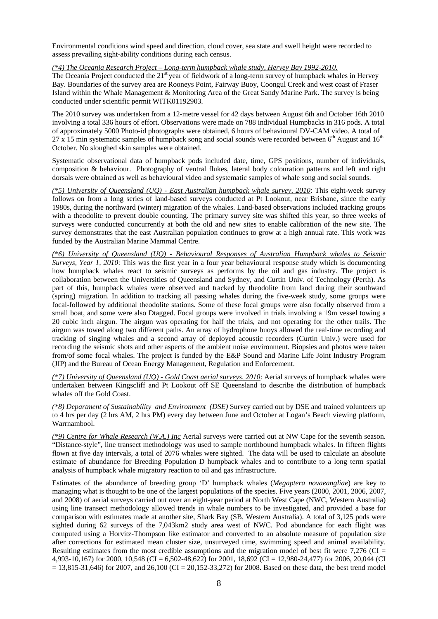Environmental conditions wind speed and direction, cloud cover, sea state and swell height were recorded to assess prevailing sight-ability conditions during each census.

#### *(\*4) The Oceania Research Project – Long-term humpback whale study, Hervey Bay 1992-2010.*

The Oceania Project conducted the  $21<sup>st</sup>$  year of fieldwork of a long-term survey of humpback whales in Hervey Bay. Boundaries of the survey area are Rooneys Point, Fairway Buoy, Coongul Creek and west coast of Fraser Island within the Whale Management & Monitoring Area of the Great Sandy Marine Park. The survey is being conducted under scientific permit WITK01192903.

The 2010 survey was undertaken from a 12-metre vessel for 42 days between August 6th and October 16th 2010 involving a total 336 hours of effort. Observations were made on 788 individual Humpbacks in 316 pods. A total of approximately 5000 Photo-id photographs were obtained, 6 hours of behavioural DV-CAM video. A total of  $27 \times 15$  min systematic samples of humpback song and social sounds were recorded between 6<sup>th</sup> August and 16<sup>th</sup> October. No sloughed skin samples were obtained.

Systematic observational data of humpback pods included date, time, GPS positions, number of individuals, composition & behaviour. Photography of ventral flukes, lateral body colouration patterns and left and right dorsals were obtained as well as behavioural video and systematic samples of whale song and social sounds.

*(\*5) University of Queensland (UQ) - East Australian humpback whale survey, 2010*: This eight-week survey follows on from a long series of land-based surveys conducted at Pt Lookout, near Brisbane, since the early 1980s, during the northward (winter) migration of the whales. Land-based observations included tracking groups with a theodolite to prevent double counting. The primary survey site was shifted this year, so three weeks of surveys were conducted concurrently at both the old and new sites to enable calibration of the new site. The survey demonstrates that the east Australian population continues to grow at a high annual rate. This work was funded by the Australian Marine Mammal Centre.

*(\*6) University of Queensland (UQ) - Behavioural Responses of Australian Humpback whales to Seismic Surveys, Year 1, 2010*: This was the first year in a four year behavioural response study which is documenting how humpback whales react to seismic surveys as performs by the oil and gas industry. The project is collaboration between the Universities of Queensland and Sydney, and Curtin Univ. of Technology (Perth). As part of this, humpback whales were observed and tracked by theodolite from land during their southward (spring) migration. In addition to tracking all passing whales during the five-week study, some groups were focal-followed by additional theodolite stations. Some of these focal groups were also focally observed from a small boat, and some were also Dtagged. Focal groups were involved in trials involving a 19m vessel towing a 20 cubic inch airgun. The airgun was operating for half the trials, and not operating for the other trails. The airgun was towed along two different paths. An array of hydrophone buoys allowed the real-time recording and tracking of singing whales and a second array of deployed acoustic recorders (Curtin Univ.) were used for recording the seismic shots and other aspects of the ambient noise environment. Biopsies and photos were taken from/of some focal whales. The project is funded by the E&P Sound and Marine Life Joint Industry Program (JIP) and the Bureau of Ocean Energy Management, Regulation and Enforcement.

*(\*7) University of Queensland (UQ) - Gold Coast aerial surveys, 2010*: Aerial surveys of humpback whales were undertaken between Kingscliff and Pt Lookout off SE Queensland to describe the distribution of humpback whales off the Gold Coast.

*(\*8) Department of Sustainability and Environment (DSE)* Survey carried out by DSE and trained volunteers up to 4 hrs per day (2 hrs AM, 2 hrs PM) every day between June and October at Logan's Beach viewing platform, Warrnambool.

*(\*9) Centre for Whale Research (W.A.) Inc* Aerial surveys were carried out at NW Cape for the seventh season. "Distance-style", line transect methodology was used to sample northbound humpback whales. In fifteen flights flown at five day intervals, a total of 2076 whales were sighted. The data will be used to calculate an absolute estimate of abundance for Breeding Population D humpback whales and to contribute to a long term spatial analysis of humpback whale migratory reaction to oil and gas infrastructure.

Estimates of the abundance of breeding group 'D' humpback whales (*Megaptera novaeangliae*) are key to managing what is thought to be one of the largest populations of the species. Five years (2000, 2001, 2006, 2007, and 2008) of aerial surveys carried out over an eight-year period at North West Cape (NWC, Western Australia) using line transect methodology allowed trends in whale numbers to be investigated, and provided a base for comparison with estimates made at another site, Shark Bay (SB, Western Australia). A total of 3,125 pods were sighted during 62 surveys of the 7,043km2 study area west of NWC. Pod abundance for each flight was computed using a Horvitz-Thompson like estimator and converted to an absolute measure of population size after corrections for estimated mean cluster size, unsurveyed time, swimming speed and animal availability. Resulting estimates from the most credible assumptions and the migration model of best fit were 7,276 (CI = 4,993-10,167) for 2000, 10,548 (CI = 6,502-48,622) for 2001, 18,692 (CI = 12,980-24,477) for 2006, 20,044 (CI  $= 13,815-31,646$  for 2007, and 26,100 (CI = 20,152-33,272) for 2008. Based on these data, the best trend model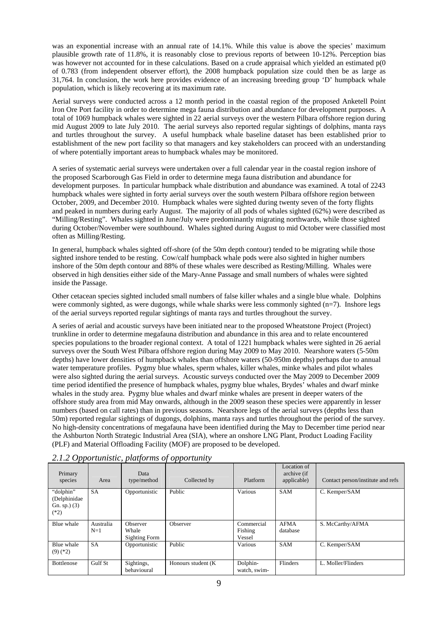was an exponential increase with an annual rate of 14.1%. While this value is above the species' maximum plausible growth rate of 11.8%, it is reasonably close to previous reports of between 10-12%. Perception bias was however not accounted for in these calculations. Based on a crude appraisal which yielded an estimated  $p(0)$ of 0.783 (from independent observer effort), the 2008 humpback population size could then be as large as 31,764. In conclusion, the work here provides evidence of an increasing breeding group 'D' humpback whale population, which is likely recovering at its maximum rate.

Aerial surveys were conducted across a 12 month period in the coastal region of the proposed Anketell Point Iron Ore Port facility in order to determine mega fauna distribution and abundance for development purposes. A total of 1069 humpback whales were sighted in 22 aerial surveys over the western Pilbara offshore region during mid August 2009 to late July 2010. The aerial surveys also reported regular sightings of dolphins, manta rays and turtles throughout the survey. A useful humpback whale baseline dataset has been established prior to establishment of the new port facility so that managers and key stakeholders can proceed with an understanding of where potentially important areas to humpback whales may be monitored.

A series of systematic aerial surveys were undertaken over a full calendar year in the coastal region inshore of the proposed Scarborough Gas Field in order to determine mega fauna distribution and abundance for development purposes. In particular humpback whale distribution and abundance was examined. A total of 2243 humpback whales were sighted in forty aerial surveys over the south western Pilbara offshore region between October, 2009, and December 2010. Humpback whales were sighted during twenty seven of the forty flights and peaked in numbers during early August. The majority of all pods of whales sighted (62%) were described as "Milling/Resting". Whales sighted in June/July were predominantly migrating northwards, while those sighted during October/November were southbound. Whales sighted during August to mid October were classified most often as Milling/Resting.

In general, humpback whales sighted off-shore (of the 50m depth contour) tended to be migrating while those sighted inshore tended to be resting. Cow/calf humpback whale pods were also sighted in higher numbers inshore of the 50m depth contour and 88% of these whales were described as Resting/Milling. Whales were observed in high densities either side of the Mary-Anne Passage and small numbers of whales were sighted inside the Passage.

Other cetacean species sighted included small numbers of false killer whales and a single blue whale. Dolphins were commonly sighted, as were dugongs, while whale sharks were less commonly sighted (n=7). Inshore legs of the aerial surveys reported regular sightings of manta rays and turtles throughout the survey.

A series of aerial and acoustic surveys have been initiated near to the proposed Wheatstone Project (Project) trunkline in order to determine megafauna distribution and abundance in this area and to relate encountered species populations to the broader regional context. A total of 1221 humpback whales were sighted in 26 aerial surveys over the South West Pilbara offshore region during May 2009 to May 2010. Nearshore waters (5-50m depths) have lower densities of humpback whales than offshore waters (50-950m depths) perhaps due to annual water temperature profiles. Pygmy blue whales, sperm whales, killer whales, minke whales and pilot whales were also sighted during the aerial surveys. Acoustic surveys conducted over the May 2009 to December 2009 time period identified the presence of humpback whales, pygmy blue whales, Brydes' whales and dwarf minke whales in the study area. Pygmy blue whales and dwarf minke whales are present in deeper waters of the offshore study area from mid May onwards, although in the 2009 season these species were apparently in lesser numbers (based on call rates) than in previous seasons. Nearshore legs of the aerial surveys (depths less than 50m) reported regular sightings of dugongs, dolphins, manta rays and turtles throughout the period of the survey. No high-density concentrations of megafauna have been identified during the May to December time period near the Ashburton North Strategic Industrial Area (SIA), where an onshore LNG Plant, Product Loading Facility (PLF) and Material Offloading Facility (MOF) are proposed to be developed.

| . .                                                   |                    | $\cdot$                            | . .                 |                                 |                                           |                                   |
|-------------------------------------------------------|--------------------|------------------------------------|---------------------|---------------------------------|-------------------------------------------|-----------------------------------|
| Primary<br>species                                    | Area               | Data<br>type/method                | Collected by        | Platform                        | Location of<br>archive (if<br>applicable) | Contact person/institute and refs |
| "dolphin"<br>(Delphinidae<br>Gn. sp. $)(3)$<br>$(*2)$ | <b>SA</b>          | Opportunistic                      | Public              | Various                         | <b>SAM</b>                                | C. Kemper/SAM                     |
| Blue whale                                            | Australia<br>$N=1$ | Observer<br>Whale<br>Sighting Form | Observer            | Commercial<br>Fishing<br>Vessel | <b>AFMA</b><br>database                   | S. McCarthy/AFMA                  |
| Blue whale<br>$(9)$ (*2)                              | <b>SA</b>          | Opportunistic                      | Public              | Various                         | <b>SAM</b>                                | C. Kemper/SAM                     |
| <b>Bottlenose</b>                                     | Gulf St            | Sightings,<br>behavioural          | Honours student (K) | Dolphin-<br>watch, swim-        | Flinders                                  | L. Moller/Flinders                |

*2.1.2 Opportunistic, platforms of opportunity*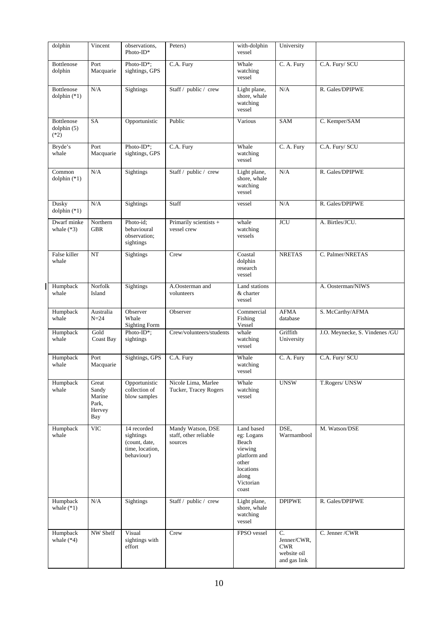| dolphin                             | Vincent                                            | observations,<br>Photo-ID*                                                 | Peters)                                               | with-dolphin<br>vessel                                                                                            | University                                                              |                                |
|-------------------------------------|----------------------------------------------------|----------------------------------------------------------------------------|-------------------------------------------------------|-------------------------------------------------------------------------------------------------------------------|-------------------------------------------------------------------------|--------------------------------|
| Bottlenose<br>dolphin               | Port<br>Macquarie                                  | Photo-ID*;<br>sightings, GPS                                               | C.A. Fury                                             | Whale<br>watching<br>vessel                                                                                       | C. A. Fury                                                              | C.A. Fury/ SCU                 |
| Bottlenose<br>dolphin $(*1)$        | N/A                                                | <b>Sightings</b>                                                           | Staff / public / crew                                 | Light plane,<br>shore, whale<br>watching<br>vessel                                                                | N/A                                                                     | R. Gales/DPIPWE                |
| Bottlenose<br>dolphin (5)<br>$(*2)$ | <b>SA</b>                                          | Opportunistic                                                              | Public                                                | Various                                                                                                           | SAM                                                                     | C. Kemper/SAM                  |
| Bryde's<br>whale                    | Port<br>Macquarie                                  | Photo-ID*;<br>sightings, GPS                                               | C.A. Fury                                             | Whale<br>watching<br>vessel                                                                                       | C. A. Fury                                                              | C.A. Fury/ SCU                 |
| Common<br>dolphin $(*1)$            | N/A                                                | Sightings                                                                  | Staff / public / crew                                 | Light plane,<br>shore, whale<br>watching<br>vessel                                                                | N/A                                                                     | R. Gales/DPIPWE                |
| Dusky<br>dolphin $(*1)$             | N/A                                                | Sightings                                                                  | Staff                                                 | vessel                                                                                                            | N/A                                                                     | R. Gales/DPIPWE                |
| Dwarf minke<br>whale $(*3)$         | Northern<br><b>GBR</b>                             | Photo-id:<br>behavioural<br>observation;<br>sightings                      | Primarily scientists +<br>vessel crew                 | whale<br>watching<br>vessels                                                                                      | <b>JCU</b>                                                              | A. Birtles/JCU.                |
| False killer<br>whale               | NT                                                 | Sightings                                                                  | Crew                                                  | Coastal<br>dolphin<br>research<br>vessel                                                                          | <b>NRETAS</b>                                                           | C. Palmer/NRETAS               |
| Humpback<br>whale                   | Norfolk<br>Island                                  | Sightings                                                                  | A.Oosterman and<br>volunteers                         | Land stations<br>& charter<br>vessel                                                                              |                                                                         | A. Oosterman/NIWS              |
| Humpback<br>whale                   | Australia<br>$N=24$                                | Observer<br>Whale<br><b>Sighting Form</b>                                  | Observer                                              | Commercial<br>Fishing<br>Vessel                                                                                   | <b>AFMA</b><br>database                                                 | S. McCarthy/AFMA               |
| Humpback<br>whale                   | Gold<br>Coast Bay                                  | Photo-ID*;<br>sightings                                                    | Crew/volunteers/students                              | whale<br>watching<br>vessel                                                                                       | Griffith<br>University                                                  | J.O. Meynecke, S. Vindenes /GU |
| Humpback<br>whale                   | Port<br>Macquarie                                  | Sightings, GPS                                                             | C.A. Fury                                             | Whale<br>watching<br>vessel                                                                                       | C. A. Fury                                                              | C.A. Fury/ SCU                 |
| Humpback<br>whale                   | Great<br>Sandy<br>Marine<br>Park,<br>Hervey<br>Bay | Opportunistic<br>collection of<br>blow samples                             | Nicole Lima, Marlee<br>Tucker, Tracey Rogers          | Whale<br>watching<br>vessel                                                                                       | <b>UNSW</b>                                                             | T.Rogers/ UNSW                 |
| Humpback<br>whale                   | <b>VIC</b>                                         | 14 recorded<br>sightings<br>(count, date,<br>time, location,<br>behaviour) | Mandy Watson, DSE<br>staff, other reliable<br>sources | Land based<br>eg: Logans<br>Beach<br>viewing<br>platform and<br>other<br>locations<br>along<br>Victorian<br>coast | DSE,<br>Warrnambool                                                     | M. Watson/DSE                  |
| Humpback<br>whale $(*1)$            | N/A                                                | Sightings                                                                  | Staff / public / crew                                 | Light plane,<br>shore, whale<br>watching<br>vessel                                                                | <b>DPIPWE</b>                                                           | R. Gales/DPIPWE                |
| Humpback<br>whale $(*4)$            | NW Shelf                                           | Visual<br>sightings with<br>effort                                         | Crew                                                  | FPSO vessel                                                                                                       | $C_{\cdot}$<br>Jenner/CWR,<br><b>CWR</b><br>website oil<br>and gas link | C. Jenner / CWR                |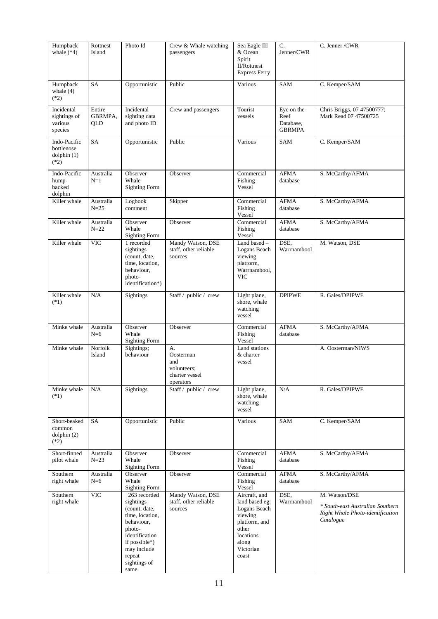| Humpback<br>whale $(*4)$                                 | Rottnest<br>Island       | Photo Id                                                                                                                                                                                  | Crew & Whale watching<br>passengers                                  | Sea Eagle III<br>& Ocean<br>Spirit<br><b>II/Rottnest</b><br><b>Express Ferry</b>                                                 | C.<br>Jenner/CWR                                 | C. Jenner / CWR                                                                                    |
|----------------------------------------------------------|--------------------------|-------------------------------------------------------------------------------------------------------------------------------------------------------------------------------------------|----------------------------------------------------------------------|----------------------------------------------------------------------------------------------------------------------------------|--------------------------------------------------|----------------------------------------------------------------------------------------------------|
| Humpback<br>whale $(4)$<br>$(*2)$                        | SA                       | Opportunistic                                                                                                                                                                             | Public                                                               | Various                                                                                                                          | SAM                                              | C. Kemper/SAM                                                                                      |
| Incidental<br>sightings of<br>various<br>species         | Entire<br>GBRMPA.<br>QLD | Incidental<br>sighting data<br>and photo ID                                                                                                                                               | Crew and passengers                                                  | Tourist<br>vessels                                                                                                               | Eye on the<br>Reef<br>Database.<br><b>GBRMPA</b> | Chris Briggs, 07 47500777;<br>Mark Read 07 47500725                                                |
| Indo-Pacific<br>bottlenose<br>$d$ olphin $(1)$<br>$(*2)$ | <b>SA</b>                | Opportunistic                                                                                                                                                                             | Public                                                               | Various                                                                                                                          | SAM                                              | C. Kemper/SAM                                                                                      |
| Indo-Pacific<br>hump-<br>backed<br>dolphin               | Australia<br>$N=1$       | Observer<br>Whale<br><b>Sighting Form</b>                                                                                                                                                 | Observer                                                             | Commercial<br>Fishing<br>Vessel                                                                                                  | <b>AFMA</b><br>database                          | S. McCarthy/AFMA                                                                                   |
| Killer whale                                             | Australia<br>$N=25$      | Logbook<br>comment                                                                                                                                                                        | Skipper                                                              | Commercial<br>Fishing<br>Vessel                                                                                                  | <b>AFMA</b><br>database                          | S. McCarthy/AFMA                                                                                   |
| Killer whale                                             | Australia<br>$N=22$      | Observer<br>Whale<br><b>Sighting Form</b>                                                                                                                                                 | Observer                                                             | Commercial<br>Fishing<br>Vessel                                                                                                  | <b>AFMA</b><br>database                          | S. McCarthy/AFMA                                                                                   |
| Killer whale                                             | <b>VIC</b>               | 1 recorded<br>sightings<br>(count, date,<br>time, location,<br>behaviour,<br>photo-<br>identification*)                                                                                   | Mandy Watson, DSE<br>staff, other reliable<br>sources                | Land based -<br>Logans Beach<br>viewing<br>platform,<br>Warrnambool,<br><b>VIC</b>                                               | DSE,<br>Warrnambool                              | M. Watson, DSE                                                                                     |
| Killer whale<br>$(*1)$                                   | N/A                      | Sightings                                                                                                                                                                                 | Staff / public / crew                                                | Light plane,<br>shore, whale<br>watching<br>vessel                                                                               | <b>DPIPWE</b>                                    | R. Gales/DPIPWE                                                                                    |
| Minke whale                                              | Australia<br>$N=6$       | Observer<br>Whale<br><b>Sighting Form</b>                                                                                                                                                 | Observer                                                             | Commercial<br>Fishing<br>Vessel                                                                                                  | <b>AFMA</b><br>database                          | S. McCarthy/AFMA                                                                                   |
| Minke whale                                              | Norfolk<br>Island        | Sightings;<br>behaviour                                                                                                                                                                   | A.<br>Oosterman<br>and<br>volunteers;<br>charter vessel<br>operators | Land stations<br>& charter<br>vessel                                                                                             |                                                  | A. Oosterman/NIWS                                                                                  |
| Minke whale<br>$(*1)$                                    | N/A                      | Sightings                                                                                                                                                                                 | Staff / public / crew                                                | Light plane,<br>shore, whale<br>watching<br>vessel                                                                               | N/A                                              | R. Gales/DPIPWE                                                                                    |
| Short-beaked<br>common<br>$d$ olphin $(2)$<br>$(*2)$     | SA                       | Opportunistic                                                                                                                                                                             | Public                                                               | Various                                                                                                                          | SAM                                              | C. Kemper/SAM                                                                                      |
| Short-finned<br>pilot whale                              | Australia<br>$N=23$      | Observer<br>Whale<br><b>Sighting Form</b>                                                                                                                                                 | Observer                                                             | Commercial<br>Fishing<br>Vessel                                                                                                  | <b>AFMA</b><br>database                          | S. McCarthy/AFMA                                                                                   |
| Southern<br>right whale                                  | Australia<br>$N=6$       | Observer<br>Whale<br><b>Sighting Form</b>                                                                                                                                                 | Observer                                                             | Commercial<br>Fishing<br>Vessel                                                                                                  | <b>AFMA</b><br>database                          | S. McCarthy/AFMA                                                                                   |
| Southern<br>right whale                                  | <b>VIC</b>               | $\overline{263}$ recorded<br>sightings<br>(count, date,<br>time, location,<br>behaviour,<br>photo-<br>identification<br>if possible $*)$<br>may include<br>repeat<br>sightings of<br>same | Mandy Watson, DSE<br>staff, other reliable<br>sources                | Aircraft, and<br>land based eg:<br>Logans Beach<br>viewing<br>platform, and<br>other<br>locations<br>along<br>Victorian<br>coast | DSE,<br>Warrnambool                              | M. Watson/DSE<br>* South-east Australian Southern<br>Right Whale Photo-identification<br>Catalogue |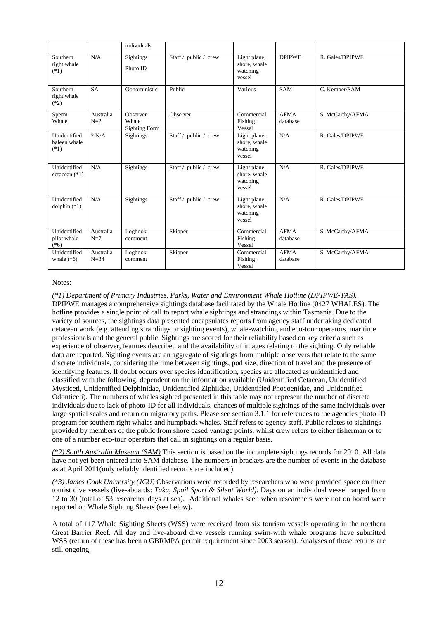|                                        |                     | individuals                               |                       |                                                    |                         |                  |
|----------------------------------------|---------------------|-------------------------------------------|-----------------------|----------------------------------------------------|-------------------------|------------------|
| Southern<br>right whale<br>$(*1)$      | N/A                 | Sightings<br>Photo ID                     | Staff / public / crew | Light plane,<br>shore, whale<br>watching<br>vessel | <b>DPIPWE</b>           | R. Gales/DPIPWE  |
| Southern<br>right whale<br>$(*2)$      | <b>SA</b>           | Opportunistic                             | Public                | Various                                            | <b>SAM</b>              | C. Kemper/SAM    |
| Sperm<br>Whale                         | Australia<br>$N=2$  | Observer<br>Whale<br><b>Sighting Form</b> | Observer              | Commercial<br>Fishing<br>Vessel                    | <b>AFMA</b><br>database | S. McCarthy/AFMA |
| Unidentified<br>baleen whale<br>$(*1)$ | 2 N/A               | Sightings                                 | Staff / public / crew | Light plane,<br>shore, whale<br>watching<br>vessel | N/A                     | R. Gales/DPIPWE  |
| Unidentified<br>cetacean $(*1)$        | N/A                 | Sightings                                 | Staff / public / crew | Light plane,<br>shore, whale<br>watching<br>vessel | N/A                     | R. Gales/DPIPWE  |
| Unidentified<br>dolphin $(*1)$         | N/A                 | Sightings                                 | Staff / public / crew | Light plane,<br>shore, whale<br>watching<br>vessel | N/A                     | R. Gales/DPIPWE  |
| Unidentified<br>pilot whale<br>$(*6)$  | Australia<br>$N=7$  | Logbook<br>comment                        | Skipper               | Commercial<br>Fishing<br>Vessel                    | <b>AFMA</b><br>database | S. McCarthy/AFMA |
| Unidentified<br>whale $(*6)$           | Australia<br>$N=34$ | Logbook<br>comment                        | Skipper               | Commercial<br>Fishing<br>Vessel                    | <b>AFMA</b><br>database | S. McCarthy/AFMA |

#### *(\*1) Department of Primary Industries, Parks, Water and Environment Whale Hotline (DPIPWE-TAS).*

DPIPWE manages a comprehensive sightings database facilitated by the Whale Hotline (0427 WHALES). The hotline provides a single point of call to report whale sightings and strandings within Tasmania. Due to the variety of sources, the sightings data presented encapsulates reports from agency staff undertaking dedicated cetacean work (e.g. attending strandings or sighting events), whale-watching and eco-tour operators, maritime professionals and the general public. Sightings are scored for their reliability based on key criteria such as experience of observer, features described and the availability of images relating to the sighting. Only reliable data are reported. Sighting events are an aggregate of sightings from multiple observers that relate to the same discrete individuals, considering the time between sightings, pod size, direction of travel and the presence of identifying features. If doubt occurs over species identification, species are allocated as unidentified and classified with the following, dependent on the information available (Unidentified Cetacean, Unidentified Mysticeti, Unidentified Delphinidae, Unidentified Ziphiidae, Unidentified Phocoenidae, and Unidentified Odonticeti). The numbers of whales sighted presented in this table may not represent the number of discrete individuals due to lack of photo-ID for all individuals, chances of multiple sightings of the same individuals over large spatial scales and return on migratory paths. Please see section 3.1.1 for references to the agencies photo ID program for southern right whales and humpback whales. Staff refers to agency staff, Public relates to sightings provided by members of the public from shore based vantage points, whilst crew refers to either fisherman or to one of a number eco-tour operators that call in sightings on a regular basis.

*(\*2) South Australia Museum (SAM)* This section is based on the incomplete sightings records for 2010. All data have not yet been entered into SAM database. The numbers in brackets are the number of events in the database as at April 2011(only reliably identified records are included).

*(\*3) James Cook University (JCU)* Observations were recorded by researchers who were provided space on three tourist dive vessels (live-aboards: *Taka*, *Spoil Sport & Silent World)*. Days on an individual vessel ranged from 12 to 30 (total of 53 researcher days at sea). Additional whales seen when researchers were not on board were reported on Whale Sighting Sheets (see below).

A total of 117 Whale Sighting Sheets (WSS) were received from six tourism vessels operating in the northern Great Barrier Reef. All day and live-aboard dive vessels running swim-with whale programs have submitted WSS (return of these has been a GBRMPA permit requirement since 2003 season). Analyses of those returns are still ongoing.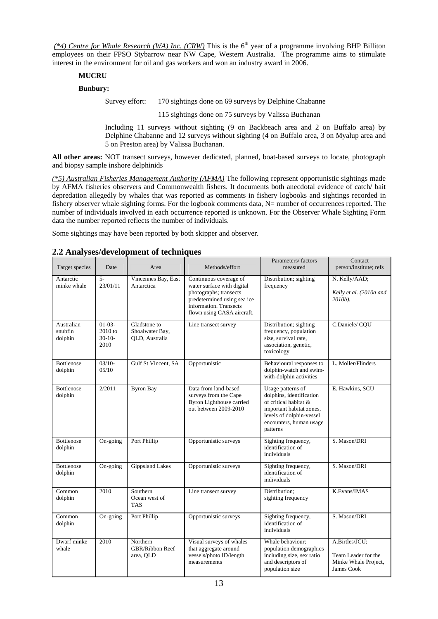*(\*4) Centre for Whale Research (WA) Inc. (CRW)* This is the 6<sup>th</sup> year of a programme involving BHP Billiton employees on their FPSO Stybarrow near NW Cape, Western Australia. The programme aims to stimulate interest in the environment for oil and gas workers and won an industry award in 2006.

### **MUCRU**

### **Bunbury:**

Survey effort: 170 sightings done on 69 surveys by Delphine Chabanne

115 sightings done on 75 surveys by Valissa Buchanan

Including 11 surveys without sighting (9 on Backbeach area and 2 on Buffalo area) by Delphine Chabanne and 12 surveys without sighting (4 on Buffalo area, 3 on Myalup area and 5 on Preston area) by Valissa Buchanan.

**All other areas:** NOT transect surveys, however dedicated, planned, boat-based surveys to locate, photograph and biopsy sample inshore delphinids

*(\*5) Australian Fisheries Management Authority (AFMA)* The following represent opportunistic sightings made by AFMA fisheries observers and Commonwealth fishers. It documents both anecdotal evidence of catch/ bait depredation allegedly by whales that was reported as comments in fishery logbooks and sightings recorded in fishery observer whale sighting forms. For the logbook comments data, N= number of occurrences reported. The number of individuals involved in each occurrence reported is unknown. For the Observer Whale Sighting Form data the number reported reflects the number of individuals.

Some sightings may have been reported by both skipper and observer.

#### Target species Date Area Methods/effort Parameters/ factors measured **Contact** person/institute; refs Antarctic minke whale 5- 23/01/11 Vincennes Bay, East Antarctica Continuous coverage of water surface with digital photographs; transects predetermined using sea ice information. Transects flown using CASA aircraft. Distribution; sighting frequency N. Kelly/AAD; *Kelly et al. (2010a and 2010b).* Australian snubfin dolphin 01-03- 2010 to 30-10- 2010 Gladstone to Shoalwater Bay, QLD, Australia Line transect survey Distribution; sighting frequency, population size, survival rate, association, genetic, toxicology C.Daniele/ CQU Bottlenose dolphin 03/10- 05/10 Gulf St Vincent, SA Opportunistic Behavioural responses to dolphin-watch and swimwith-dolphin activities L. Moller/Flinders Bottlenose dolphin 2/2011 Byron Bay Data from land-based surveys from the Cape Byron Lighthouse carried out between 2009-2010 Usage patterns of dolphins, identification of critical habitat & important habitat zones, levels of dolphin-vessel encounters, human usage patterns E. Hawkins, SCU Bottlenose dolphin On-going Port Phillip Opportunistic surveys Sighting frequency, identification of individuals S. Mason/DRI Bottlenose dolphin On-going Gippsland Lakes Opportunistic surveys Sighting frequency, identification of individuals S. Mason/DRI Common dolphin 2010 Southern Ocean west of TAS Line transect survey Distribution; sighting frequency K.Evans/IMAS Common dolphin On-going Port Phillip Opportunistic surveys Sighting frequency, identification of individuals S. Mason/DRI Dwarf minke whale 2010 Northern GBR/Ribbon Reef area, QLD Visual surveys of whales that aggregate around vessels/photo ID/length measurements Whale behaviour; population demographics including size, sex ratio and descriptors of population size A.Birtles/JCU; Team Leader for the Minke Whale Project, James Cook

### **2.2 Analyses/development of techniques**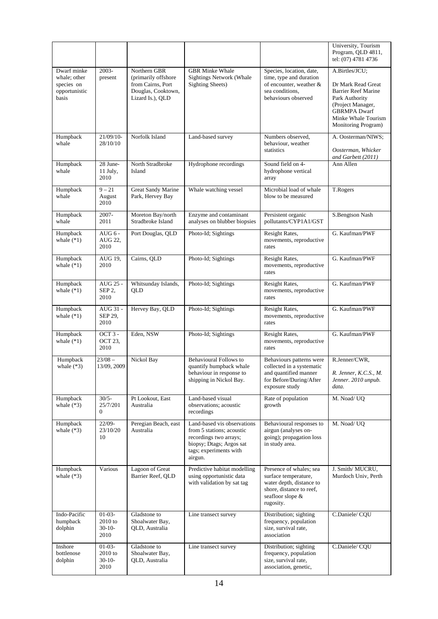|                                                                     |                                           |                                                                                                    |                                                                                                                                                     |                                                                                                                                          | University, Tourism<br>Program, QLD 4811,<br>tel: (07) 4781 4736                                                                                                               |
|---------------------------------------------------------------------|-------------------------------------------|----------------------------------------------------------------------------------------------------|-----------------------------------------------------------------------------------------------------------------------------------------------------|------------------------------------------------------------------------------------------------------------------------------------------|--------------------------------------------------------------------------------------------------------------------------------------------------------------------------------|
| Dwarf minke<br>whale; other<br>species on<br>opportunistic<br>basis | 2003-<br>present                          | Northern GBR<br>(primarily offshore<br>from Cairns, Port<br>Douglas, Cooktown,<br>Lizard Is.), QLD | <b>GBR</b> Minke Whale<br><b>Sightings Network (Whale</b><br><b>Sighting Sheets)</b>                                                                | Species, location, date,<br>time, type and duration<br>of encounter, weather &<br>sea conditions.<br>behaviours observed                 | A.Birtles/JCU:<br>Dr Mark Read Great<br><b>Barrier Reef Marine</b><br>Park Authority<br>(Project Manager,<br><b>GBRMPA</b> Dwarf<br>Minke Whale Tourism<br>Monitoring Program) |
| Humpback<br>whale                                                   | $21/09/10-$<br>28/10/10                   | Norfolk Island                                                                                     | Land-based survey                                                                                                                                   | Numbers observed.<br>behaviour, weather<br>statistics                                                                                    | A. Oosterman/NIWS;<br>Oosterman, Whicker<br>and Garbett (2011)                                                                                                                 |
| Humpback<br>whale                                                   | 28 June-<br>11 July,<br>2010              | North Stradbroke<br>Island                                                                         | Hydrophone recordings                                                                                                                               | Sound field on 4-<br>hydrophone vertical<br>array                                                                                        | Ann Allen                                                                                                                                                                      |
| Humpback<br>whale                                                   | $9 - 21$<br>August<br>2010                | Great Sandy Marine<br>Park, Hervey Bay                                                             | Whale watching vessel                                                                                                                               | Microbial load of whale<br>blow to be measured                                                                                           | T.Rogers                                                                                                                                                                       |
| Humpback<br>whale                                                   | 2007-<br>2011                             | Moreton Bay/north<br>Stradbroke Island                                                             | Enzyme and contaminant<br>analyses on blubber biopsies                                                                                              | Persistent organic<br>pollutants/CYP1A1/GST                                                                                              | S.Bengtson Nash                                                                                                                                                                |
| Humpback<br>whale $(*1)$                                            | AUG $6 -$<br>AUG 22,<br>2010              | Port Douglas, QLD                                                                                  | Photo-Id; Sightings                                                                                                                                 | Resight Rates,<br>movements, reproductive<br>rates                                                                                       | G. Kaufman/PWF                                                                                                                                                                 |
| Humpback<br>whale $(*1)$                                            | AUG 19,<br>2010                           | Cairns, QLD                                                                                        | Photo-Id; Sightings                                                                                                                                 | Resight Rates,<br>movements, reproductive<br>rates                                                                                       | G. Kaufman/PWF                                                                                                                                                                 |
| Humpback<br>whale $(*1)$                                            | AUG 25 -<br>SEP <sub>2</sub><br>2010      | Whitsunday Islands,<br><b>OLD</b>                                                                  | Photo-Id; Sightings                                                                                                                                 | Resight Rates,<br>movements, reproductive<br>rates                                                                                       | G. Kaufman/PWF                                                                                                                                                                 |
| Humpback<br>whale $(*1)$                                            | AUG 31 -<br>SEP 29,<br>2010               | Hervey Bay, QLD                                                                                    | Photo-Id; Sightings                                                                                                                                 | Resight Rates,<br>movements, reproductive<br>rates                                                                                       | G. Kaufman/PWF                                                                                                                                                                 |
| Humpback<br>whale $(*1)$                                            | $OCT3 -$<br><b>OCT 23,</b><br>2010        | Eden, NSW                                                                                          | Photo-Id; Sightings                                                                                                                                 | Resight Rates,<br>movements, reproductive<br>rates                                                                                       | G. Kaufman/PWF                                                                                                                                                                 |
| Humpback<br>whale $(*3)$                                            | $23/08 -$<br>13/09, 2009                  | Nickol Bay                                                                                         | <b>Behavioural Follows to</b><br>quantify humpback whale<br>behaviour in response to<br>shipping in Nickol Bay.                                     | Behaviours patterns were<br>collected in a systematic<br>and quantified manner<br>for Before/During/After<br>exposure study              | R.Jenner/CWR,<br>R. Jenner, K.C.S., M.<br>Jenner. 2010 unpub.<br>data.                                                                                                         |
| Humpback<br>whale $(*3)$                                            | $30/5 -$<br>25/7/201<br>$\overline{0}$    | Pt Lookout, East<br>Australia                                                                      | Land-based visual<br>observations; acoustic<br>recordings                                                                                           | Rate of population<br>growth                                                                                                             | M. Noad/ UO                                                                                                                                                                    |
| Humpback<br>whale $(*3)$                                            | $22/09 -$<br>23/10/20<br>10               | Peregian Beach, east<br>Australia                                                                  | Land-based vis observations<br>from 5 stations; acoustic<br>recordings two arrays;<br>biopsy; Dtags; Argos sat<br>tags; experiments with<br>airgun. | Behavioural responses to<br>airgun (analyses on-<br>going); propagation loss<br>in study area.                                           | M. Noad/ UQ                                                                                                                                                                    |
| Humpback<br>whale $(*3)$                                            | Various                                   | Lagoon of Great<br>Barrier Reef, QLD                                                               | Predictive habitat modelling<br>using opportunistic data<br>with validation by sat tag                                                              | Presence of whales; sea<br>surface temperature,<br>water depth, distance to<br>shore, distance to reef,<br>seafloor slope &<br>rugosity. | J. Smith/MUCRU,<br>Murdoch Univ, Perth                                                                                                                                         |
| Indo-Pacific<br>humpback<br>dolphin                                 | $01-03-$<br>2010 to<br>$30-10-$<br>2010   | Gladstone to<br>Shoalwater Bay,<br>QLD, Australia                                                  | Line transect survey                                                                                                                                | Distribution; sighting<br>frequency, population<br>size, survival rate,<br>association                                                   | C.Daniele/CQU                                                                                                                                                                  |
| Inshore<br>bottlenose<br>dolphin                                    | $01-03-$<br>$2010$ to<br>$30-10-$<br>2010 | Gladstone to<br>Shoalwater Bay,<br>QLD, Australia                                                  | Line transect survey                                                                                                                                | Distribution; sighting<br>frequency, population<br>size, survival rate,<br>association, genetic,                                         | C.Daniele/CQU                                                                                                                                                                  |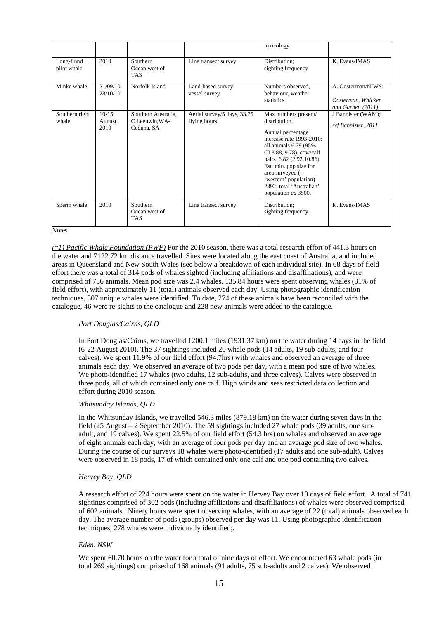|                           |                             |                                                    |                                              | toxicology                                                                                                                                                                                                                                                                                           |                                                                |
|---------------------------|-----------------------------|----------------------------------------------------|----------------------------------------------|------------------------------------------------------------------------------------------------------------------------------------------------------------------------------------------------------------------------------------------------------------------------------------------------------|----------------------------------------------------------------|
| Long-finnd<br>pilot whale | 2010                        | Southern<br>Ocean west of<br>TAS                   | Line transect survey                         | Distribution;<br>sighting frequency                                                                                                                                                                                                                                                                  | K. Evans/IMAS                                                  |
| Minke whale               | $21/09/10-$<br>28/10/10     | Norfolk Island                                     | Land-based survey;<br>vessel survey          | Numbers observed.<br>behaviour, weather<br>statistics                                                                                                                                                                                                                                                | A. Oosterman/NIWS;<br>Oosterman, Whicker<br>and Garbett (2011) |
| Southern right<br>whale   | $10 - 15$<br>August<br>2010 | Southern Australia.<br>C Leeuwin.WA-<br>Ceduna, SA | Aerial survey/5 days, 33.75<br>flying hours. | Max numbers present/<br>distribution.<br>Annual percentage<br>increase rate 1993-2010:<br>all animals 6.79 (95%<br>CI 3.88, 9.78), cow/calf<br>pairs 6.82 (2.92, 10.86).<br>Est. min. pop size for<br>area surveyed $(=$<br>'western' population)<br>2892; total 'Australian'<br>population ca 3500. | J Bannister (WAM);<br>ref Bannister, 2011                      |
| Sperm whale               | 2010                        | Southern<br>Ocean west of<br><b>TAS</b>            | Line transect survey                         | Distribution;<br>sighting frequency                                                                                                                                                                                                                                                                  | K. Evans/IMAS                                                  |

*(\*1) Pacific Whale Foundation (PWF)* For the 2010 season, there was a total research effort of 441.3 hours on the water and 7122.72 km distance travelled. Sites were located along the east coast of Australia, and included areas in Queensland and New South Wales (see below a breakdown of each individual site). In 68 days of field effort there was a total of 314 pods of whales sighted (including affiliations and disaffiliations), and were comprised of 756 animals. Mean pod size was 2.4 whales. 135.84 hours were spent observing whales (31% of field effort), with approximately 11 (total) animals observed each day. Using photographic identification techniques, 307 unique whales were identified. To date, 274 of these animals have been reconciled with the catalogue, 46 were re-sights to the catalogue and 228 new animals were added to the catalogue.

### *Port Douglas/Cairns, QLD*

In Port Douglas/Cairns, we travelled 1200.1 miles (1931.37 km) on the water during 14 days in the field (6-22 August 2010). The 37 sightings included 20 whale pods (14 adults, 19 sub-adults, and four calves). We spent 11.9% of our field effort (94.7hrs) with whales and observed an average of three animals each day. We observed an average of two pods per day, with a mean pod size of two whales. We photo-identified 17 whales (two adults, 12 sub-adults, and three calves). Calves were observed in three pods, all of which contained only one calf. High winds and seas restricted data collection and effort during 2010 season.

#### *Whitsunday Islands, QLD*

In the Whitsunday Islands, we travelled 546.3 miles (879.18 km) on the water during seven days in the field (25 August – 2 September 2010). The 59 sightings included 27 whale pods (39 adults, one subadult, and 19 calves). We spent 22.5% of our field effort (54.3 hrs) on whales and observed an average of eight animals each day, with an average of four pods per day and an average pod size of two whales. During the course of our surveys 18 whales were photo-identified (17 adults and one sub-adult). Calves were observed in 18 pods, 17 of which contained only one calf and one pod containing two calves.

#### *Hervey Bay, QLD*

A research effort of 224 hours were spent on the water in Hervey Bay over 10 days of field effort. A total of 741 sightings comprised of 302 pods (including affiliations and disaffiliations) of whales were observed comprised of 602 animals. Ninety hours were spent observing whales, with an average of 22 (total) animals observed each day. The average number of pods (groups) observed per day was 11. Using photographic identification techniques, 278 whales were individually identified;.

#### *Eden, NSW*

We spent 60.70 hours on the water for a total of nine days of effort. We encountered 63 whale pods (in total 269 sightings) comprised of 168 animals (91 adults, 75 sub-adults and 2 calves). We observed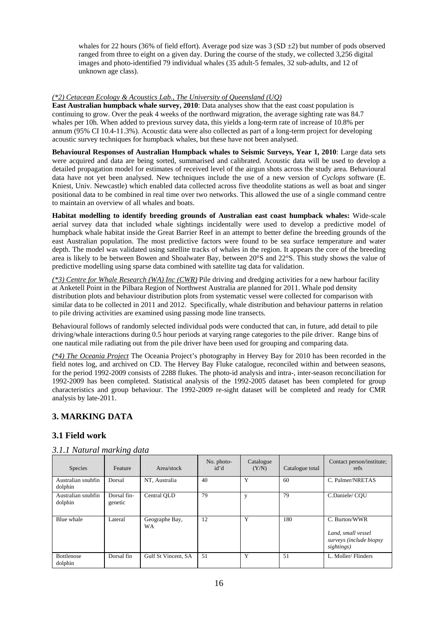whales for 22 hours (36% of field effort). Average pod size was  $3 (SD \pm 2)$  but number of pods observed ranged from three to eight on a given day. During the course of the study, we collected 3,256 digital images and photo-identified 79 individual whales (35 adult-5 females, 32 sub-adults, and 12 of unknown age class).

### *(\*2) Cetacean Ecology & Acoustics Lab., The University of Queensland (UQ)*

**East Australian humpback whale survey, 2010**: Data analyses show that the east coast population is continuing to grow. Over the peak 4 weeks of the northward migration, the average sighting rate was 84.7 whales per 10h. When added to previous survey data, this yields a long-term rate of increase of 10.8% per annum (95% CI 10.4-11.3%). Acoustic data were also collected as part of a long-term project for developing acoustic survey techniques for humpback whales, but these have not been analysed.

**Behavioural Responses of Australian Humpback whales to Seismic Surveys, Year 1, 2010**: Large data sets were acquired and data are being sorted, summarised and calibrated. Acoustic data will be used to develop a detailed propagation model for estimates of received level of the airgun shots across the study area. Behavioural data have not yet been analysed. New techniques include the use of a new version of *Cyclops* software (E. Kniest, Univ. Newcastle) which enabled data collected across five theodolite stations as well as boat and singer positional data to be combined in real time over two networks. This allowed the use of a single command centre to maintain an overview of all whales and boats.

**Habitat modelling to identify breeding grounds of Australian east coast humpback whales:** Wide-scale aerial survey data that included whale sightings incidentally were used to develop a predictive model of humpback whale habitat inside the Great Barrier Reef in an attempt to better define the breeding grounds of the east Australian population. The most predictive factors were found to be sea surface temperature and water depth. The model was validated using satellite tracks of whales in the region. It appears the core of the breeding area is likely to be between Bowen and Shoalwater Bay, between 20°S and 22°S. This study shows the value of predictive modelling using sparse data combined with satellite tag data for validation.

*(\*3) Centre for Whale Research (WA) Inc (CWR)* Pile driving and dredging activities for a new harbour facility at Anketell Point in the Pilbara Region of Northwest Australia are planned for 2011. Whale pod density distribution plots and behaviour distribution plots from systematic vessel were collected for comparison with similar data to be collected in 2011 and 2012. Specifically, whale distribution and behaviour patterns in relation to pile driving activities are examined using passing mode line transects.

Behavioural follows of randomly selected individual pods were conducted that can, in future, add detail to pile driving/whale interactions during 0.5 hour periods at varying range categories to the pile driver. Range bins of one nautical mile radiating out from the pile driver have been used for grouping and comparing data.

*(\*4) The Oceania Project* The Oceania Project's photography in Hervey Bay for 2010 has been recorded in the field notes log, and archived on CD. The Hervey Bay Fluke catalogue, reconciled within and between seasons, for the period 1992-2009 consists of 2288 flukes. The photo-id analysis and intra-, inter-season reconciliation for 1992-2009 has been completed. Statistical analysis of the 1992-2005 dataset has been completed for group characteristics and group behaviour. The 1992-2009 re-sight dataset will be completed and ready for CMR analysis by late-2011.

### **3. MARKING DATA**

### **3.1 Field work**

|  |  | 3.1.1 Natural marking data |  |
|--|--|----------------------------|--|
|--|--|----------------------------|--|

| <b>Species</b>                | Feature                | Area/stock                  | No. photo-<br>id'd | Catalogue<br>(Y/N) | Catalogue total | Contact person/institute;<br>refs                                            |
|-------------------------------|------------------------|-----------------------------|--------------------|--------------------|-----------------|------------------------------------------------------------------------------|
| Australian snubfin<br>dolphin | Dorsal                 | NT, Australia               | 40                 | Y                  | 60              | C. Palmer/NRETAS                                                             |
| Australian snubfin<br>dolphin | Dorsal fin-<br>genetic | Central OLD                 | 79                 | y                  | 79              | C.Daniele/COU                                                                |
| Blue whale                    | Lateral                | Geographe Bay,<br><b>WA</b> | 12                 | Y                  | 180             | C. Burton/WWR<br>Land, small vessel<br>surveys (include biopsy<br>sightings) |
| <b>Bottlenose</b><br>dolphin  | Dorsal fin             | Gulf St Vincent, SA         | 51                 | Y                  | 51              | L. Moller/Flinders                                                           |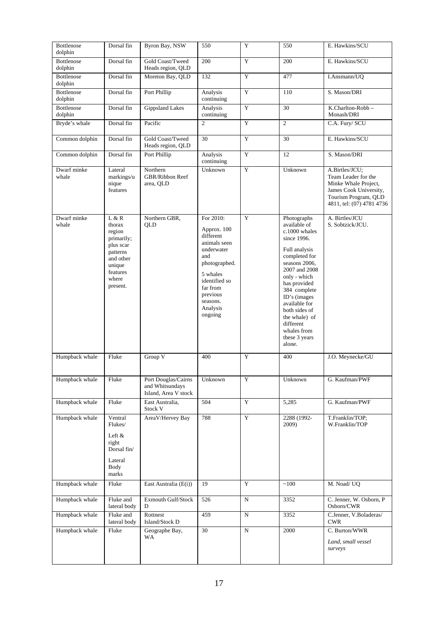| Bottlenose<br>dolphin | Dorsal fin                                                                                                               | Byron Bay, NSW                                                 | 550                                                                                                                                                                                 | Y           | 550                                                                                                                                                                                                                                                                                                       | E. Hawkins/SCU                                                                                                                               |
|-----------------------|--------------------------------------------------------------------------------------------------------------------------|----------------------------------------------------------------|-------------------------------------------------------------------------------------------------------------------------------------------------------------------------------------|-------------|-----------------------------------------------------------------------------------------------------------------------------------------------------------------------------------------------------------------------------------------------------------------------------------------------------------|----------------------------------------------------------------------------------------------------------------------------------------------|
| Bottlenose<br>dolphin | Dorsal fin                                                                                                               | Gold Coast/Tweed<br>Heads region, QLD                          | 200                                                                                                                                                                                 | Y           | 200                                                                                                                                                                                                                                                                                                       | E. Hawkins/SCU                                                                                                                               |
| Bottlenose<br>dolphin | Dorsal fin                                                                                                               | Moreton Bay, QLD                                               | 132                                                                                                                                                                                 | Y           | 477                                                                                                                                                                                                                                                                                                       | I.Ansmann/UQ                                                                                                                                 |
| Bottlenose<br>dolphin | Dorsal fin                                                                                                               | Port Phillip                                                   | Analysis<br>continuing                                                                                                                                                              | Y           | $\overline{110}$                                                                                                                                                                                                                                                                                          | S. Mason/DRI                                                                                                                                 |
| Bottlenose<br>dolphin | Dorsal fin                                                                                                               | <b>Gippsland Lakes</b>                                         | Analysis<br>continuing                                                                                                                                                              | Y           | 30                                                                                                                                                                                                                                                                                                        | K.Charlton-Robb-<br>Monash/DRI                                                                                                               |
| Bryde's whale         | Dorsal fin                                                                                                               | Pacific                                                        | $\overline{2}$                                                                                                                                                                      | Y           | $\overline{2}$                                                                                                                                                                                                                                                                                            | C.A. Fury/ SCU                                                                                                                               |
| Common dolphin        | Dorsal fin                                                                                                               | Gold Coast/Tweed<br>Heads region, QLD                          | 30                                                                                                                                                                                  | $\mathbf Y$ | 30                                                                                                                                                                                                                                                                                                        | E. Hawkins/SCU                                                                                                                               |
| Common dolphin        | Dorsal fin                                                                                                               | Port Phillip                                                   | Analysis<br>continuing                                                                                                                                                              | $\mathbf Y$ | 12                                                                                                                                                                                                                                                                                                        | S. Mason/DRI                                                                                                                                 |
| Dwarf minke<br>whale  | Lateral<br>markings/u<br>nique<br>features                                                                               | Northern<br><b>GBR/Ribbon Reef</b><br>area, QLD                | Unknown                                                                                                                                                                             | Y           | Unknown                                                                                                                                                                                                                                                                                                   | A.Birtles/JCU;<br>Team Leader for the<br>Minke Whale Project,<br>James Cook University,<br>Tourism Program, QLD<br>4811, tel: (07) 4781 4736 |
| Dwarf minke<br>whale  | L & R<br>thorax<br>region<br>primarily;<br>plus scar<br>patterns<br>and other<br>unique<br>features<br>where<br>present. | Northern GBR,<br>QLD                                           | For 2010:<br>Approx. 100<br>different<br>animals seen<br>underwater<br>and<br>photographed.<br>5 whales<br>identified so<br>far from<br>previous<br>seasons.<br>Analysis<br>ongoing | Y           | Photographs<br>available of<br>c.1000 whales<br>since 1996.<br>Full analysis<br>completed for<br>seasons 2006,<br>2007 and 2008<br>only - which<br>has provided<br>384 complete<br>ID's (images<br>available for<br>both sides of<br>the whale) of<br>different<br>whales from<br>these 3 years<br>alone. | A. Birtles/JCU<br>S. Sobtzick/JCU.                                                                                                           |
| Humpback whale        | Fluke                                                                                                                    | Group V                                                        | 400                                                                                                                                                                                 | Y           | 400                                                                                                                                                                                                                                                                                                       | J.O. Meynecke/GU                                                                                                                             |
| Humpback whale        | Fluke                                                                                                                    | Port Douglas/Cairns<br>and Whitsundays<br>Island, Area V stock | Unknown                                                                                                                                                                             | $\mathbf Y$ | Unknown                                                                                                                                                                                                                                                                                                   | G. Kaufman/PWF                                                                                                                               |
| Humpback whale        | Fluke                                                                                                                    | East Australia,<br>Stock V                                     | 504                                                                                                                                                                                 | Y           | 5,285                                                                                                                                                                                                                                                                                                     | G. Kaufman/PWF                                                                                                                               |
| Humpback whale        | Ventral<br>Flukes/<br>Left &<br>right<br>Dorsal fin/<br>Lateral<br>Body<br>marks                                         | AreaV/Hervey Bay                                               | 788                                                                                                                                                                                 | Y           | 2288 (1992-<br>2009)                                                                                                                                                                                                                                                                                      | T.Franklin/TOP;<br>W.Franklin/TOP                                                                                                            |
| Humpback whale        | Fluke                                                                                                                    | East Australia (E(i))                                          | 19                                                                                                                                                                                  | Y           | $~100$                                                                                                                                                                                                                                                                                                    | M. Noad/ UQ                                                                                                                                  |
| Humpback whale        | Fluke and<br>lateral body                                                                                                | Exmouth Gulf/Stock<br>D                                        | 526                                                                                                                                                                                 | ${\bf N}$   | 3352                                                                                                                                                                                                                                                                                                      | C. Jenner, W. Osborn, P<br>Osborn/CWR                                                                                                        |
| Humpback whale        | Fluke and<br>lateral body                                                                                                | Rottnest<br>Island/Stock D                                     | 459                                                                                                                                                                                 | ${\bf N}$   | 3352                                                                                                                                                                                                                                                                                                      | C.Jenner, V.Boladeras/<br><b>CWR</b>                                                                                                         |
| Humpback whale        | Fluke                                                                                                                    | Geographe Bay,<br>WA                                           | 30                                                                                                                                                                                  | N           | 2000                                                                                                                                                                                                                                                                                                      | C. Burton/WWR<br>Land, small vessel<br>surveys                                                                                               |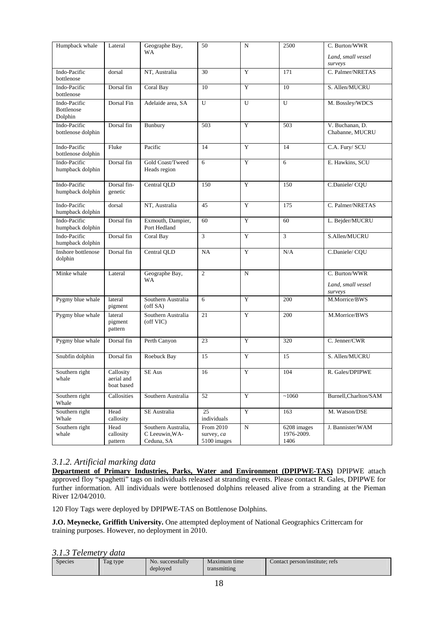| Humpback whale                               | Lateral                               | Geographe Bay,                                      | 50                                     | $\mathbf N$           | 2500                              | C. Burton/WWR                                  |
|----------------------------------------------|---------------------------------------|-----------------------------------------------------|----------------------------------------|-----------------------|-----------------------------------|------------------------------------------------|
|                                              |                                       | WA                                                  |                                        |                       |                                   | Land, small vessel<br>surveys                  |
| Indo-Pacific<br>bottlenose                   | dorsal                                | NT, Australia                                       | 30                                     | Y                     | 171                               | C. Palmer/NRETAS                               |
| Indo-Pacific<br>bottlenose                   | Dorsal fin                            | Coral Bay                                           | 10                                     | Y                     | 10                                | S. Allen/MUCRU                                 |
| Indo-Pacific<br><b>Bottlenose</b><br>Dolphin | Dorsal Fin                            | Adelaide area, SA                                   | U                                      | U                     | U                                 | M. Bossley/WDCS                                |
| Indo-Pacific<br>bottlenose dolphin           | Dorsal fin                            | Bunbury                                             | 503                                    | Y                     | 503                               | V. Buchanan, D.<br>Chabanne, MUCRU             |
| Indo-Pacific<br>bottlenose dolphin           | Fluke                                 | Pacific                                             | 14                                     | Y                     | 14                                | C.A. Fury/ SCU                                 |
| Indo-Pacific<br>humpback dolphin             | Dorsal fin                            | Gold Coast/Tweed<br>Heads region                    | 6                                      | Y                     | $\overline{6}$                    | E. Hawkins, SCU                                |
| Indo-Pacific<br>humpback dolphin             | Dorsal fin-<br>genetic                | Central QLD                                         | 150                                    | Y                     | 150                               | C.Daniele/CQU                                  |
| Indo-Pacific<br>humpback dolphin             | dorsal                                | NT, Australia                                       | 45                                     | Y                     | 175                               | C. Palmer/NRETAS                               |
| Indo-Pacific<br>humpback dolphin             | Dorsal fin                            | Exmouth, Dampier,<br>Port Hedland                   | 60                                     | Y                     | 60                                | L. Bejder/MUCRU                                |
| Indo-Pacific<br>humpback dolphin             | Dorsal fin                            | Coral Bay                                           | 3                                      | Y                     | 3                                 | S.Allen/MUCRU                                  |
| Inshore bottlenose<br>dolphin                | Dorsal fin                            | Central QLD                                         | NA                                     | Y                     | N/A                               | C.Daniele/CQU                                  |
| Minke whale                                  | Lateral                               | Geographe Bay,<br>WA                                | $\overline{c}$                         | $\mathbf N$           |                                   | C. Burton/WWR<br>Land, small vessel<br>surveys |
| Pygmy blue whale                             | lateral<br>pigment                    | Southern Australia<br>(off SA)                      | 6                                      | Y                     | 200                               | M.Morrice/BWS                                  |
| Pygmy blue whale                             | lateral<br>pigment<br>pattern         | Southern Australia<br>(off VIC)                     | 21                                     | Y                     | 200                               | M.Morrice/BWS                                  |
| Pygmy blue whale                             | Dorsal fin                            | Perth Canyon                                        | 23                                     | Y                     | 320                               | C. Jenner/CWR                                  |
| Snubfin dolphin                              | Dorsal fin                            | Roebuck Bay                                         | 15                                     | Y                     | 15                                | S. Allen/MUCRU                                 |
| Southern right<br>whale                      | Callosity<br>aerial and<br>boat based | $\overline{\text{SE}}$ Aus                          | $\overline{16}$                        | $\overline{Y}$        | 104                               | R. Gales/DPIPWE                                |
| Southern right<br>Whale                      | Callosities                           | Southern Australia                                  | $\overline{52}$                        | Y                     | ~1060                             | Burnell, Charlton/SAM                          |
| Southern right<br>Whale                      | Head<br>callosity                     | SE Australia                                        | 25<br>individuals                      | Y                     | 163                               | M. Watson/DSE                                  |
| Southern right<br>whale                      | Head<br>callosity<br>pattern          | Southern Australia,<br>C Leeuwin, WA-<br>Ceduna, SA | From 2010<br>survey, ca<br>5100 images | $\overline{\text{N}}$ | 6208 images<br>1976-2009.<br>1406 | J. Bannister/WAM                               |

### *3.1.2. Artificial marking data*

**Department of Primary Industries, Parks, Water and Environment (DPIPWE-TAS)** DPIPWE attach approved floy "spaghetti" tags on individuals released at stranding events. Please contact R. Gales, DPIPWE for further information. All individuals were bottlenosed dolphins released alive from a stranding at the Pieman River 12/04/2010.

120 Floy Tags were deployed by DPIPWE-TAS on Bottlenose Dolphins.

**J.O. Meynecke, Griffith University.** One attempted deployment of National Geographics Crittercam for training purposes. However, no deployment in 2010.

### *3.1.3 Telemetry data*

| - - - - - - - - - - - - - - - | -------- |                  |              |                                |
|-------------------------------|----------|------------------|--------------|--------------------------------|
| <b>Species</b>                | Tag type | No. successfully | Maximum time | Contact person/institute: refs |
|                               |          | deployed         | transmitting |                                |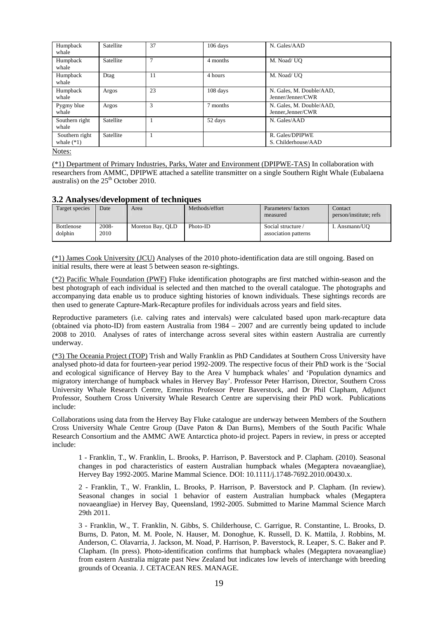| Humpback<br>whale                        | Satellite | 37     | 106 days | N. Gales/AAD                                   |
|------------------------------------------|-----------|--------|----------|------------------------------------------------|
| Humpback<br>whale                        | Satellite | $\tau$ | 4 months | M. Noad/ UO                                    |
| Humpback<br>whale                        | Dtag      | 11     | 4 hours  | M. Noad/ UO                                    |
| Humpback<br>whale                        | Argos     | 23     | 108 days | N. Gales, M. Double/AAD,<br>Jenner/Jenner/CWR  |
| Pygmy blue<br>whale                      | Argos     | 3      | 7 months | N. Gales, M. Double/AAD,<br>Jenner, Jenner/CWR |
| Southern right<br>whale                  | Satellite |        | 52 days  | N. Gales/AAD                                   |
| Southern right<br>whale $(*1)$           | Satellite |        |          | R. Gales/DPIPWE<br>S. Childerhouse/AAD         |
| $N_{\alpha\uparrow\alpha\alpha\uparrow}$ |           |        |          |                                                |

(\*1) Department of Primary Industries, Parks, Water and Environment (DPIPWE-TAS) In collaboration with researchers from AMMC, DPIPWE attached a satellite transmitter on a single Southern Right Whale (Eubalaena australis) on the  $25<sup>th</sup>$  October 2010.

### **3.2 Analyses/development of techniques**

| Target species               | Date          | Area             | Methods/effort | Parameters/factors<br>measured             | Contact<br>person/institute: refs |
|------------------------------|---------------|------------------|----------------|--------------------------------------------|-----------------------------------|
| <b>Bottlenose</b><br>dolphin | 2008-<br>2010 | Moreton Bay, QLD | Photo-ID       | Social structure /<br>association patterns | I. Ansmann/UO                     |

(\*1) James Cook University (JCU) Analyses of the 2010 photo-identification data are still ongoing. Based on initial results, there were at least 5 between season re-sightings.

(\*2) Pacific Whale Foundation (PWF) Fluke identification photographs are first matched within-season and the best photograph of each individual is selected and then matched to the overall catalogue. The photographs and accompanying data enable us to produce sighting histories of known individuals. These sightings records are then used to generate Capture-Mark-Recapture profiles for individuals across years and field sites.

Reproductive parameters (i.e. calving rates and intervals) were calculated based upon mark-recapture data (obtained via photo-ID) from eastern Australia from 1984 – 2007 and are currently being updated to include 2008 to 2010. Analyses of rates of interchange across several sites within eastern Australia are currently underway.

(\*3) The Oceania Project (TOP) Trish and Wally Franklin as PhD Candidates at Southern Cross University have analysed photo-id data for fourteen-year period 1992-2009. The respective focus of their PhD work is the 'Social and ecological significance of Hervey Bay to the Area V humpback whales' and 'Population dynamics and migratory interchange of humpback whales in Hervey Bay'. Professor Peter Harrison, Director, Southern Cross University Whale Research Centre, Emeritus Professor Peter Baverstock, and Dr Phil Clapham, Adjunct Professor, Southern Cross University Whale Research Centre are supervising their PhD work. Publications include:

Collaborations using data from the Hervey Bay Fluke catalogue are underway between Members of the Southern Cross University Whale Centre Group (Dave Paton & Dan Burns), Members of the South Pacific Whale Research Consortium and the AMMC AWE Antarctica photo-id project. Papers in review, in press or accepted include:

1 - Franklin, T., W. Franklin, L. Brooks, P. Harrison, P. Baverstock and P. Clapham. (2010). Seasonal changes in pod characteristics of eastern Australian humpback whales (Megaptera novaeangliae), Hervey Bay 1992-2005. Marine Mammal Science. DOI: 10.1111/j.1748-7692.2010.00430.x.

2 - Franklin, T., W. Franklin, L. Brooks, P. Harrison, P. Baverstock and P. Clapham. (In review). Seasonal changes in social 1 behavior of eastern Australian humpback whales (Megaptera novaeangliae) in Hervey Bay, Queensland, 1992-2005. Submitted to Marine Mammal Science March 29th 2011.

3 - Franklin, W., T. Franklin, N. Gibbs, S. Childerhouse, C. Garrigue, R. Constantine, L. Brooks, D. Burns, D. Paton, M. M. Poole, N. Hauser, M. Donoghue, K. Russell, D. K. Mattila, J. Robbins, M. Anderson, C. Olavarria, J. Jackson, M. Noad, P. Harrison, P. Baverstock, R. Leaper, S. C. Baker and P. Clapham. (In press). Photo-identification confirms that humpback whales (Megaptera novaeangliae) from eastern Australia migrate past New Zealand but indicates low levels of interchange with breeding grounds of Oceania. J. CETACEAN RES. MANAGE.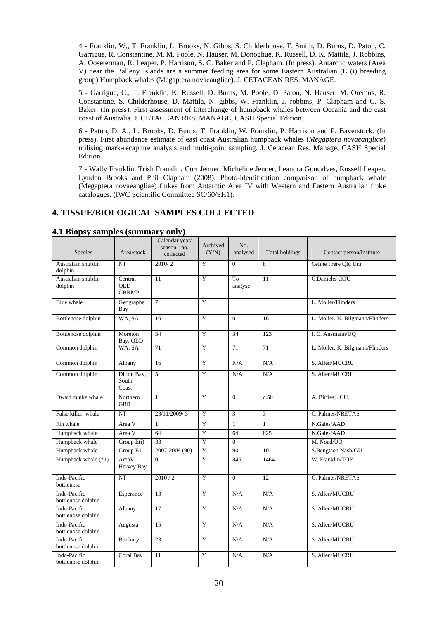4 - Franklin, W., T. Franklin, L. Brooks, N. Gibbs, S. Childerhouse, F. Smith, D. Burns, D. Paton, C. Garrigue, R. Constantine, M. M. Poole, N. Hauser, M. Donoghue, K. Russell, D. K. Mattila, J. Robbins, A. Ooseterman, R. Leaper, P. Harrison, S. C. Baker and P. Clapham. (In press). Antarctic waters (Area V) near the Balleny Islands are a summer feeding area for some Eastern Australian (E (i) breeding group) Humpback whales (Megaptera novaeangliae). J. CETACEAN RES. MANAGE.

5 - Garrigue, C., T. Franklin, K. Russell, D. Burns, M. Poole, D. Paton, N. Hauser, M. Oremus, R. Constantine, S. Childerhouse, D. Mattila, N. gibbs, W. Franklin, J. robbins, P. Clapham and C. S. Baker. (In press). First assessment of interchange of humpback whales between Oceania and the east coast of Australia. J. CETACEAN RES. MANAGE, CASH Special Edition.

6 - Paton, D. A., L. Brooks, D. Burns, T. Franklin, W. Franklin, P. Harrison and P. Baverstock. (In press). First abundance estimate of east coast Australian humpback whales (*Megaptera novaeangliae*) utilising mark-recapture analysis and multi-point sampling. J. Cetacean Res. Manage, CASH Special Edition.

7 - Wally Franklin, Trish Franklin, Curt Jenner, Micheline Jenner, Leandra Goncalves, Russell Leaper, Lyndon Brooks and Phil Clapham (2008). Photo-identification comparison of humpback whale (Megaptera novaeangliae) flukes from Antarctic Area IV with Western and Eastern Australian fluke catalogues. (IWC Scientific Committee SC/60/SH1).

### **4. TISSUE/BIOLOGICAL SAMPLES COLLECTED**

| Species                            | Area/stock                            | Calendar year/<br>season - no.<br>collected | Archived<br>(Y/N) | No.<br>analysed | <b>Total holdings</b> | Contact person/institute        |
|------------------------------------|---------------------------------------|---------------------------------------------|-------------------|-----------------|-----------------------|---------------------------------|
| Australian snubfin<br>dolphin      | NT                                    | 2010/2                                      | Y                 | $\Omega$        | 8                     | Celine Frere Old Uni            |
| Australian snubfin<br>dolphin      | Central<br><b>OLD</b><br><b>GBRMP</b> | 11                                          | Y                 | To<br>analyse   | 11                    | C.Daniele/CQU                   |
| Blue whale                         | Geographe<br>Bay                      | $\overline{7}$                              | Y                 |                 |                       | L. Moller/Flinders              |
| Bottlenose dolphin                 | WA, SA                                | 16                                          | Y                 | $\Omega$        | 16                    | L. Moller, K. Bilgmann/Flinders |
| Bottlenose dolphin                 | Moreton<br>Bay, OLD                   | 34                                          | Y                 | 34              | 123                   | I. C. Ansmann/UQ                |
| Common dolphin                     | WA, SA                                | 71                                          | $\overline{Y}$    | 71              | 71                    | L. Moller, K. Bilgmann/Flinders |
| Common dolphin                     | Albany                                | 16                                          | Y                 | N/A             | N/A                   | S. Allen/MUCRU                  |
| Common dolphin                     | Dillon Bay,<br>South<br>Coast         | 5                                           | Y                 | N/A             | N/A                   | S. Allen/MUCRU                  |
| Dwarf minke whale                  | Northern<br><b>GBR</b>                | $\mathbf{1}$                                | Y                 | $\Omega$        | c.50                  | A. Birtles; JCU.                |
| False killer whale                 | NT                                    | 23/11/2009/3                                | Y                 | 3               | 3                     | C. Palmer/NRETAS                |
| Fin whale                          | Area V                                | $\mathbf{1}$                                | $\overline{Y}$    | $\mathbf{1}$    | $\mathbf{1}$          | N.Gales/AAD                     |
| Humpback whale                     | Area V                                | 64                                          | $\overline{Y}$    | 64              | 825                   | N.Gales/AAD                     |
| Humpback whale                     | Group E(i)                            | 33                                          | Y                 | $\Omega$        |                       | M. Noad/UO                      |
| Humpback whale                     | Group E1                              | 2007-2009 (90)                              | Y                 | 90              | 10                    | S.Bengtson Nash/GU              |
| Humpback whale (*1)                | AreaV<br>Hervey Bay                   | $\Omega$                                    | Y                 | 846             | 1464                  | W. Franklin/TOP                 |
| Indo-Pacific<br>bottlenose         | NT                                    | 2010/2                                      | $\overline{Y}$    | $\Omega$        | 12                    | C. Palmer/NRETAS                |
| Indo-Pacific<br>bottlenose dolphin | Esperance                             | 13                                          | $\overline{Y}$    | N/A             | N/A                   | S. Allen/MUCRU                  |
| Indo-Pacific<br>bottlenose dolphin | Albany                                | 17                                          | $\overline{Y}$    | N/A             | N/A                   | S. Allen/MUCRU                  |
| Indo-Pacific<br>bottlenose dolphin | Augusta                               | 15                                          | Y                 | N/A             | N/A                   | S. Allen/MUCRU                  |
| Indo-Pacific<br>bottlenose dolphin | Bunbury                               | 23                                          | $\overline{Y}$    | N/A             | N/A                   | S. Allen/MUCRU                  |
| Indo-Pacific<br>bottlenose dolphin | Coral Bay                             | 11                                          | Y                 | N/A             | N/A                   | S. Allen/MUCRU                  |

#### **4.1 Biopsy samples (summary only)**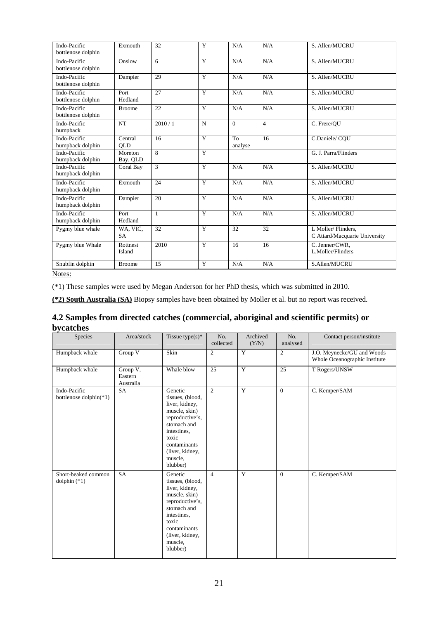| Indo-Pacific<br>bottlenose dolphin | Exmouth               | 32            | Y              | N/A           | N/A            | S. Allen/MUCRU                                      |
|------------------------------------|-----------------------|---------------|----------------|---------------|----------------|-----------------------------------------------------|
| Indo-Pacific<br>bottlenose dolphin | Onslow                | 6             | Y              | N/A           | N/A            | S. Allen/MUCRU                                      |
| Indo-Pacific<br>bottlenose dolphin | Dampier               | 29            | Y              | N/A           | N/A            | S. Allen/MUCRU                                      |
| Indo-Pacific<br>bottlenose dolphin | Port<br>Hedland       | 27            | Y              | N/A           | N/A            | S. Allen/MUCRU                                      |
| Indo-Pacific<br>bottlenose dolphin | <b>Broome</b>         | 22            | Y              | N/A           | N/A            | S. Allen/MUCRU                                      |
| Indo-Pacific<br>humpback           | NT                    | 2010/1        | $\mathbf N$    | $\Omega$      | $\overline{4}$ | C. Frere/OU                                         |
| Indo-Pacific<br>humpback dolphin   | Central<br><b>OLD</b> | 16            | Y              | To<br>analyse | 16             | C.Daniele/COU                                       |
| Indo-Pacific<br>humpback dolphin   | Moreton<br>Bay, QLD   | 8             | Y              |               |                | G. J. Parra/Flinders                                |
| Indo-Pacific<br>humpback dolphin   | Coral Bay             | $\mathcal{R}$ | Y              | N/A           | N/A            | S. Allen/MUCRU                                      |
| Indo-Pacific<br>humpback dolphin   | Exmouth               | 24            | $\overline{Y}$ | N/A           | N/A            | S. Allen/MUCRU                                      |
| Indo-Pacific<br>humpback dolphin   | Dampier               | 20            | Y              | N/A           | N/A            | S. Allen/MUCRU                                      |
| Indo-Pacific<br>humpback dolphin   | Port<br>Hedland       | $\mathbf{1}$  | Y              | N/A           | N/A            | S. Allen/MUCRU                                      |
| Pygmy blue whale                   | WA, VIC,<br><b>SA</b> | 32            | $\overline{Y}$ | 32            | 32             | L Moller/Flinders,<br>C Attard/Macquarie University |
| Pygmy blue Whale                   | Rottnest<br>Island    | 2010          | Y              | 16            | 16             | C. Jenner/CWR.<br>L.Moller/Flinders                 |
| Snubfin dolphin                    | <b>Broome</b>         | 15            | Y              | N/A           | N/A            | S.Allen/MUCRU                                       |

(\*1) These samples were used by Megan Anderson for her PhD thesis, which was submitted in 2010.

**(\*2) South Australia (SA)** Biopsy samples have been obtained by Moller et al. but no report was received.

### **4.2 Samples from directed catches (commercial, aboriginal and scientific permits) or bycatches**

| Species                                | Area/stock                       | Tissue type(s) $*$                                                                                                                                                                 | No.<br>collected | Archived<br>(Y/N) | No.<br>analysed | Contact person/institute                                    |
|----------------------------------------|----------------------------------|------------------------------------------------------------------------------------------------------------------------------------------------------------------------------------|------------------|-------------------|-----------------|-------------------------------------------------------------|
| Humpback whale                         | Group V                          | Skin                                                                                                                                                                               | $\overline{c}$   | Y                 | $\overline{2}$  | J.O. Meynecke/GU and Woods<br>Whole Oceanographic Institute |
| Humpback whale                         | Group V,<br>Eastern<br>Australia | Whale blow                                                                                                                                                                         | 25               | Y                 | 25              | T Rogers/UNSW                                               |
| Indo-Pacific<br>bottlenose dolphin(*1) | <b>SA</b>                        | Genetic<br>tissues, (blood,<br>liver, kidney,<br>muscle, skin)<br>reproductive's,<br>stomach and<br>intestines,<br>toxic<br>contaminants<br>(liver, kidney,<br>muscle,<br>blubber) | $\overline{2}$   | Y                 | $\overline{0}$  | C. Kemper/SAM                                               |
| Short-beaked common<br>dolphin $(*1)$  | SA                               | Genetic<br>tissues, (blood,<br>liver, kidney,<br>muscle, skin)<br>reproductive's,<br>stomach and<br>intestines,<br>toxic<br>contaminants<br>(liver, kidney,<br>muscle,<br>blubber) | $\overline{4}$   | Y                 | $\overline{0}$  | C. Kemper/SAM                                               |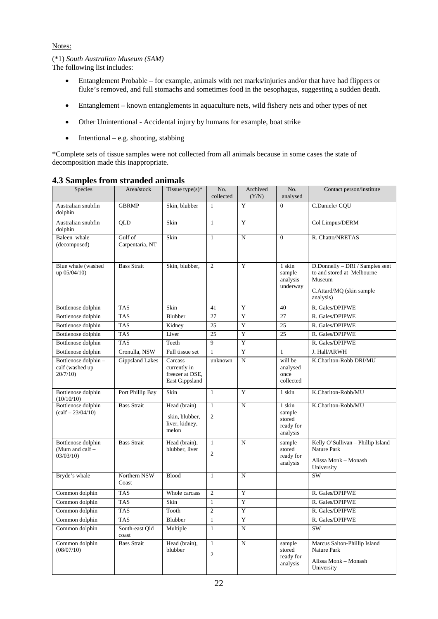### (\*1) *South Australian Museum (SAM)*

The following list includes:

- Entanglement Probable for example, animals with net marks/injuries and/or that have had flippers or fluke's removed, and full stomachs and sometimes food in the oesophagus, suggesting a sudden death.
- Entanglement known entanglements in aquaculture nets, wild fishery nets and other types of net
- Other Unintentional Accidental injury by humans for example, boat strike
- $\bullet$  Intentional e.g. shooting, stabbing

\*Complete sets of tissue samples were not collected from all animals because in some cases the state of decomposition made this inappropriate.

| Species                                                     | Area/stock                 | Tissue type $(s)$ *                                          | No.<br>collected                 | Archived<br>(Y/N) | No.<br>analysed                                     | Contact person/institute                                                                                         |
|-------------------------------------------------------------|----------------------------|--------------------------------------------------------------|----------------------------------|-------------------|-----------------------------------------------------|------------------------------------------------------------------------------------------------------------------|
| Australian snubfin<br>dolphin                               | <b>GBRMP</b>               | Skin, blubber                                                | 1                                | Y                 | $\mathbf{0}$                                        | C.Daniele/CQU                                                                                                    |
| Australian snubfin<br>dolphin                               | <b>OLD</b>                 | Skin                                                         | $\mathbf{1}$                     | Y                 |                                                     | Col Limpus/DERM                                                                                                  |
| Baleen whale<br>(decomposed)                                | Gulf of<br>Carpentaria, NT | Skin                                                         | 1                                | N                 | $\overline{0}$                                      | R. Chatto/NRETAS                                                                                                 |
| Blue whale (washed<br>up 05/04/10)                          | <b>Bass Strait</b>         | Skin, blubber,                                               | $\overline{2}$                   | Y                 | 1 skin<br>sample<br>analysis<br>underway            | D.Donnelly - DRI / Samples sent<br>to and stored at Melbourne<br>Museum<br>C.Attard/MQ (skin sample<br>analysis) |
| Bottlenose dolphin                                          | <b>TAS</b>                 | Skin                                                         | 41                               | Y                 | 40                                                  | R. Gales/DPIPWE                                                                                                  |
| Bottlenose dolphin                                          | <b>TAS</b>                 | Blubber                                                      | 27                               | $\mathbf Y$       | 27                                                  | R. Gales/DPIPWE                                                                                                  |
| Bottlenose dolphin                                          | <b>TAS</b>                 | Kidney                                                       | 25                               | $\mathbf Y$       | 25                                                  | R. Gales/DPIPWE                                                                                                  |
| Bottlenose dolphin                                          | <b>TAS</b>                 | Liver                                                        | 25                               | $\mathbf Y$       | 25                                                  | R. Gales/DPIPWE                                                                                                  |
| Bottlenose dolphin                                          | <b>TAS</b>                 | Teeth                                                        | 9                                | $\mathbf Y$       |                                                     | R. Gales/DPIPWE                                                                                                  |
| Bottlenose dolphin                                          | Cronulla, NSW              | Full tissue set                                              | $\mathbf{1}$                     | $\mathbf Y$       | $\mathbf{1}$                                        | J. Hall/ARWH                                                                                                     |
| Bottlenose dolphin -<br>calf (washed up<br>20/7/10          | Gippsland Lakes            | Carcass<br>currently in<br>freezer at DSE,<br>East Gippsland | unknown                          | N                 | will be<br>analysed<br>once<br>collected            | K.Charlton-Robb DRI/MU                                                                                           |
| Bottlenose dolphin<br>(10/10/10)                            | Port Phillip Bay           | Skin                                                         | $\mathbf{1}$                     | Y                 | 1 skin                                              | K.Charlton-Robb/MU                                                                                               |
| Bottlenose dolphin<br>$\left(\text{calf} - 23/04/10\right)$ | <b>Bass Strait</b>         | Head (brain)<br>skin, blubber,<br>liver, kidney,<br>melon    | $\mathbf{1}$<br>$\mathfrak{2}$   | N                 | 1 skin<br>sample<br>stored<br>ready for<br>analysis | K.Charlton-Robb/MU                                                                                               |
| Bottlenose dolphin<br>(Mum and calf $-$<br>03/03/10         | <b>Bass Strait</b>         | Head (brain),<br>blubber, liver                              | $\mathbf{1}$<br>$\overline{2}$   | N                 | sample<br>stored<br>ready for<br>analysis           | Kelly O'Sullivan - Phillip Island<br><b>Nature Park</b><br>Alissa Monk - Monash<br>University                    |
| Bryde's whale                                               | Northern NSW<br>Coast      | <b>Blood</b>                                                 | 1                                | N                 |                                                     | SW                                                                                                               |
| Common dolphin                                              | <b>TAS</b>                 | Whole carcass                                                | $\mathfrak{2}$                   | Y                 |                                                     | R. Gales/DPIPWE                                                                                                  |
| Common dolphin                                              | <b>TAS</b>                 | Skin                                                         | $\mathbf{1}$                     | $\mathbf Y$       |                                                     | R. Gales/DPIPWE                                                                                                  |
| Common dolphin                                              | <b>TAS</b>                 | Tooth                                                        | $\overline{2}$                   | Y                 |                                                     | R. Gales/DPIPWE                                                                                                  |
| Common dolphin                                              | TAS                        | Blubber                                                      | $\mathbf{1}$                     | Y                 |                                                     | R. Gales/DPIPWE                                                                                                  |
| Common dolphin                                              | South-east Qld<br>coast    | Multiple                                                     | 1                                | ${\bf N}$         |                                                     | SW                                                                                                               |
| Common dolphin<br>(08/07/10)                                | <b>Bass Strait</b>         | Head (brain),<br>blubber                                     | $\mathbf{1}$<br>$\boldsymbol{2}$ | N                 | sample<br>stored<br>ready for<br>analysis           | Marcus Salton-Phillip Island<br>Nature Park<br>Alissa Monk - Monash<br>University                                |

### **4.3 Samples from stranded animals**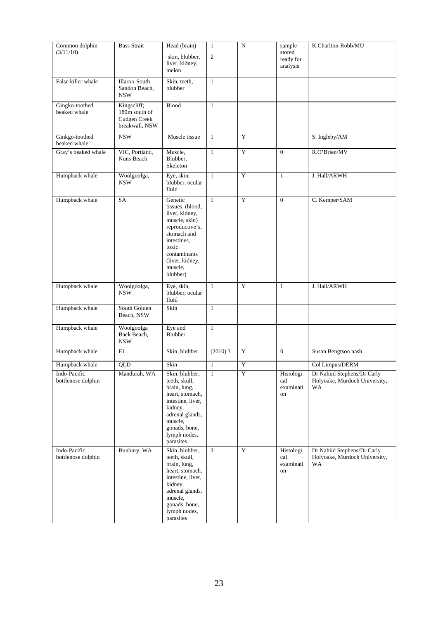| Common dolphin<br>(3/11/10)        | <b>Bass Strait</b>                                                    | Head (brain)<br>skin, blubber,<br>liver, kidney,<br>melon                                                                                                                          | $\mathbf{1}$<br>$\mathbf{2}$ | ${\bf N}$   | sample<br>stored<br>ready for<br>analysis | K.Charlton-Robb/MU                                                 |
|------------------------------------|-----------------------------------------------------------------------|------------------------------------------------------------------------------------------------------------------------------------------------------------------------------------|------------------------------|-------------|-------------------------------------------|--------------------------------------------------------------------|
| False killer whale                 | Illaroo-South<br>Sandon Beach,<br><b>NSW</b>                          | Skin, teeth,<br>blubber                                                                                                                                                            | $\mathbf{1}$                 |             |                                           |                                                                    |
| Gingko-toothed<br>beaked whale     | Kingscliff;<br>180m south of<br><b>Cudgen Creek</b><br>breakwall, NSW | <b>Blood</b>                                                                                                                                                                       | $\mathbf{1}$                 |             |                                           |                                                                    |
| Ginkgo-toothed<br>beaked whale     | <b>NSW</b>                                                            | Muscle tissue                                                                                                                                                                      | $\mathbf{1}$                 | Y           |                                           | S. Ingleby/AM                                                      |
| Gray's beaked whale                | VIC, Portland,<br>Nuns Beach                                          | Muscle,<br>Blubber,<br>Skeleton                                                                                                                                                    | $\mathbf{1}$                 | Y           | $\overline{0}$                            | R.O'Brien/MV                                                       |
| Humpback whale                     | Woolgoolga,<br><b>NSW</b>                                             | Eye, skin,<br>blubber, ocular<br>fluid                                                                                                                                             | $\mathbf{1}$                 | Y           | $\mathbf{1}$                              | J. Hall/ARWH                                                       |
| Humpback whale                     | SA                                                                    | Genetic<br>tissues, (blood,<br>liver, kidney,<br>muscle, skin)<br>reproductive's,<br>stomach and<br>intestines,<br>toxic<br>contaminants<br>(liver, kidney,<br>muscle,<br>blubber) | $\mathbf{1}$                 | Y           | $\mathbf{0}$                              | C. Kemper/SAM                                                      |
| Humpback whale                     | Woolgoolga,<br><b>NSW</b>                                             | Eye, skin,<br>blubber, ocular<br>fluid                                                                                                                                             | $\mathbf{1}$                 | Y           | $\mathbf{1}$                              | J. Hall/ARWH                                                       |
| Humpback whale                     | South Golden<br>Beach, NSW                                            | Skin                                                                                                                                                                               | $\mathbf{1}$                 |             |                                           |                                                                    |
| Humpback whale                     | Woolgoolga<br>Back Beach,<br>$_{\rm NSW}$                             | Eye and<br>Blubber                                                                                                                                                                 | $\mathbf{1}$                 |             |                                           |                                                                    |
| Humpback whale                     | E1                                                                    | Skin, blubber                                                                                                                                                                      | $(2010)$ 3                   | $\mathbf Y$ | $\overline{0}$                            | Susan Bengtson nash                                                |
| Humpback whale                     | QLD                                                                   | Skin                                                                                                                                                                               | $\mathbf{1}$                 | $\mathbf Y$ |                                           | Col Limpus/DERM                                                    |
| Indo-Pacific<br>bottlenose dolphin | Mandurah, WA                                                          | Skin, blubber,<br>teeth, skull,<br>brain, lung,<br>heart, stomach,<br>intestine, liver,<br>kidney,<br>adrenal glands,<br>muscle,<br>gonads, bone,<br>lymph nodes,<br>parasites     | $\mathbf{1}$                 | $\mathbf Y$ | Histologi<br>cal<br>examinati<br>on       | Dr Nahiid Stephens/Dr Carly<br>Holyoake, Murdoch University,<br>WA |
| Indo-Pacific<br>bottlenose dolphin | Bunbury, WA                                                           | Skin, blubber,<br>teeth, skull,<br>brain, lung,<br>heart, stomach,<br>intestine, liver,<br>kidney,<br>adrenal glands,<br>muscle,<br>gonads, bone,<br>lymph nodes,<br>parasites     | 3                            | $\mathbf Y$ | Histologi<br>cal<br>examinati<br>on       | Dr Nahiid Stephens/Dr Carly<br>Holyoake, Murdoch University,<br>WA |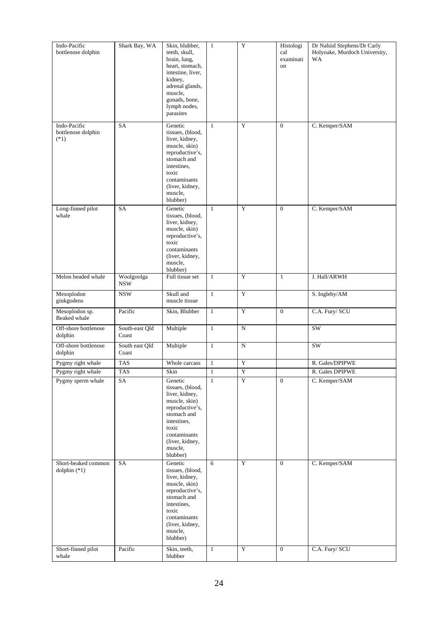| Indo-Pacific<br>bottlenose dolphin                          | Shark Bay, WA            | Skin, blubber,<br>teeth, skull,<br>brain, lung,<br>heart, stomach,<br>intestine, liver,<br>kidney,<br>adrenal glands,<br>muscle,<br>gonads, bone,<br>lymph nodes,<br>parasites                     | $\mathbf{1}$      | $\mathbf Y$                | Histologi<br>cal<br>examinati<br>on | Dr Nahiid Stephens/Dr Carly<br>Holyoake, Murdoch University,<br><b>WA</b> |
|-------------------------------------------------------------|--------------------------|----------------------------------------------------------------------------------------------------------------------------------------------------------------------------------------------------|-------------------|----------------------------|-------------------------------------|---------------------------------------------------------------------------|
| Indo-Pacific<br>bottlenose dolphin<br>$(*1)$                | SA                       | Genetic<br>tissues, (blood,<br>liver, kidney,<br>muscle, skin)<br>reproductive's,<br>stomach and<br>intestines,<br>toxic<br>contaminants<br>(liver, kidney,<br>muscle,<br>blubber)                 | $\mathbf{1}$      | Y                          | $\overline{0}$                      | C. Kemper/SAM                                                             |
| Long-finned pilot<br>whale                                  | <b>SA</b>                | Genetic<br>tissues, (blood,<br>liver, kidney,<br>muscle, skin)<br>reproductive's,<br>toxic<br>contaminants<br>(liver, kidney,<br>muscle,<br>blubber)                                               | 1                 | Y                          | $\overline{0}$                      | C. Kemper/SAM                                                             |
| Melon headed whale                                          | Woolgoolga<br><b>NSW</b> | Full tissue set                                                                                                                                                                                    | $\mathbf{1}$      | Y                          | $\mathbf{1}$                        | J. Hall/ARWH                                                              |
| Mesoplodon<br>ginkgodens                                    | <b>NSW</b>               | Skull and<br>muscle tissue                                                                                                                                                                         | $\mathbf{1}$      | Y                          |                                     | S. Ingleby/AM                                                             |
| Mesoplodon sp.<br>Beaked whale                              | Pacific                  | Skin, Blubber                                                                                                                                                                                      | $\mathbf{1}$      | $\overline{Y}$             | $\mathbf{0}$                        | C.A. Fury/ SCU                                                            |
| Off-shore bottlenose<br>dolphin                             | South-east Qld<br>Coast  | Multiple                                                                                                                                                                                           | $\mathbf{1}$      | ${\bf N}$                  |                                     | <b>SW</b>                                                                 |
| Off-shore bottlenose<br>dolphin                             | South east Qld<br>Coast  | Multiple                                                                                                                                                                                           | $\mathbf{1}$      | ${\bf N}$                  |                                     | $\overline{\text{SW}}$                                                    |
| Pygmy right whale                                           | <b>TAS</b>               | Whole carcass                                                                                                                                                                                      | $\mathbf{1}$      | $\mathbf Y$                |                                     | R. Gales/DPIPWE                                                           |
| Pygmy right whale                                           | TAS                      | Skin                                                                                                                                                                                               | $\mathbf{1}$      | Y                          |                                     | R. Gales DPIPWE                                                           |
| Pygmy sperm whale                                           | SA                       | Genetic<br>tissues, (blood,<br>liver, kidney,<br>muscle, skin)<br>reproductive's,<br>stomach and<br>intestines,<br>toxic<br>contaminants<br>(liver, kidney,<br>muscle,<br>blubber)                 | $\mathbf{1}$      | $\overline{Y}$             | $\mathbf{0}$                        | C. Kemper/SAM                                                             |
| Short-beaked common<br>dolphin $(*1)$<br>Short-finned pilot | SA<br>Pacific            | Genetic<br>tissues, (blood,<br>liver, kidney,<br>muscle, skin)<br>reproductive's,<br>stomach and<br>intestines,<br>toxic<br>contaminants<br>(liver, kidney,<br>muscle,<br>blubber)<br>Skin, teeth, | 6<br>$\mathbf{1}$ | $\mathbf Y$<br>$\mathbf Y$ | $\overline{0}$<br>$\overline{0}$    | C. Kemper/SAM<br>C.A. Fury/ SCU                                           |
| whale                                                       |                          | blubber                                                                                                                                                                                            |                   |                            |                                     |                                                                           |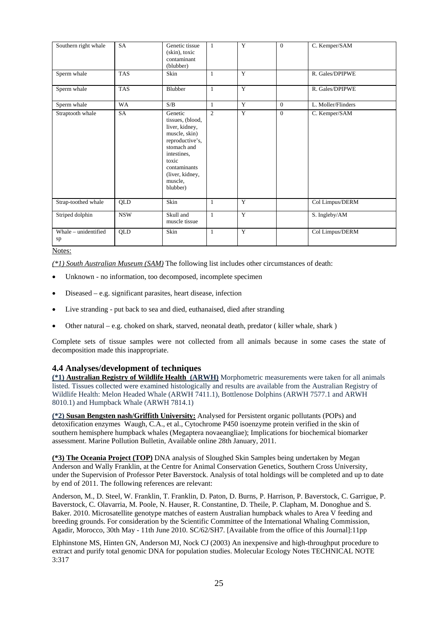| Southern right whale       | <b>SA</b>  | Genetic tissue<br>(skin), toxic<br>contaminant<br>(blubber)                                                                                                                        | $\mathbf{1}$   | Y | $\mathbf{0}$ | C. Kemper/SAM      |
|----------------------------|------------|------------------------------------------------------------------------------------------------------------------------------------------------------------------------------------|----------------|---|--------------|--------------------|
| Sperm whale                | <b>TAS</b> | Skin                                                                                                                                                                               | $\mathbf{1}$   | Y |              | R. Gales/DPIPWE    |
| Sperm whale                | <b>TAS</b> | Blubber                                                                                                                                                                            | $\mathbf{1}$   | Y |              | R. Gales/DPIPWE    |
| Sperm whale                | <b>WA</b>  | S/B                                                                                                                                                                                | $\mathbf{1}$   | Y | $\Omega$     | L. Moller/Flinders |
| Straptooth whale           | <b>SA</b>  | Genetic<br>tissues, (blood,<br>liver, kidney,<br>muscle, skin)<br>reproductive's,<br>stomach and<br>intestines.<br>toxic<br>contaminants<br>(liver, kidney,<br>muscle,<br>blubber) | $\overline{2}$ | Y | $\mathbf{0}$ | C. Kemper/SAM      |
| Strap-toothed whale        | QLD        | Skin                                                                                                                                                                               | 1              | Y |              | Col Limpus/DERM    |
| Striped dolphin            | <b>NSW</b> | Skull and<br>muscle tissue                                                                                                                                                         | $\mathbf{1}$   | Y |              | S. Ingleby/AM      |
| Whale - unidentified<br>sp | QLD        | Skin                                                                                                                                                                               | 1              | Y |              | Col Limpus/DERM    |

*(\*1) South Australian Museum (SAM)* The following list includes other circumstances of death:

- Unknown no information, too decomposed, incomplete specimen
- Diseased e.g. significant parasites, heart disease, infection
- Live stranding put back to sea and died, euthanaised, died after stranding
- Other natural e.g. choked on shark, starved, neonatal death, predator ( killer whale, shark )

Complete sets of tissue samples were not collected from all animals because in some cases the state of decomposition made this inappropriate.

### **4.4 Analyses/development of techniques**

**(\*1) Australian Registry of Wildlife Health (ARWH)** Morphometric measurements were taken for all animals listed. Tissues collected were examined histologically and results are available from the Australian Registry of Wildlife Health: Melon Headed Whale (ARWH 7411.1), Bottlenose Dolphins (ARWH 7577.1 and ARWH 8010.1) and Humpback Whale (ARWH 7814.1)

**(\*2) Susan Bengsten nash/Griffith University:** Analysed for Persistent organic pollutants (POPs) and detoxification enzymes Waugh, C.A., et al., Cytochrome P450 isoenzyme protein verified in the skin of southern hemisphere humpback whales (Megaptera novaeangliae); Implications for biochemical biomarker assessment. Marine Pollution Bulletin, Available online 28th January, 2011.

**(\*3) The Oceania Project (TOP)** DNA analysis of Sloughed Skin Samples being undertaken by Megan Anderson and Wally Franklin, at the Centre for Animal Conservation Genetics, Southern Cross University, under the Supervision of Professor Peter Baverstock. Analysis of total holdings will be completed and up to date by end of 2011. The following references are relevant:

Anderson, M., D. Steel, W. Franklin, T. Franklin, D. Paton, D. Burns, P. Harrison, P. Baverstock, C. Garrigue, P. Baverstock, C. Olavarria, M. Poole, N. Hauser, R. Constantine, D. Theile, P. Clapham, M. Donoghue and S. Baker. 2010. Microsatellite genotype matches of eastern Australian humpback whales to Area V feeding and breeding grounds. For consideration by the Scientific Committee of the International Whaling Commission, Agadir, Morocco, 30th May - 11th June 2010. SC/62/SH7. [Available from the office of this Journal]:11pp

Elphinstone MS, Hinten GN, Anderson MJ, Nock CJ (2003) An inexpensive and high-throughput procedure to extract and purify total genomic DNA for population studies. Molecular Ecology Notes TECHNICAL NOTE 3:317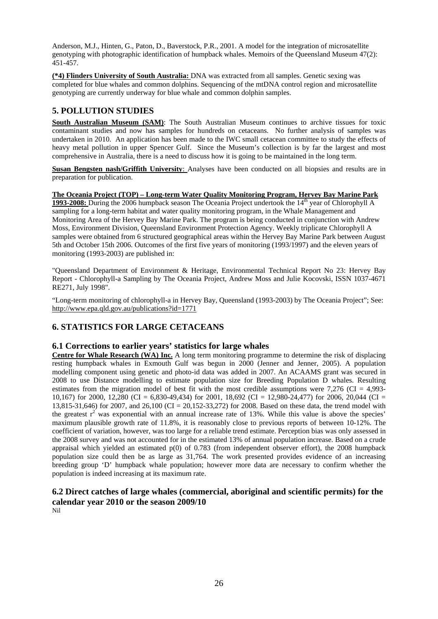Anderson, M.J., Hinten, G., Paton, D., Baverstock, P.R., 2001. A model for the integration of microsatellite genotyping with photographic identification of humpback whales. Memoirs of the Queensland Museum 47(2): 451-457.

**(\*4) Flinders University of South Australia:** DNA was extracted from all samples. Genetic sexing was completed for blue whales and common dolphins. Sequencing of the mtDNA control region and microsatellite genotyping are currently underway for blue whale and common dolphin samples.

### **5. POLLUTION STUDIES**

**South Australian Museum (SAM):** The South Australian Museum continues to archive tissues for toxic contaminant studies and now has samples for hundreds on cetaceans. No further analysis of samples was undertaken in 2010. An application has been made to the IWC small cetacean committee to study the effects of heavy metal pollution in upper Spencer Gulf. Since the Museum's collection is by far the largest and most comprehensive in Australia, there is a need to discuss how it is going to be maintained in the long term.

**Susan Bengsten nash/Griffith University**: Analyses have been conducted on all biopsies and results are in preparation for publication.

### **The Oceania Project (TOP) – Long-term Water Quality Monitoring Program, Hervey Bay Marine Park**

**1993-2008:** During the 2006 humpback season The Oceania Project undertook the 14<sup>th</sup> year of Chlorophyll A sampling for a long-term habitat and water quality monitoring program, in the Whale Management and Monitoring Area of the Hervey Bay Marine Park. The program is being conducted in conjunction with Andrew Moss, Environment Division, Queensland Environment Protection Agency. Weekly triplicate Chlorophyll A samples were obtained from 6 structured geographical areas within the Hervey Bay Marine Park between August 5th and October 15th 2006. Outcomes of the first five years of monitoring (1993/1997) and the eleven years of monitoring (1993-2003) are published in:

"Queensland Department of Environment & Heritage, Environmental Technical Report No 23: Hervey Bay Report - Chlorophyll-a Sampling by The Oceania Project, Andrew Moss and Julie Kocovski, ISSN 1037-4671 RE271, July 1998".

"Long-term monitoring of chlorophyll-a in Hervey Bay, Queensland (1993-2003) by The Oceania Project"; See: http://www.epa.qld.gov.au/publications?id=1771

### **6. STATISTICS FOR LARGE CETACEANS**

### **6.1 Corrections to earlier years' statistics for large whales**

**Centre for Whale Research (WA) Inc.** A long term monitoring programme to determine the risk of displacing resting humpback whales in Exmouth Gulf was begun in 2000 (Jenner and Jenner, 2005). A population modelling component using genetic and photo-id data was added in 2007. An ACAAMS grant was secured in 2008 to use Distance modelling to estimate population size for Breeding Population D whales. Resulting estimates from the migration model of best fit with the most credible assumptions were 7,276 (CI = 4,993-10,167) for 2000, 12,280 (CI = 6,830-49,434) for 2001, 18,692 (CI = 12,980-24,477) for 2006, 20,044 (CI = 13,815-31,646) for 2007, and 26,100 (CI = 20,152-33,272) for 2008. Based on these data, the trend model with the greatest  $r^2$  was exponential with an annual increase rate of 13%. While this value is above the species' maximum plausible growth rate of 11.8%, it is reasonably close to previous reports of between 10-12%. The coefficient of variation, however, was too large for a reliable trend estimate. Perception bias was only assessed in the 2008 survey and was not accounted for in the estimated 13% of annual population increase. Based on a crude appraisal which yielded an estimated p(0) of 0.783 (from independent observer effort), the 2008 humpback population size could then be as large as 31,764. The work presented provides evidence of an increasing breeding group 'D' humpback whale population; however more data are necessary to confirm whether the population is indeed increasing at its maximum rate.

### **6.2 Direct catches of large whales (commercial, aboriginal and scientific permits) for the calendar year 2010 or the season 2009/10**

Nil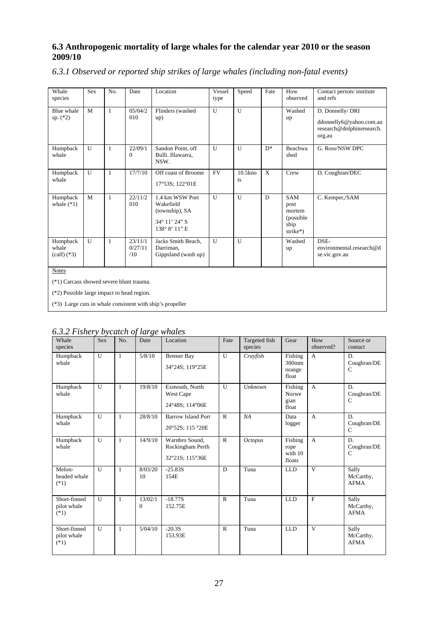### **6.3 Anthropogenic mortality of large whales for the calendar year 2010 or the season 2009/10**

*6.3.1 Observed or reported ship strikes of large whales (including non-fatal events)* 

| Whale<br>species                             | <b>Sex</b>   | No.          | Date                      | Location                                                                         | Vessel<br>type | Speed            | Fate         | How<br>observed                                                | Contact person/institute<br>and refs                                               |
|----------------------------------------------|--------------|--------------|---------------------------|----------------------------------------------------------------------------------|----------------|------------------|--------------|----------------------------------------------------------------|------------------------------------------------------------------------------------|
| Blue whale<br>sp. $(*2)$                     | M            | $\mathbf{1}$ | 0.5/0.4/2<br>010          | Flinders (washed<br>up)                                                          | $\overline{U}$ | U                |              | Washed<br>up                                                   | D. Donnelly/ DRI<br>ddonnelly6@yahoo.com.au<br>research@dolphinresearch.<br>org.au |
| Humpback<br>whale                            | $\mathbf{U}$ | $\mathbf{1}$ | 22/09/1<br>$\Omega$       | Sandon Point, off<br>Bulli. Illawarra,<br>NSW.                                   | U              | U                | $D^*$        | Beachwa<br>shed                                                | G. Ross/NSW DPC                                                                    |
| Humpback<br>whale                            | U            | $\mathbf{1}$ | 17/7/10                   | Off coast of Broome<br>17°53S; 122°01E                                           | <b>FV</b>      | $10.5$ kno<br>ts | $\mathbf{X}$ | Crew                                                           | D. Coughran/DEC                                                                    |
| Humpback<br>whale $(*1)$                     | M            | $\mathbf{1}$ | 22/11/2<br>010            | 1.4 km WSW Port<br>Wakefield<br>(township), SA<br>34° 11' 24" S<br>138° 8' 11" E | U              | U                | D            | <b>SAM</b><br>post<br>mortem<br>(possible)<br>ship<br>strike*) | C. Kemper,/SAM                                                                     |
| Humpback<br>whale<br>$\text{(calf)}$ (*3)    | U            | $\mathbf{1}$ | 23/11/1<br>0/27/11<br>/10 | Jacks Smith Beach,<br>Darriman.<br>Gippsland (wash up)                           | $\overline{U}$ | U                |              | Washed<br>up                                                   | DSE-<br>environmental.research@d<br>se.vic.gov.au                                  |
| <b>Notes</b>                                 |              |              |                           |                                                                                  |                |                  |              |                                                                |                                                                                    |
| (*1) Carcass showed severe blunt trauma.     |              |              |                           |                                                                                  |                |                  |              |                                                                |                                                                                    |
| $(*2)$ Possible large impact to head region. |              |              |                           |                                                                                  |                |                  |              |                                                                |                                                                                    |
|                                              |              |              |                           | (*3) Large cuts in whale consistent with ship's propeller                        |                |                  |              |                                                                |                                                                                    |

| Whale<br>species                      | <b>Sex</b>     | No.          | $\sim$ ) centers $\sim$ ) center $\sim$<br>Date | Location                                              | Fate           | Targeted fish<br>species | Gear                                 | How<br>observed? | Source or<br>contact               |
|---------------------------------------|----------------|--------------|-------------------------------------------------|-------------------------------------------------------|----------------|--------------------------|--------------------------------------|------------------|------------------------------------|
| Humpback<br>whale                     | U              | $\mathbf{1}$ | 5/8/10                                          | <b>Bremer Bay</b><br>34°24S; 119°25E                  | U              | Crayfish                 | Fishing<br>300mm<br>orange<br>float  | $\mathbf{A}$     | D.<br>Coughran/DE<br>$\mathcal{C}$ |
| Humpback<br>whale                     | U              | $\mathbf{1}$ | 19/8/10                                         | Exmouth, North<br>West Cape<br>24°48S: 114°06E        | $\overline{U}$ | Unknown                  | Fishing<br>Norwe<br>gian<br>float    | $\mathbf{A}$     | D.<br>Coughran/DE<br>$\mathcal{C}$ |
| Humpback<br>whale                     | U              | $\mathbf{1}$ | 28/8/10                                         | <b>Barrow Island Port</b><br>20°52S; 115 °20E         | $\mathbf{R}$   | NA                       | Data<br>logger                       | $\overline{A}$   | D.<br>Coughran/DE<br>$\mathcal{C}$ |
| Humpback<br>whale                     | U              | $\mathbf{1}$ | 14/9/10                                         | Warnbro Sound,<br>Rockingham Perth<br>32°21S; 115°36E | $\mathbf{R}$   | <i>Octopus</i>           | Fishing<br>rope<br>with 10<br>floats | $\mathbf{A}$     | D.<br>Coughran/DE<br>$\mathcal{C}$ |
| Melon-<br>headed whale<br>$(*1)$      | $\overline{U}$ | $\mathbf{1}$ | 8/03/20<br>10                                   | $-25.83S$<br>154E                                     | D              | Tuna                     | <b>LLD</b>                           | $\overline{V}$   | Sally<br>McCarthy,<br><b>AFMA</b>  |
| Short-finned<br>pilot whale<br>$(*1)$ | $\overline{U}$ | $\mathbf{1}$ | 13/02/1<br>$\overline{0}$                       | $-18.77S$<br>152.75E                                  | $\mathsf{R}$   | Tuna                     | <b>LLD</b>                           | $\mathbf{F}$     | Sally<br>McCarthy,<br><b>AFMA</b>  |
| Short-finned<br>pilot whale<br>$(*1)$ | $\overline{U}$ | $\mathbf{1}$ | 5/04/10                                         | $-20.3S$<br>153.93E                                   | $\mathsf{R}$   | Tuna                     | <b>LLD</b>                           | $\mathbf{V}$     | Sally<br>McCarthy,<br><b>AFMA</b>  |

| 6.3.2 Fishery bycatch of large whales |  |  |
|---------------------------------------|--|--|
|                                       |  |  |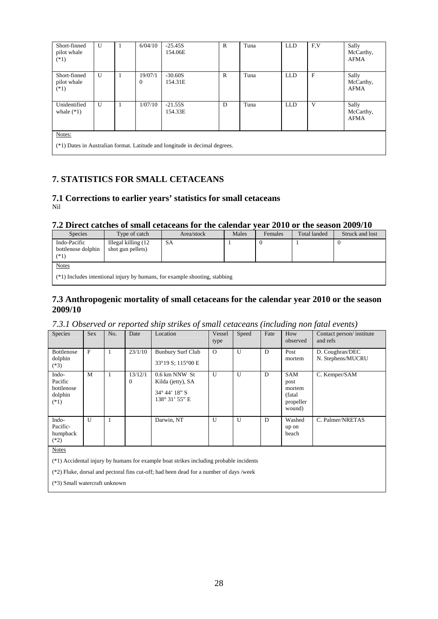| Short-finned<br>pilot whale<br>$(*1)$ | $\mathbf{U}$                                                                  | 1 | 6/04/10                 | $-25.45S$<br>154.06E | R            | Tuna | <b>LLD</b> | F,V          | Sally<br>McCarthy,<br><b>AFMA</b> |  |  |
|---------------------------------------|-------------------------------------------------------------------------------|---|-------------------------|----------------------|--------------|------|------------|--------------|-----------------------------------|--|--|
| Short-finned<br>pilot whale<br>$(*1)$ | $\mathbf{U}$                                                                  | 1 | 19/07/1<br>$\mathbf{0}$ | $-30.60S$<br>154.31E | $\mathsf{R}$ | Tuna | <b>LLD</b> | $\mathbf{F}$ | Sally<br>McCarthy,<br><b>AFMA</b> |  |  |
| Unidentified<br>whale $(*1)$          | $\mathbf{U}$                                                                  | 1 | 1/07/10                 | $-21.55S$<br>154.33E | D            | Tuna | <b>LLD</b> | V            | Sally<br>McCarthy,<br><b>AFMA</b> |  |  |
| Notes:                                | $(*1)$ Dates in Australian format. Latitude and longitude in decimal degrees. |   |                         |                      |              |      |            |              |                                   |  |  |

### **7. STATISTICS FOR SMALL CETACEANS**

### **7.1 Corrections to earlier years' statistics for small cetaceans**  Nil

### **7.2 Direct catches of small cetaceans for the calendar year 2010 or the season 2009/10**

| <b>Species</b>                               | Type of catch                                                                | Area/stock | Males | Females | <b>Total landed</b> | Struck and lost |  |  |  |  |  |
|----------------------------------------------|------------------------------------------------------------------------------|------------|-------|---------|---------------------|-----------------|--|--|--|--|--|
| Indo-Pacific<br>bottlenose dolphin<br>$(*1)$ | Illegal killing (12<br>shot gun pellets)                                     | SА         |       |         |                     |                 |  |  |  |  |  |
| <b>Notes</b>                                 | $(*1)$ Includes intentional injury by humans, for example shooting, stabbing |            |       |         |                     |                 |  |  |  |  |  |

### **7.3 Anthropogenic mortality of small cetaceans for the calendar year 2010 or the season 2009/10**

### *7.3.1 Observed or reported ship strikes of small cetaceans (including non fatal events)*

| Species                                             | Sex | No. | Date                      | Location                                                                        | Vessel<br>type | Speed | Fate | How<br>observed                                                | Contact person/institute<br>and refs |
|-----------------------------------------------------|-----|-----|---------------------------|---------------------------------------------------------------------------------|----------------|-------|------|----------------------------------------------------------------|--------------------------------------|
| Bottlenose<br>dolphin<br>$(*3)$                     | F   |     | 23/1/10                   | <b>Bunbury Surf Club</b><br>33°19 S; 115°00 E                                   | $\Omega$       | U     | D    | Post<br>mortem                                                 | D. Coughran/DEC<br>N. Stephens/MUCRU |
| Indo-<br>Pacific<br>bottlenose<br>dolphin<br>$(*1)$ | M   |     | 13/12/1<br>$\overline{0}$ | 0.6 km NNW St<br>Kilda (jetty), SA<br>$34^{\circ} 44' 18'' S$<br>138° 31' 55" E | U              | U     | D    | <b>SAM</b><br>post<br>mortem<br>(fatal)<br>propeller<br>wound) | C. Kemper/SAM                        |
| Indo-<br>Pacific-<br>humpback<br>$(*2)$             | U   |     |                           | Darwin, NT                                                                      | $\mathbf{U}$   | U     | D    | Washed<br>up on<br>beach                                       | C. Palmer/NRETAS                     |

Notes

(\*1) Accidental injury by humans for example boat strikes including probable incidents

(\*2) Fluke, dorsal and pectoral fins cut-off; had been dead for a number of days /week

(\*3) Small watercraft unknown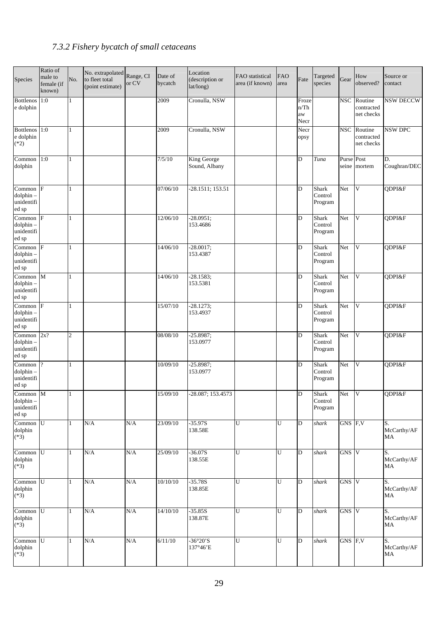## *7.3.2 Fishery bycatch of small cetaceans*

| Species                                           | Ratio of<br>male to<br>female (if<br>known) | No.            | No. extrapolated<br>to fleet total<br>(point estimate) | Range, CI<br>or CV | Date of<br>bycatch | Location<br>(description or<br>lat/long) | FAO statistical<br>area (if known) | <b>FAO</b><br>area | Fate                          | Targeted<br>species                | Gear           | How<br>observed?                    | Source or<br>contact    |
|---------------------------------------------------|---------------------------------------------|----------------|--------------------------------------------------------|--------------------|--------------------|------------------------------------------|------------------------------------|--------------------|-------------------------------|------------------------------------|----------------|-------------------------------------|-------------------------|
| Bottlenos 1:0<br>e dolphin                        |                                             |                |                                                        |                    | 2009               | Cronulla, NSW                            |                                    |                    | Froze<br>$n$ Th<br>aw<br>Necr |                                    | <b>NSC</b>     | Routine<br>contracted<br>net checks | <b>NSW DECCW</b>        |
| Bottlenos 1:0<br>e dolphin<br>$(*2)$              |                                             | 1              |                                                        |                    | 2009               | Cronulla, NSW                            |                                    |                    | Necr<br>opsy                  |                                    | <b>NSC</b>     | Routine<br>contracted<br>net checks | NSW DPC                 |
| Common $1:0$<br>dolphin                           |                                             | 1              |                                                        |                    | 7/5/10             | <b>King George</b><br>Sound, Albany      |                                    |                    | D                             | Tuna                               | Purse<br>seine | Post<br>mortem                      | D.<br>Coughran/DEC      |
| Common F<br>dolphin-<br>unidentifi<br>ed sp       |                                             |                |                                                        |                    | 07/06/10           | -28.1511; 153.51                         |                                    |                    | D                             | Shark<br>Control<br>Program        | Net            | V                                   | QDPI&F                  |
| Common F<br>dolphin-<br>unidentifi<br>ed sp       |                                             | 1              |                                                        |                    | 12/06/10           | $-28.0951;$<br>153.4686                  |                                    |                    | D                             | Shark<br>Control<br>Program        | Net            | V                                   | QDPI&F                  |
| Common F<br>dolphin-<br>unidentifi<br>ed sp       |                                             |                |                                                        |                    | 14/06/10           | $-28.0017;$<br>153.4387                  |                                    |                    | D                             | <b>Shark</b><br>Control<br>Program | Net            | $\mathbf{V}$                        | QDPI&F                  |
| Common M<br>dolphin-<br>unidentifi<br>ed sp       |                                             |                |                                                        |                    | 14/06/10           | $-28.1583;$<br>153.5381                  |                                    |                    | D                             | Shark<br>Control<br>Program        | Net            | $\mathbf{V}$                        | QDPI&F                  |
| Common F<br>dolphin-<br>unidentifi<br>ed sp       |                                             | 1              |                                                        |                    | 15/07/10           | $-28.1273;$<br>153.4937                  |                                    |                    | D                             | Shark<br>Control<br>Program        | Net            | $\mathbf V$                         | QDPI&F                  |
| Common $2x$ ?<br>dolphin-<br>unidentifi<br>ed sp  |                                             | $\mathfrak{2}$ |                                                        |                    | 08/08/10           | $-25.8987;$<br>153.0977                  |                                    |                    | D                             | Shark<br>Control<br>Program        | Net            | V                                   | QDPI&F                  |
| Common<br>dolphin-<br>unidentifi<br>ed sp         | $\mathcal{P}$                               |                |                                                        |                    | 10/09/10           | $-25.8987;$<br>153.0977                  |                                    |                    | D                             | Shark<br>Control<br>Program        | Net            | V                                   | QDPI&F                  |
| Common M<br>$d$ olphin $-$<br>unidentifi<br>ed sp |                                             | $\mathbf{1}$   |                                                        |                    | 15/09/10           | -28.087; 153.4573                        |                                    |                    | D                             | Shark<br>Control<br>Program        | Net            | <b>V</b>                            | QDPI&F                  |
| Common U<br>dolphin<br>$(*3)$                     |                                             | 1              | N/A                                                    | N/A                | 23/09/10           | $-35.97S$<br>138.58E                     | U                                  | U                  | $\overline{D}$                | shark                              | GNS F,V        |                                     | S.<br>McCarthy/AF<br>MA |
| $Common$ $U$<br>dolphin<br>$(*3)$                 |                                             | 1              | N/A                                                    | $\rm N/A$          | 25/09/10           | $-36.07S$<br>138.55E                     | U                                  | U                  | $\overline{D}$                | shark                              | GNS V          |                                     | S.<br>McCarthy/AF<br>MA |
| $Common$ $U$<br>dolphin<br>$(*3)$                 |                                             |                | $\rm N/A$                                              | $\rm N/A$          | 10/10/10           | $-35.78S$<br>138.85E                     | U                                  | $\overline{U}$     | D                             | shark                              | GNS V          |                                     | S.<br>McCarthy/AF<br>MA |
| $Common$ $U$<br>dolphin<br>$(*3)$                 |                                             |                | N/A                                                    | N/A                | 14/10/10           | $-35.85S$<br>138.87E                     | U                                  | U                  | $\mathbf D$                   | shark                              | GNS V          |                                     | S.<br>McCarthy/AF<br>MA |
| Common U<br>dolphin<br>$(*3)$                     |                                             | 1              | N/A                                                    | N/A                | 6/11/10            | $-36^{\circ}20^{\prime}S$<br>137°46'E    | U                                  | $\overline{U}$     | $\overline{D}$                | shark                              | GNS F,V        |                                     | S.<br>McCarthy/AF<br>MA |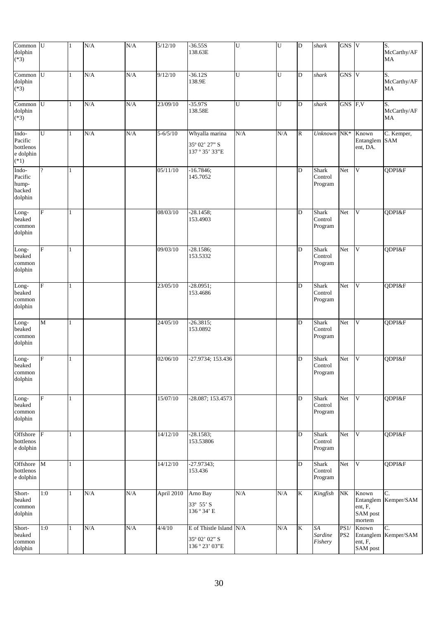| Common U<br>dolphin<br>$(*3)$                        |                          | $\mathbf{1}$ | N/A | N/A | $\sqrt{5/12/10}$ | $-36.55S$<br>138.63E                                      | U   | U         | D                  | shark                              | $GNS$ V                 |                                                     | S.<br>McCarthy/AF<br>MA    |
|------------------------------------------------------|--------------------------|--------------|-----|-----|------------------|-----------------------------------------------------------|-----|-----------|--------------------|------------------------------------|-------------------------|-----------------------------------------------------|----------------------------|
| Common<br>dolphin<br>$(*3)$                          | U                        | $\mathbf{1}$ | N/A | N/A | 9/12/10          | $-36.12S$<br>138.9E                                       | U   | U         | D                  | shark                              | GNS V                   |                                                     | S.<br>McCarthy/AF<br>MA    |
| Common<br>dolphin<br>$(*3)$                          | U                        | $\mathbf{1}$ | N/A | N/A | 23/09/10         | $-35.97S$<br>138.58E                                      | U   | ${\bf U}$ | D                  | shark                              | GNS F,V                 |                                                     | S.<br>McCarthy/AF<br>MA    |
| Indo-<br>Pacific<br>bottlenos<br>e dolphin<br>$(*1)$ | U                        | 1            | N/A | N/A | $5 - 6/5/10$     | Whyalla marina<br>35° 02' 27" S<br>137°35'33"E            | N/A | N/A       | ${\bf R}$          | Unknown NK*                        |                         | Known<br>Entanglem<br>ent, DA.                      | C. Kemper,<br><b>SAM</b>   |
| Indo-<br>Pacific<br>hump-<br>backed<br>dolphin       | $\overline{\mathcal{L}}$ | $\mathbf{1}$ |     |     | 05/11/10         | $-16.7846;$<br>145.7052                                   |     |           | D                  | <b>Shark</b><br>Control<br>Program | Net                     | V                                                   | QDPI&F                     |
| Long-<br>beaked<br>common<br>dolphin                 | F                        | $\mathbf{1}$ |     |     | 08/03/10         | $-28.1458;$<br>153.4903                                   |     |           | D                  | Shark<br>Control<br>Program        | Net                     | V                                                   | QDPI&F                     |
| Long-<br>beaked<br>common<br>dolphin                 | F                        | 1            |     |     | 09/03/10         | $-28.1586;$<br>153.5332                                   |     |           | D                  | <b>Shark</b><br>Control<br>Program | Net                     | V                                                   | QDPI&F                     |
| Long-<br>beaked<br>common<br>dolphin                 | F                        | $\mathbf{1}$ |     |     | 23/05/10         | $-28.0951;$<br>153.4686                                   |     |           | D                  | Shark<br>Control<br>Program        | Net                     | $\mathbf{V}$                                        | QDPI&F                     |
| Long-<br>beaked<br>common<br>dolphin                 | $\overline{\mathbf{M}}$  | $\mathbf{1}$ |     |     | 24/05/10         | $-26.3815;$<br>153.0892                                   |     |           | D                  | Shark<br>Control<br>Program        | Net                     | V                                                   | QDPI&F                     |
| Long-<br>beaked<br>common<br>dolphin                 | F                        | 1            |     |     | 02/06/10         | $-27.9734; 153.436$                                       |     |           | D                  | Shark<br>Control<br>Program        | Net                     | V                                                   | QDPI&F                     |
| Long-<br>beaked<br>common<br>dolphin                 | F                        | 1            |     |     | 15/07/10         | -28.087; 153.4573                                         |     |           | D                  | Shark<br>Control<br>Program        | Net                     | $\mathbf{V}$                                        | QDPI&F                     |
| Offshore<br>bottlenos<br>e dolphin                   | $\overline{F}$           | $\mathbf{1}$ |     |     | 14/12/10         | $-28.1583;$<br>153.53806                                  |     |           | D                  | <b>Shark</b><br>Control<br>Program | Net                     | V                                                   | QDPI&F                     |
| Offshore<br>bottlenos<br>e dolphin                   | $\mathbf{M}$             | $\mathbf{1}$ |     |     | 14/12/10         | $-27.97343;$<br>153.436                                   |     |           | D                  | <b>Shark</b><br>Control<br>Program | Net                     | $\mathbf{V}$                                        | QDPI&F                     |
| Short-<br>beaked<br>common<br>dolphin                | 1:0                      | $\mathbf{1}$ | N/A | N/A | April 2010       | Arno Bay<br>33° 55' S<br>136°34' E                        | N/A | N/A       | $\bf K$            | Kingfish                           | $\rm{NK}$               | Known<br>Entanglem<br>ent, F,<br>SAM post<br>mortem | C.<br>Kemper/SAM           |
| Short-<br>beaked<br>common<br>dolphin                | 1:0                      | $\mathbf{1}$ | N/A | N/A | 4/4/10           | E of Thistle Island N/A<br>35° 02' 02" S<br>136° 23' 03"E |     | N/A       | $\overline{\rm K}$ | SA<br>Sardine<br>Fishery           | PS1/<br>PS <sub>2</sub> | Known<br>ent, F,<br>SAM post                        | C.<br>Entanglem Kemper/SAM |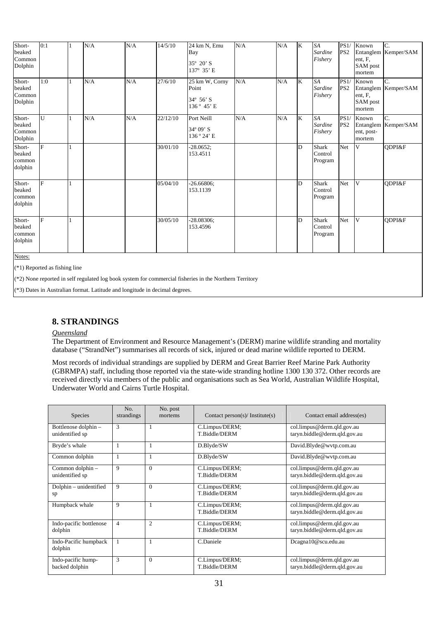| Short-<br>beaked<br>Common<br>Dolphin | 0:1                             | 1            | N/A | N/A | 14/5/10              | 24 km N, Emu<br>Bay<br>35° 20' S<br>137° 35' E     | N/A | N/A | K                       | SA<br>Sardine<br>Fishery           | PS1/<br>PS <sub>2</sub> | Known<br>ent, F,<br>SAM post<br>mortem | C.<br>Entanglem Kemper/SAM |
|---------------------------------------|---------------------------------|--------------|-----|-----|----------------------|----------------------------------------------------|-----|-----|-------------------------|------------------------------------|-------------------------|----------------------------------------|----------------------------|
| Short-<br>beaked<br>Common<br>Dolphin | 1:0                             | $\mathbf{1}$ | N/A | N/A | 27/6/10              | 25 km W, Corny<br>Point<br>34° 56' S<br>136° 45' E | N/A | N/A | $\overline{\mathbf{K}}$ | <b>SA</b><br>Sardine<br>Fishery    | PS1/<br>PS <sub>2</sub> | Known<br>ent, F,<br>SAM post<br>mortem | C.<br>Entanglem Kemper/SAM |
| Short-<br>beaked<br>Common<br>Dolphin | U                               | 1            | N/A | N/A | 22/12/10             | Port Neill<br>$34^{\circ}09'$ S<br>136°24'E        | N/A | N/A | K                       | <b>SA</b><br>Sardine<br>Fishery    | PS1/<br>PS <sub>2</sub> | Known<br>ent, post-<br>mortem          | C.<br>Entanglem Kemper/SAM |
| Short-<br>beaked<br>common<br>dolphin | F                               | 1            |     |     | $\frac{1}{30}/01/10$ | $-28.0652;$<br>153.4511                            |     |     | D                       | <b>Shark</b><br>Control<br>Program | Net                     | V                                      | QDPI&F                     |
| Short-<br>beaked<br>common<br>dolphin | F                               | 1            |     |     | 05/04/10             | $-26.66806;$<br>153.1139                           |     |     | D                       | <b>Shark</b><br>Control<br>Program | Net                     | V                                      | ODPI&F                     |
| Short-<br>beaked<br>common<br>dolphin | F                               | 1            |     |     | 30/05/10             | $-28.08306;$<br>153.4596                           |     |     | D                       | <b>Shark</b><br>Control<br>Program | Net                     | V                                      | ODPI&F                     |
| Notes:                                | $(*1)$ Reported as fishing line |              |     |     |                      |                                                    |     |     |                         |                                    |                         |                                        |                            |

(\*2) None reported in self regulated log book system for commercial fisheries in the Northern Territory

(\*3) Dates in Australian format. Latitude and longitude in decimal degrees.

### **8. STRANDINGS**

### *Queensland*

The Department of Environment and Resource Management's (DERM) marine wildlife stranding and mortality database ("StrandNet") summarises all records of sick, injured or dead marine wildlife reported to DERM.

Most records of individual strandings are supplied by DERM and Great Barrier Reef Marine Park Authority (GBRMPA) staff, including those reported via the state-wide stranding hotline 1300 130 372. Other records are received directly via members of the public and organisations such as Sea World, Australian Wildlife Hospital, Underwater World and Cairns Turtle Hospital.

| <b>Species</b>                          | No.<br>strandings | No. post<br>mortems | Contact person(s)/ Institute(s) | Contact email address(es)                                  |
|-----------------------------------------|-------------------|---------------------|---------------------------------|------------------------------------------------------------|
| Bottlenose dolphin -<br>unidentified sp | 3                 |                     | C.Limpus/DERM;<br>T.Biddle/DERM | col.limpus@derm.qld.gov.au<br>taryn.biddle@derm.qld.gov.au |
| Bryde's whale                           | 1                 | 1                   | D.Blyde/SW                      | David.Blyde@wvtp.com.au                                    |
| Common dolphin                          | 1                 | 1                   | D.Blyde/SW                      | David.Blyde@wvtp.com.au                                    |
| Common dolphin -<br>unidentified sp     | 9                 | $\Omega$            | C.Limpus/DERM;<br>T.Biddle/DERM | col.limpus@derm.qld.gov.au<br>taryn.biddle@derm.qld.gov.au |
| Dolphin - unidentified<br>sp            | 9                 | $\Omega$            | C.Limpus/DERM;<br>T.Biddle/DERM | col.limpus@derm.qld.gov.au<br>taryn.biddle@derm.qld.gov.au |
| Humpback whale                          | 9                 | 1                   | C.Limpus/DERM;<br>T.Biddle/DERM | col.limpus@derm.qld.gov.au<br>taryn.biddle@derm.qld.gov.au |
| Indo-pacific bottlenose<br>dolphin      | $\overline{4}$    | $\overline{c}$      | C.Limpus/DERM;<br>T.Biddle/DERM | col.limpus@derm.qld.gov.au<br>taryn.biddle@derm.qld.gov.au |
| Indo-Pacific humpback<br>dolphin        | $\mathbf{1}$      |                     | C.Daniele                       | Dcagna10@scu.edu.au                                        |
| Indo-pacific hump-<br>backed dolphin    | 3                 | $\Omega$            | C.Limpus/DERM;<br>T.Biddle/DERM | col.limpus@derm.qld.gov.au<br>taryn.biddle@derm.qld.gov.au |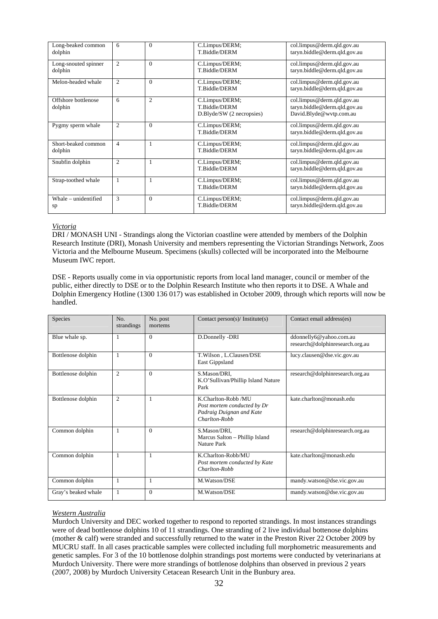| Long-beaked common<br>dolphin   | 6              | $\Omega$       | C.Limpus/DERM;<br>T.Biddle/DERM                              | col.limpus@derm.qld.gov.au<br>taryn.biddle@derm.qld.gov.au                            |
|---------------------------------|----------------|----------------|--------------------------------------------------------------|---------------------------------------------------------------------------------------|
| Long-snouted spinner<br>dolphin | $\mathfrak{2}$ | $\Omega$       | C.Limpus/DERM;<br>T.Biddle/DERM                              | col.limpus@derm.qld.gov.au<br>taryn.biddle@derm.qld.gov.au                            |
| Melon-headed whale              | $\overline{2}$ | $\Omega$       | C.Limpus/DERM;<br>T.Biddle/DERM                              | col.limpus@derm.qld.gov.au<br>taryn.biddle@derm.qld.gov.au                            |
| Offshore bottlenose<br>dolphin  | 6              | $\overline{2}$ | C.Limpus/DERM;<br>T.Biddle/DERM<br>D.Blyde/SW (2 necropsies) | col.limpus@derm.qld.gov.au<br>taryn.biddle@derm.qld.gov.au<br>David.Blyde@wvtp.com.au |
| Pygmy sperm whale               | $\mathfrak{2}$ | $\Omega$       | C.Limpus/DERM;<br>T.Biddle/DERM                              | col.limpus@derm.qld.gov.au<br>taryn.biddle@derm.qld.gov.au                            |
| Short-beaked common<br>dolphin  | $\overline{4}$ |                | C.Limpus/DERM;<br>T.Biddle/DERM                              | col.limpus@derm.qld.gov.au<br>taryn.biddle@derm.qld.gov.au                            |
| Snubfin dolphin                 | $\mathfrak{2}$ | 1              | C.Limpus/DERM;<br>T.Biddle/DERM                              | col.limpus@derm.qld.gov.au<br>taryn.biddle@derm.qld.gov.au                            |
| Strap-toothed whale             | 1              |                | C.Limpus/DERM;<br>T.Biddle/DERM                              | col.limpus@derm.qld.gov.au<br>taryn.biddle@derm.qld.gov.au                            |
| Whale – unidentified<br>sp      | 3              | $\Omega$       | C.Limpus/DERM;<br>T.Biddle/DERM                              | col.limpus@derm.qld.gov.au<br>taryn.biddle@derm.qld.gov.au                            |

#### *Victoria*

DRI / MONASH UNI - Strandings along the Victorian coastline were attended by members of the Dolphin Research Institute (DRI), Monash University and members representing the Victorian Strandings Network, Zoos Victoria and the Melbourne Museum. Specimens (skulls) collected will be incorporated into the Melbourne Museum IWC report.

DSE - Reports usually come in via opportunistic reports from local land manager, council or member of the public, either directly to DSE or to the Dolphin Research Institute who then reports it to DSE. A Whale and Dolphin Emergency Hotline (1300 136 017) was established in October 2009, through which reports will now be handled.

| Species             | No.<br>strandings | No. post<br>mortems | Contact person(s)/ Institute(s)                                                                 | Contact email address(es)                                  |
|---------------------|-------------------|---------------------|-------------------------------------------------------------------------------------------------|------------------------------------------------------------|
| Blue whale sp.      | 1                 | $\Omega$            | D.Donnelly -DRI                                                                                 | ddonnelly6@yahoo.com.au<br>research@dolphinresearch.org.au |
| Bottlenose dolphin  | 1                 | $\Omega$            | T.Wilson, L.Clausen/DSE<br>East Gippsland                                                       | lucy.clausen@dse.vic.gov.au                                |
| Bottlenose dolphin  | $\mathfrak{2}$    | $\Omega$            | S.Mason/DRI.<br>K.O'Sullivan/Phillip Island Nature<br>Park                                      | research@dolphinresearch.org.au                            |
| Bottlenose dolphin  | $\overline{2}$    | 1                   | K.Charlton-Robb /MU<br>Post mortem conducted by Dr<br>Padraig Duignan and Kate<br>Charlton-Robb | kate.charlton@monash.edu                                   |
| Common dolphin      | 1                 | $\Omega$            | S.Mason/DRI,<br>Marcus Salton - Phillip Island<br>Nature Park                                   | research@dolphinresearch.org.au                            |
| Common dolphin      | 1                 | $\mathbf{1}$        | K.Charlton-Robb/MU<br>Post mortem conducted by Kate<br>Charlton-Robb                            | kate.charlton@monash.edu                                   |
| Common dolphin      | 1                 | 1                   | M.Watson/DSE                                                                                    | mandy.watson@dse.vic.gov.au                                |
| Gray's beaked whale | 1                 | $\Omega$            | M.Watson/DSE                                                                                    | mandy.watson@dse.vic.gov.au                                |

### *Western Australia*

Murdoch University and DEC worked together to respond to reported strandings. In most instances strandings were of dead bottlenose dolphins 10 of 11 strandings. One stranding of 2 live individual bottenose dolphins (mother & calf) were stranded and successfully returned to the water in the Preston River 22 October 2009 by MUCRU staff. In all cases practicable samples were collected including full morphometric measurements and genetic samples. For 3 of the 10 bottlenose dolphin strandings post mortems were conducted by veterinarians at Murdoch University. There were more strandings of bottlenose dolphins than observed in previous 2 years (2007, 2008) by Murdoch University Cetacean Research Unit in the Bunbury area.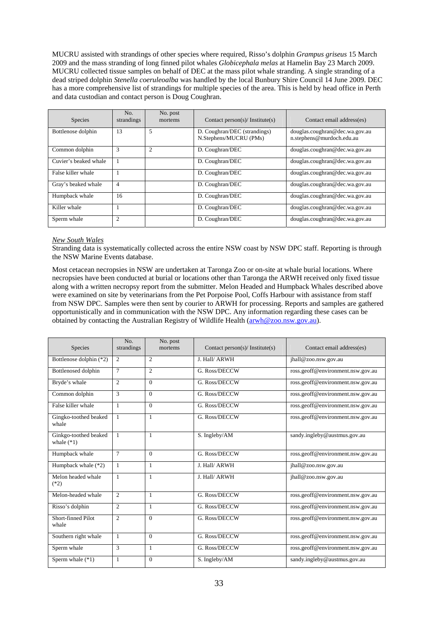MUCRU assisted with strandings of other species where required, Risso's dolphin *Grampus griseus* 15 March 2009 and the mass stranding of long finned pilot whales *Globicephala melas* at Hamelin Bay 23 March 2009. MUCRU collected tissue samples on behalf of DEC at the mass pilot whale stranding. A single stranding of a dead striped dolphin *Stenella coeruleoalba* was handled by the local Bunbury Shire Council 14 June 2009. DEC has a more comprehensive list of strandings for multiple species of the area. This is held by head office in Perth and data custodian and contact person is Doug Coughran.

| Species               | No.<br>strandings | No. post<br>mortems | Contact person(s)/ Institute(s)                        | Contact email address(es)                                   |
|-----------------------|-------------------|---------------------|--------------------------------------------------------|-------------------------------------------------------------|
| Bottlenose dolphin    | 13                | 5                   | D. Coughran/DEC (strandings)<br>N.Stephens/MUCRU (PMs) | douglas.coughran@dec.wa.gov.au<br>n.stephens@murdoch.edu.au |
| Common dolphin        | 3                 | $\overline{c}$      | D. Coughran/DEC                                        | douglas.coughran@dec.wa.gov.au                              |
| Cuvier's beaked whale |                   |                     | D. Coughran/DEC                                        | douglas.coughran@dec.wa.gov.au                              |
| False killer whale    |                   |                     | D. Coughran/DEC                                        | douglas.coughran@dec.wa.gov.au                              |
| Gray's beaked whale   | $\overline{4}$    |                     | D. Coughran/DEC                                        | douglas.coughran@dec.wa.gov.au                              |
| Humpback whale        | 16                |                     | D. Coughran/DEC                                        | douglas.coughran@dec.wa.gov.au                              |
| Killer whale          |                   |                     | D. Coughran/DEC                                        | douglas.coughran@dec.wa.gov.au                              |
| Sperm whale           | $\overline{c}$    |                     | D. Coughran/DEC                                        | douglas.coughran@dec.wa.gov.au                              |

#### *New South Wales*

Stranding data is systematically collected across the entire NSW coast by NSW DPC staff. Reporting is through the NSW Marine Events database.

Most cetacean necropsies in NSW are undertaken at Taronga Zoo or on-site at whale burial locations. Where necropsies have been conducted at burial or locations other than Taronga the ARWH received only fixed tissue along with a written necropsy report from the submitter. Melon Headed and Humpback Whales described above were examined on site by veterinarians from the Pet Porpoise Pool, Coffs Harbour with assistance from staff from NSW DPC. Samples were then sent by courier to ARWH for processing. Reports and samples are gathered opportunistically and in communication with the NSW DPC. Any information regarding these cases can be obtained by contacting the Australian Registry of Wildlife Health (arwh@zoo.nsw.gov.au).

| <b>Species</b>                        | No.<br>strandings | No. post<br>mortems | Contact person(s)/ Institute(s) | Contact email address(es)         |
|---------------------------------------|-------------------|---------------------|---------------------------------|-----------------------------------|
| Bottlenose dolphin (*2)               | $\overline{2}$    | $\mathfrak{2}$      | J. Hall/ ARWH                   | jhall@zoo.nsw.gov.au              |
| Bottlenosed dolphin                   | 7                 | $\overline{2}$      | G. Ross/DECCW                   | ross.geoff@environment.nsw.gov.au |
| Bryde's whale                         | $\overline{c}$    | $\Omega$            | G. Ross/DECCW                   | ross.geoff@environment.nsw.gov.au |
| Common dolphin                        | 3                 | $\Omega$            | G. Ross/DECCW                   | ross.geoff@environment.nsw.gov.au |
| False killer whale                    | 1                 | $\Omega$            | G. Ross/DECCW                   | ross.geoff@environment.nsw.gov.au |
| Gingko-toothed beaked<br>whale        | 1                 | 1                   | G. Ross/DECCW                   | ross.geoff@environment.nsw.gov.au |
| Ginkgo-toothed beaked<br>whale $(*1)$ | $\mathbf{1}$      | 1                   | S. Ingleby/AM                   | sandy.ingleby@austmus.gov.au      |
| Humpback whale                        | 7                 | $\Omega$            | G. Ross/DECCW                   | ross.geoff@environment.nsw.gov.au |
| Humpback whale (*2)                   | $\mathbf{1}$      | 1                   | J. Hall/ ARWH                   | jhall@zoo.nsw.gov.au              |
| Melon headed whale<br>$(*2)$          | 1                 | 1                   | J. Hall/ ARWH                   | jhall@zoo.nsw.gov.au              |
| Melon-headed whale                    | $\overline{c}$    | $\mathbf{1}$        | G. Ross/DECCW                   | ross.geoff@environment.nsw.gov.au |
| Risso's dolphin                       | $\overline{c}$    | 1                   | G. Ross/DECCW                   | ross.geoff@environment.nsw.gov.au |
| Short-finned Pilot<br>whale           | $\overline{c}$    | $\Omega$            | G. Ross/DECCW                   | ross.geoff@environment.nsw.gov.au |
| Southern right whale                  | 1                 | $\Omega$            | G. Ross/DECCW                   | ross.geoff@environment.nsw.gov.au |
| Sperm whale                           | $\mathcal{R}$     | $\mathbf{1}$        | G. Ross/DECCW                   | ross.geoff@environment.nsw.gov.au |
| Sperm whale (*1)                      | 1                 | $\Omega$            | S. Ingleby/AM                   | sandy.ingleby@austmus.gov.au      |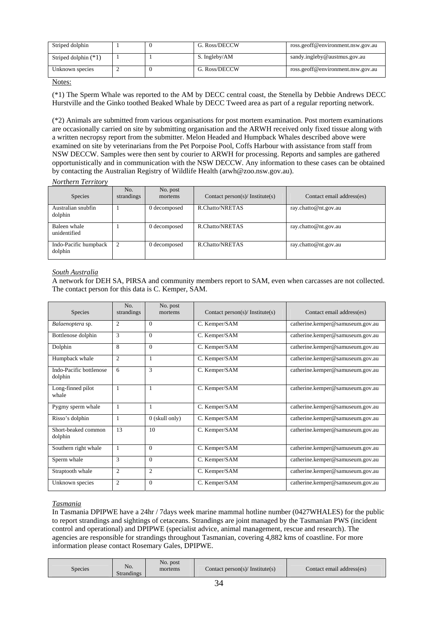| Striped dolphin        |  | G. Ross/DECCW | ross.geoff@environment.nsw.gov.au |
|------------------------|--|---------------|-----------------------------------|
| Striped dolphin $(*1)$ |  | S. Ingleby/AM | sandy.ingleby@austmus.gov.au      |
| Unknown species        |  | G. Ross/DECCW | ross.geoff@environment.nsw.gov.au |

(\*1) The Sperm Whale was reported to the AM by DECC central coast, the Stenella by Debbie Andrews DECC Hurstville and the Ginko toothed Beaked Whale by DECC Tweed area as part of a regular reporting network.

(\*2) Animals are submitted from various organisations for post mortem examination. Post mortem examinations are occasionally carried on site by submitting organisation and the ARWH received only fixed tissue along with a written necropsy report from the submitter. Melon Headed and Humpback Whales described above were examined on site by veterinarians from the Pet Porpoise Pool, Coffs Harbour with assistance from staff from NSW DECCW. Samples were then sent by courier to ARWH for processing. Reports and samples are gathered opportunistically and in communication with the NSW DECCW. Any information to these cases can be obtained by contacting the Australian Registry of Wildlife Health (arwh@zoo.nsw.gov.au).

*Northern Territory* 

| <b>Species</b>                   | No.<br>strandings | No. post<br>mortems | Contact person(s)/ Institute(s) | Contact email address(es) |
|----------------------------------|-------------------|---------------------|---------------------------------|---------------------------|
| Australian snubfin<br>dolphin    |                   | 0 decomposed        | R.Chatto/NRETAS                 | ray.chatto@nt.gov.au      |
| Baleen whale<br>unidentified     |                   | 0 decomposed        | R.Chatto/NRETAS                 | ray.chatto@nt.gov.au      |
| Indo-Pacific humpback<br>dolphin | 2                 | 0 decomposed        | R.Chatto/NRETAS                 | ray.chatto@nt.gov.au      |

### *South Australia*

A network for DEH SA, PIRSA and community members report to SAM, even when carcasses are not collected. The contact person for this data is C. Kemper, SAM.

| <b>Species</b>                     | No.<br>strandings | No. post<br>mortems | Contact person(s)/ Institute(s) | Contact email address(es)        |
|------------------------------------|-------------------|---------------------|---------------------------------|----------------------------------|
| Balaenoptera sp.                   | 2                 | $\Omega$            | C. Kemper/SAM                   | catherine.kemper@samuseum.gov.au |
| Bottlenose dolphin                 | 3                 | $\Omega$            | C. Kemper/SAM                   | catherine.kemper@samuseum.gov.au |
| Dolphin                            | 8                 | $\Omega$            | C. Kemper/SAM                   | catherine.kemper@samuseum.gov.au |
| Humpback whale                     | $\overline{c}$    | 1                   | C. Kemper/SAM                   | catherine.kemper@samuseum.gov.au |
| Indo-Pacific bottlenose<br>dolphin | 6                 | 3                   | C. Kemper/SAM                   | catherine.kemper@samuseum.gov.au |
| Long-finned pilot<br>whale         | 1                 | $\mathbf{1}$        | C. Kemper/SAM                   | catherine.kemper@samuseum.gov.au |
| Pygmy sperm whale                  |                   |                     | C. Kemper/SAM                   | catherine.kemper@samuseum.gov.au |
| Risso's dolphin                    | 1                 | $0$ (skull only)    | C. Kemper/SAM                   | catherine.kemper@samuseum.gov.au |
| Short-beaked common<br>dolphin     | 13                | 10                  | C. Kemper/SAM                   | catherine.kemper@samuseum.gov.au |
| Southern right whale               | 1                 | $\Omega$            | C. Kemper/SAM                   | catherine.kemper@samuseum.gov.au |
| Sperm whale                        | 3                 | $\Omega$            | C. Kemper/SAM                   | catherine.kemper@samuseum.gov.au |
| Straptooth whale                   | $\overline{2}$    | $\overline{2}$      | C. Kemper/SAM                   | catherine.kemper@samuseum.gov.au |
| Unknown species                    | $\overline{2}$    | $\Omega$            | C. Kemper/SAM                   | catherine.kemper@samuseum.gov.au |

### *Tasmania*

In Tasmania DPIPWE have a 24hr / 7days week marine mammal hotline number (0427WHALES) for the public to report strandings and sightings of cetaceans. Strandings are joint managed by the Tasmanian PWS (incident control and operational) and DPIPWE (specialist advice, animal management, rescue and research). The agencies are responsible for strandings throughout Tasmanian, covering 4,882 kms of coastline. For more information please contact Rosemary Gales, DPIPWE.

| No.<br>Species<br><b>Strandings</b> | No. post<br>mortems | Contact person(s)/ Institute(s) | Contact email address(es) |
|-------------------------------------|---------------------|---------------------------------|---------------------------|
|-------------------------------------|---------------------|---------------------------------|---------------------------|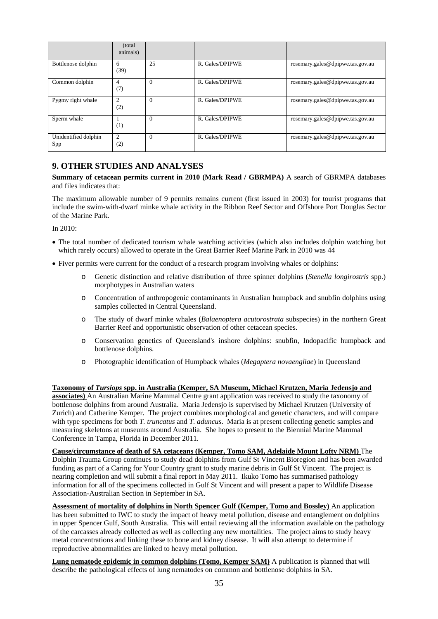|                             | (total)<br>animals)   |          |                 |                                  |
|-----------------------------|-----------------------|----------|-----------------|----------------------------------|
| Bottlenose dolphin          | 6<br>(39)             | 25       | R. Gales/DPIPWE | rosemary.gales@dpipwe.tas.gov.au |
| Common dolphin              | $\overline{4}$<br>(7) | $\Omega$ | R. Gales/DPIPWE | rosemary.gales@dpipwe.tas.gov.au |
| Pygmy right whale           | 2<br>(2)              | $\Omega$ | R. Gales/DPIPWE | rosemary.gales@dpipwe.tas.gov.au |
| Sperm whale                 | (1)                   | $\Omega$ | R. Gales/DPIPWE | rosemary.gales@dpipwe.tas.gov.au |
| Unidentified dolphin<br>Spp | $\overline{2}$<br>(2) | $\Omega$ | R. Gales/DPIPWE | rosemary.gales@dpipwe.tas.gov.au |

### **9. OTHER STUDIES AND ANALYSES**

**Summary of cetacean permits current in 2010 (Mark Read / GBRMPA)** A search of GBRMPA databases and files indicates that:

The maximum allowable number of 9 permits remains current (first issued in 2003) for tourist programs that include the swim-with-dwarf minke whale activity in the Ribbon Reef Sector and Offshore Port Douglas Sector of the Marine Park.

In 2010:

- The total number of dedicated tourism whale watching activities (which also includes dolphin watching but which rarely occurs) allowed to operate in the Great Barrier Reef Marine Park in 2010 was 44
- Fiver permits were current for the conduct of a research program involving whales or dolphins:
	- o Genetic distinction and relative distribution of three spinner dolphins (*Stenella longirostris* spp.) morphotypes in Australian waters
	- o Concentration of anthropogenic contaminants in Australian humpback and snubfin dolphins using samples collected in Central Queensland.
	- o The study of dwarf minke whales (*Balaenoptera acutorostrata* subspecies) in the northern Great Barrier Reef and opportunistic observation of other cetacean species.
	- o Conservation genetics of Queensland's inshore dolphins: snubfin, Indopacific humpback and bottlenose dolphins.
	- o Photographic identification of Humpback whales (*Megaptera novaengliae*) in Queensland

**Taxonomy of** *Tursiops* **spp. in Australia (Kemper, SA Museum, Michael Krutzen, Maria Jedensjo and associates)** An Australian Marine Mammal Centre grant application was received to study the taxonomy of bottlenose dolphins from around Australia. Maria Jedensjo is supervised by Michael Krutzen (University of Zurich) and Catherine Kemper. The project combines morphological and genetic characters, and will compare with type specimens for both *T. truncatus* and *T. aduncus*. Maria is at present collecting genetic samples and measuring skeletons at museums around Australia. She hopes to present to the Biennial Marine Mammal Conference in Tampa, Florida in December 2011.

**Cause/circumstance of death of SA cetaceans (Kemper, Tomo SAM, Adelaide Mount Lofty NRM)** The Dolphin Trauma Group continues to study dead dolphins from Gulf St Vincent Bioregion and has been awarded funding as part of a Caring for Your Country grant to study marine debris in Gulf St Vincent. The project is nearing completion and will submit a final report in May 2011. Ikuko Tomo has summarised pathology information for all of the specimens collected in Gulf St Vincent and will present a paper to Wildlife Disease Association-Australian Section in September in SA.

**Assessment of mortality of dolphins in North Spencer Gulf (Kemper, Tomo and Bossley)** An application has been submitted to IWC to study the impact of heavy metal pollution, disease and entanglement on dolphins in upper Spencer Gulf, South Australia. This will entail reviewing all the information available on the pathology of the carcasses already collected as well as collecting any new mortalities. The project aims to study heavy metal concentrations and linking these to bone and kidney disease. It will also attempt to determine if reproductive abnormalities are linked to heavy metal pollution.

**Lung nematode epidemic in common dolphins (Tomo, Kemper SAM)** A publication is planned that will describe the pathological effects of lung nematodes on common and bottlenose dolphins in SA.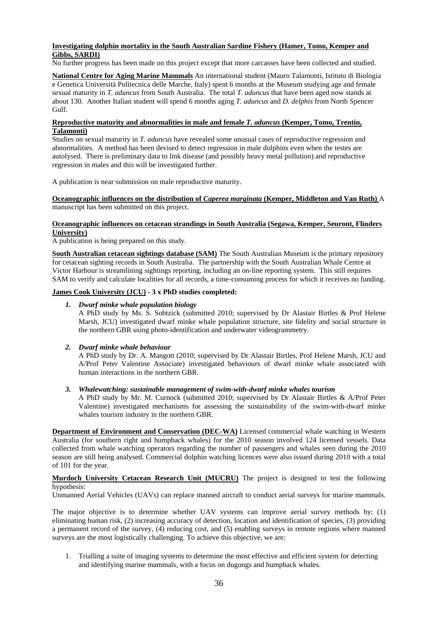#### **Investigating dolphin mortality in the South Australian Sardine Fishery (Hamer, Tomo, Kemper and Gibbs, SARDI)**

No further progress has been made on this project except that more carcasses have been collected and studied.

**National Centre for Aging Marine Mammals** An international student (Mauro Talamonti, Istituto di Biologia e Genetica Università Politecnica delle Marche, Italy) spent 6 months at the Museum studying age and female sexual maturity in *T. aduncus* from South Australia. The total *T. aduncus* that have been aged now stands at about 130. Another Italian student will spend 6 months aging *T. aduncus* and *D. delphis* from North Spencer Gulf.

### **Reproductive maturity and abnormalities in male and female** *T. aduncus* **(Kemper, Tomo, Trentin, Talamonti)**

Studies on sexual maturity in *T. aduncus* have revealed some unusual cases of reproductive regression and abnormalities. A method has been devised to detect regression in male dolphins even when the testes are autolysed. There is preliminary data to link disease (and possibly heavy metal pollution) and reproductive regression in males and this will be investigated further.

A publication is near submission on male reproductive maturity.

**Oceanographic influences on the distribution of** *Caperea marginata* **(Kemper, Middleton and Van Ruth)** A manuscript has been submitted on this project.

### **Oceanographic influences on cetacean strandings in South Australia (Segawa, Kemper, Seuront, Flinders University)**

A publication is being prepared on this study.

**South Australian cetacean sightings database (SAM)** The South Australian Museum is the primary repository for cetacean sighting records in South Australia. The partnership with the South Australian Whale Centre at Victor Harbour is streamlining sightings reporting, including an on-line reporting system. This still requires SAM to verify and calculate localities for all records, a time-consuming process for which it receives no funding.

#### **James Cook University (JCU) - 3 x PhD studies completed:**

#### *1. Dwarf minke whale population biology*

A PhD study by Ms. S. Sobtzick (submitted 2010; supervised by Dr Alastair Birtles & Prof Helene Marsh, JCU) investigated dwarf minke whale population structure, site fidelity and social structure in the northern GBR using photo-identification and underwater videogrammetry.

### *2. Dwarf minke whale behaviour*

A PhD study by Dr. A. Mangott (2010; supervised by Dr Alastair Birtles, Prof Helene Marsh, JCU and A/Prof Peter Valentine Associate) investigated behaviours of dwarf minke whale associated with human interactions in the northern GBR.

#### *3. Whalewatching: sustainable management of swim-with-dwarf minke whales tourism*

A PhD study by Mr. M. Curnock (submitted 2010; supervised by Dr Alastair Birtles & A/Prof Peter Valentine) investigated mechanisms for assessing the sustainability of the swim-with-dwarf minke whales tourism industry in the northern GBR.

**Department of Environment and Conservation (DEC-WA)** Licensed commercial whale watching in Western Australia (for southern right and humpback whales) for the 2010 season involved 124 licensed vessels. Data collected from whale watching operators regarding the number of passengers and whales seen during the 2010 season are still being analysed. Commercial dolphin watching licences were also issued during 2010 with a total of 101 for the year.

**Murdoch University Cetacean Research Unit (MUCRU)** The project is designed to test the following hypothesis:

Unmanned Aerial Vehicles (UAVs) can replace manned aircraft to conduct aerial surveys for marine mammals.

The major objective is to determine whether UAV systems can improve aerial survey methods by: (1) eliminating human risk, (2) increasing accuracy of detection, location and identification of species, (3) providing a permanent record of the survey, (4) reducing cost, and (5) enabling surveys in remote regions where manned surveys are the most logistically challenging. To achieve this objective, we are:

1. Trialling a suite of imaging systems to determine the most effective and efficient system for detecting and identifying marine mammals, with a focus on dugongs and humpback whales.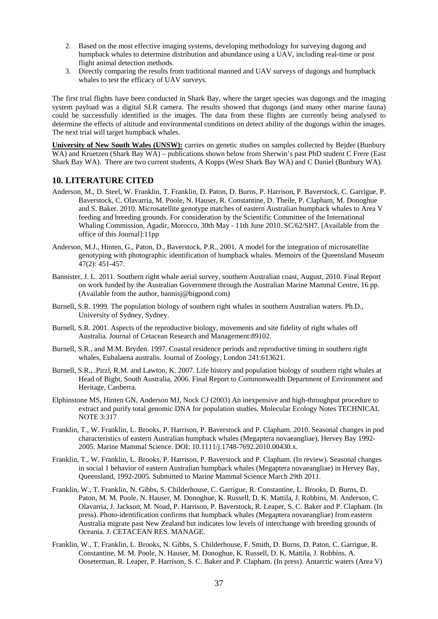- 2. Based on the most effective imaging systems, developing methodology for surveying dugong and humpback whales to determine distribution and abundance using a UAV, including real-time or post flight animal detection methods.
- 3. Directly comparing the results from traditional manned and UAV surveys of dugongs and humpback whales to test the efficacy of UAV surveys.

The first trial flights have been conducted in Shark Bay, where the target species was dugongs and the imaging system payload was a digital SLR camera. The results showed that dugongs (and many other marine fauna) could be successfully identified in the images. The data from these flights are currently being analysed to determine the effects of altitude and environmental conditions on detect ability of the dugongs within the images. The next trial will target humpback whales.

**University of New South Wales (UNSW):** carries on genetic studies on samples collected by Bejder (Bunbury WA) and Kruetzen (Shark Bay WA) – publications shown below from Sherwin's past PhD student C Frere (East Shark Bay WA). There are two current students, A Kopps (West Shark Bay WA) and C Daniel (Bunbury WA).

### **10. LITERATURE CITED**

- Anderson, M., D. Steel, W. Franklin, T. Franklin, D. Paton, D. Burns, P. Harrison, P. Baverstock, C. Garrigue, P. Baverstock, C. Olavarria, M. Poole, N. Hauser, R. Constantine, D. Theile, P. Clapham, M. Donoghue and S. Baker. 2010. Microsatellite genotype matches of eastern Australian humpback whales to Area V feeding and breeding grounds. For consideration by the Scientific Committee of the International Whaling Commission, Agadir, Morocco, 30th May - 11th June 2010. SC/62/SH7. [Available from the office of this Journal]:11pp
- Anderson, M.J., Hinten, G., Paton, D., Baverstock, P.R., 2001. A model for the integration of microsatellite genotyping with photographic identification of humpback whales. Memoirs of the Queensland Museum 47(2): 451-457.
- Bannister, J. L. 2011. Southern right whale aerial survey, southern Australian coast, August, 2010. Final Report on work funded by the Australian Government through the Australian Marine Mammal Centre, 16 pp. (Available from the author, bannisj@bigpond.com)
- Burnell, S.R. 1999. The population biology of southern right whales in southern Australian waters. Ph.D., University of Sydney, Sydney.
- Burnell, S.R. 2001. Aspects of the reproductive biology, movements and site fidelity of right whales off Australia. Journal of Cetacean Research and Management:89102.
- Burnell, S.R., and M.M. Bryden. 1997. Coastal residence periods and reproductive timing in southern right whales, Eubalaena australis. Journal of Zoology, London 241:613621.
- Burnell, S.R., .Pirzl, R.M. and Lawton, K. 2007. Life history and population biology of southern right whales at Head of Bight, South Australia, 2006. Final Report to Commonwealth Department of Environment and Heritage, Canberra.
- Elphinstone MS, Hinten GN, Anderson MJ, Nock CJ (2003) An inexpensive and high-throughput procedure to extract and purify total genomic DNA for population studies. Molecular Ecology Notes TECHNICAL NOTE 3:317
- Franklin, T., W. Franklin, L. Brooks, P. Harrison, P. Baverstock and P. Clapham. 2010. Seasonal changes in pod characteristics of eastern Australian humpback whales (Megaptera novaeangliae), Hervey Bay 1992- 2005. Marine Mammal Science. DOI: 10.1111/j.1748-7692.2010.00430.x.
- Franklin, T., W. Franklin, L. Brooks, P. Harrison, P. Baverstock and P. Clapham. (In review). Seasonal changes in social 1 behavior of eastern Australian humpback whales (Megaptera novaeangliae) in Hervey Bay, Queensland, 1992-2005. Submitted to Marine Mammal Science March 29th 2011.
- Franklin, W., T. Franklin, N. Gibbs, S. Childerhouse, C. Garrigue, R. Constantine, L. Brooks, D. Burns, D. Paton, M. M. Poole, N. Hauser, M. Donoghue, K. Russell, D. K. Mattila, J. Robbins, M. Anderson, C. Olavarria, J. Jackson, M. Noad, P. Harrison, P. Baverstock, R. Leaper, S. C. Baker and P. Clapham. (In press). Photo-identification confirms that humpback whales (Megaptera novaeangliae) from eastern Australia migrate past New Zealand but indicates low levels of interchange with breeding grounds of Oceania. J. CETACEAN RES. MANAGE.
- Franklin, W., T. Franklin, L. Brooks, N. Gibbs, S. Childerhouse, F. Smith, D. Burns, D. Paton, C. Garrigue, R. Constantine, M. M. Poole, N. Hauser, M. Donoghue, K. Russell, D. K. Mattila, J. Robbins, A. Ooseterman, R. Leaper, P. Harrison, S. C. Baker and P. Clapham. (In press). Antarctic waters (Area V)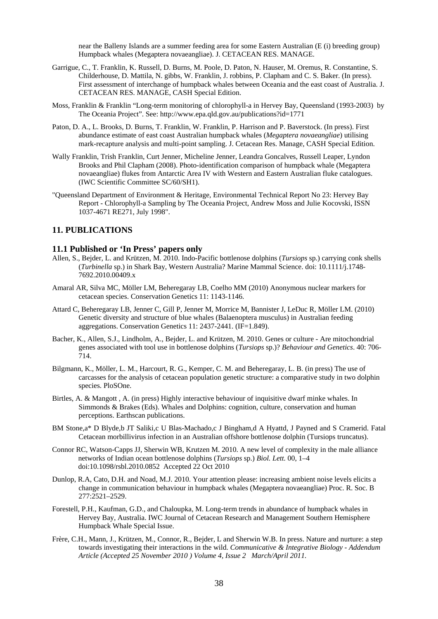near the Balleny Islands are a summer feeding area for some Eastern Australian (E (i) breeding group) Humpback whales (Megaptera novaeangliae). J. CETACEAN RES. MANAGE.

- Garrigue, C., T. Franklin, K. Russell, D. Burns, M. Poole, D. Paton, N. Hauser, M. Oremus, R. Constantine, S. Childerhouse, D. Mattila, N. gibbs, W. Franklin, J. robbins, P. Clapham and C. S. Baker. (In press). First assessment of interchange of humpback whales between Oceania and the east coast of Australia. J. CETACEAN RES. MANAGE, CASH Special Edition.
- Moss, Franklin & Franklin "Long-term monitoring of chlorophyll-a in Hervey Bay, Queensland (1993-2003) by The Oceania Project". See: http://www.epa.qld.gov.au/publications?id=1771
- Paton, D. A., L. Brooks, D. Burns, T. Franklin, W. Franklin, P. Harrison and P. Baverstock. (In press). First abundance estimate of east coast Australian humpback whales (*Megaptera novaeangliae*) utilising mark-recapture analysis and multi-point sampling. J. Cetacean Res. Manage, CASH Special Edition.
- Wally Franklin, Trish Franklin, Curt Jenner, Micheline Jenner, Leandra Goncalves, Russell Leaper, Lyndon Brooks and Phil Clapham (2008). Photo-identification comparison of humpback whale (Megaptera novaeangliae) flukes from Antarctic Area IV with Western and Eastern Australian fluke catalogues. (IWC Scientific Committee SC/60/SH1).
- "Queensland Department of Environment & Heritage, Environmental Technical Report No 23: Hervey Bay Report - Chlorophyll-a Sampling by The Oceania Project, Andrew Moss and Julie Kocovski, ISSN 1037-4671 RE271, July 1998".

### **11. PUBLICATIONS**

#### **11.1 Published or 'In Press' papers only**

- Allen, S., Bejder, L. and Krützen, M. 2010. Indo-Pacific bottlenose dolphins (*Tursiops* sp.) carrying conk shells (*Turbinella* sp.) in Shark Bay, Western Australia? Marine Mammal Science. doi: 10.1111/j.1748- 7692.2010.00409.x
- Amaral AR, Silva MC, Möller LM, Beheregaray LB, Coelho MM (2010) Anonymous nuclear markers for cetacean species. Conservation Genetics 11: 1143-1146.
- Attard C, Beheregaray LB, Jenner C, Gill P, Jenner M, Morrice M, Bannister J, LeDuc R, Möller LM. (2010) Genetic diversity and structure of blue whales (Balaenoptera musculus) in Australian feeding aggregations. Conservation Genetics 11: 2437-2441. (IF=1.849).
- Bacher, K., Allen, S.J., Lindholm, A., Bejder, L. and Krützen, M. 2010. Genes or culture Are mitochondrial genes associated with tool use in bottlenose dolphins (*Tursiops* sp.)? *Behaviour and Genetics*. 40: 706- 714.
- Bilgmann, K., Möller, L. M., Harcourt, R. G., Kemper, C. M. and Beheregaray, L. B. (in press) The use of carcasses for the analysis of cetacean population genetic structure: a comparative study in two dolphin species. PloSOne.
- Birtles, A. & Mangott , A. (in press) Highly interactive behaviour of inquisitive dwarf minke whales. In Simmonds & Brakes (Eds). Whales and Dolphins: cognition, culture, conservation and human perceptions. Earthscan publications.
- BM Stone,a\* D Blyde,b JT Saliki,c U Blas-Machado,c J Bingham,d A Hyattd, J Payned and S Cramerid. Fatal Cetacean morbillivirus infection in an Australian offshore bottlenose dolphin (Tursiops truncatus).
- Connor RC, Watson-Capps JJ, Sherwin WB, Krutzen M. 2010. A new level of complexity in the male alliance networks of Indian ocean bottlenose dolphins (*Tursiops* sp.) *Biol. Lett.* 00, 1–4 doi:10.1098/rsbl.2010.0852 Accepted 22 Oct 2010
- Dunlop, R.A, Cato, D.H. and Noad, M.J. 2010. Your attention please: increasing ambient noise levels elicits a change in communication behaviour in humpback whales (Megaptera novaeangliae) Proc. R. Soc. B 277:2521–2529.
- Forestell, P.H., Kaufman, G.D., and Chaloupka, M. Long-term trends in abundance of humpback whales in Hervey Bay, Australia. IWC Journal of Cetacean Research and Management Southern Hemisphere Humpback Whale Special Issue.
- Frère, C.H., Mann, J., Krützen, M., Connor, R., Bejder, L and Sherwin W.B. In press. Nature and nurture: a step towards investigating their interactions in the wild. *Communicative & Integrative Biology - Addendum Article (Accepted 25 November 2010 ) Volume 4, Issue 2 March/April 2011.*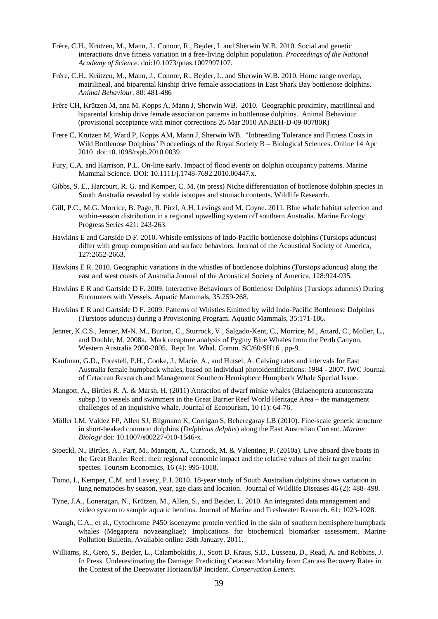- Frère, C.H., Krützen, M., Mann, J., Connor, R., Bejder, L and Sherwin W.B. 2010. Social and genetic interactions drive fitness variation in a free-living dolphin population. *Proceedings of the National Academy of Science*. doi:10.1073/pnas.1007997107.
- Frère, C.H., Krützen, M., Mann, J., Connor, R., Bejder, L. and Sherwin W.B. 2010. Home range overlap, matrilineal, and biparental kinship drive female associations in East Shark Bay bottlenose dolphins. *Animal Behaviour*. 80: 481-486
- Frère CH, Krützen M, nna M. Kopps A, Mann J, Sherwin WB. 2010. Geographic proximity, matrilineal and biparental kinship drive female association patterns in bottlenose dolphins. Animal Behaviour (provisional acceptance with minor corrections 26 Mar 2010 ANBEH-D-09-00780R)
- Frere C, Krützen M, Ward P, Kopps AM, Mann J, Sherwin WB. "Inbreeding Tolerance and Fitness Costs in Wild Bottlenose Dolphins" Proceedings of the Royal Society B – Biological Sciences. Online 14 Apr 2010 doi:10.1098/rspb.2010.0039
- Fury, C.A. and Harrison, P.L. On-line early. Impact of flood events on dolphin occupancy patterns. Marine Mammal Science. DOI: 10.1111/j.1748-7692.2010.00447.x.
- Gibbs, S. E., Harcourt, R. G. and Kemper, C. M. (in press) Niche differentiation of bottlenose dolphin species in South Australia revealed by stable isotopes and stomach contents. Wildlife Research.
- Gill, P.C., M.G. Morrice, B. Page, R. Pirzl, A.H. Levings and M. Coyne. 2011. Blue whale habitat selection and within-season distribution in a regional upwelling system off southern Australia. Marine Ecology Progress Series 421: 243-263.
- Hawkins E and Gartside D F. 2010. Whistle emissions of Indo-Pacific bottlenose dolphins (Tursiops aduncus) differ with group composition and surface behaviors. Journal of the Acoustical Society of America, 127:2652-2663.
- Hawkins E R. 2010. Geographic variations in the whistles of bottlenose dolphins (Tursiops aduncus) along the east and west coasts of Australia Journal of the Acoustical Society of America, 128:924-935.
- Hawkins E R and Gartside D F. 2009. Interactive Behaviours of Bottlenose Dolphins (Tursiops aduncus) During Encounters with Vessels. Aquatic Mammals, 35:259-268.
- Hawkins E R and Gartside D F. 2009. Patterns of Whistles Emitted by wild Indo-Pacific Bottlenose Dolphins (Tursiops aduncus) during a Provisioning Program. Aquatic Mammals, 35:171-186.
- Jenner, K.C.S., Jenner, M-N. M., Burton, C., Sturrock, V., Salgado-Kent, C., Morrice, M., Attard, C., Moller, L., and Double, M. 2008a. Mark recapture analysis of Pygmy Blue Whales from the Perth Canyon, Western Australia 2000-2005. Rept Int. Whal. Comm. SC/60/SH16 , pp-9.
- Kaufman, G.D., Forestell, P.H., Cooke, J., Macie, A., and Hutsel, A. Calving rates and intervals for East Australia female humpback whales, based on individual photoidentifications: 1984 - 2007. IWC Journal of Cetacean Research and Management Southern Hemisphere Humpback Whale Special Issue.
- Mangott, A., Birtles R. A. & Marsh, H. (2011) Attraction of dwarf minke whales (Balaenoptera acutorostrata subsp.) to vessels and swimmers in the Great Barrier Reef World Heritage Area – the management challenges of an inquisitive whale. Journal of Ecotourism, 10 (1): 64-76.
- Möller LM, Valdez FP, Allen SJ, Bilgmann K, Corrigan S, Beheregaray LB (2010). Fine-scale genetic structure in short-beaked common dolphins (*Delphinus delphis*) along the East Australian Current. *Marine Biology* doi: 10.1007/s00227-010-1546-x*.*
- Stoeckl, N., Birtles, A., Farr, M., Mangott, A., Curnock, M. & Valentine, P. (2010a). Live-aboard dive boats in the Great Barrier Reef: their regional economic impact and the relative values of their target marine species. Tourism Economics, 16 (4): 995-1018.
- Tomo, I., Kemper, C.M. and Lavery, P.J. 2010. 18-year study of South Australian dolphins shows variation in lung nematodes by season, year, age class and location. Journal of Wildlife Diseases 46 (2): 488–498.
- Tyne, J.A., Loneragan, N., Krützen, M., Allen, S., and Bejder, L. 2010. An integrated data management and video system to sample aquatic benthos. Journal of Marine and Freshwater Research. 61: 1023-1028.
- Waugh, C.A., et al., Cytochrome P450 isoenzyme protein verified in the skin of southern hemisphere humpback whales (Megaptera novaeangliae); Implications for biochemical biomarker assessment. Marine Pollution Bulletin, Available online 28th January, 2011.
- Williams, R., Gero, S., Bejder, L., Calambokidis, J., Scott D. Kraus, S.D., Lusseau, D., Read, A. and Robbins, J. In Press. Underestimating the Damage: Predicting Cetacean Mortality from Carcass Recovery Rates in the Context of the Deepwater Horizon/BP Incident. *Conservation Letters*.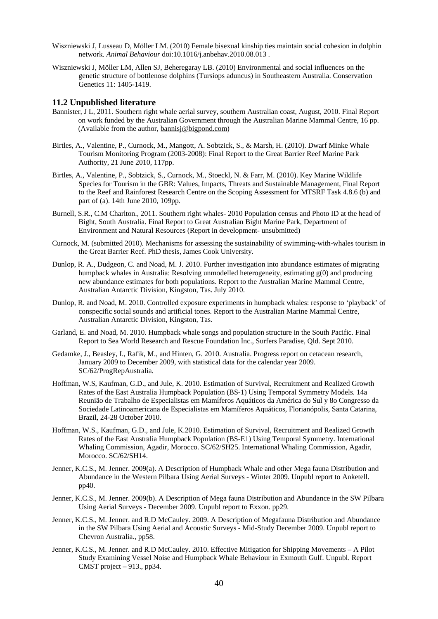- Wiszniewski J, Lusseau D, Möller LM. (2010) Female bisexual kinship ties maintain social cohesion in dolphin network. *Animal Behaviour* doi:10.1016/j.anbehav.2010.08.013 .
- Wiszniewski J, Möller LM, Allen SJ, Beheregaray LB. (2010) Environmental and social influences on the genetic structure of bottlenose dolphins (Tursiops aduncus) in Southeastern Australia. Conservation Genetics 11: 1405-1419.

#### **11.2 Unpublished literature**

- Bannister, J L, 2011. Southern right whale aerial survey, southern Australian coast, August, 2010. Final Report on work funded by the Australian Government through the Australian Marine Mammal Centre, 16 pp. (Available from the author, bannisj@bigpond.com)
- Birtles, A., Valentine, P., Curnock, M., Mangott, A. Sobtzick, S., & Marsh, H. (2010). Dwarf Minke Whale Tourism Monitoring Program (2003-2008): Final Report to the Great Barrier Reef Marine Park Authority, 21 June 2010, 117pp.
- Birtles, A., Valentine, P., Sobtzick, S., Curnock, M., Stoeckl, N. & Farr, M. (2010). Key Marine Wildlife Species for Tourism in the GBR: Values, Impacts, Threats and Sustainable Management, Final Report to the Reef and Rainforest Research Centre on the Scoping Assessment for MTSRF Task 4.8.6 (b) and part of (a). 14th June 2010, 109pp.
- Burnell, S.R., C.M Charlton., 2011. Southern right whales- 2010 Population census and Photo ID at the head of Bight, South Australia. Final Report to Great Australian Bight Marine Park, Department of Environment and Natural Resources (Report in development- unsubmitted)
- Curnock, M. (submitted 2010). Mechanisms for assessing the sustainability of swimming-with-whales tourism in the Great Barrier Reef. PhD thesis, James Cook University.
- Dunlop, R. A., Dudgeon, C. and Noad, M. J. 2010. Further investigation into abundance estimates of migrating humpback whales in Australia: Resolving unmodelled heterogeneity, estimating  $g(0)$  and producing new abundance estimates for both populations. Report to the Australian Marine Mammal Centre, Australian Antarctic Division, Kingston, Tas. July 2010.
- Dunlop, R. and Noad, M. 2010. Controlled exposure experiments in humpback whales: response to 'playback' of conspecific social sounds and artificial tones. Report to the Australian Marine Mammal Centre, Australian Antarctic Division, Kingston, Tas.
- Garland, E. and Noad, M. 2010. Humpback whale songs and population structure in the South Pacific. Final Report to Sea World Research and Rescue Foundation Inc., Surfers Paradise, Qld. Sept 2010.
- Gedamke, J., Beasley, I., Rafik, M., and Hinten, G. 2010. Australia. Progress report on cetacean research, January 2009 to December 2009, with statistical data for the calendar year 2009. SC/62/ProgRepAustralia.
- Hoffman, W.S, Kaufman, G.D., and Jule, K. 2010. Estimation of Survival, Recruitment and Realized Growth Rates of the East Australia Humpback Population (BS-1) Using Temporal Symmetry Models. 14a Reunião de Trabalho de Especialistas em Mamíferos Aquáticos da América do Sul y 8o Congresso da Sociedade Latinoamericana de Especialistas em Mamíferos Aquáticos, Florianópolis, Santa Catarina, Brazil, 24-28 October 2010.
- Hoffman, W.S., Kaufman, G.D., and Jule, K.2010. Estimation of Survival, Recruitment and Realized Growth Rates of the East Australia Humpback Population (BS-E1) Using Temporal Symmetry. International Whaling Commission, Agadir, Morocco. SC/62/SH25. International Whaling Commission, Agadir, Morocco. SC/62/SH14.
- Jenner, K.C.S., M. Jenner. 2009(a). A Description of Humpback Whale and other Mega fauna Distribution and Abundance in the Western Pilbara Using Aerial Surveys - Winter 2009. Unpubl report to Anketell. pp40.
- Jenner, K.C.S., M. Jenner. 2009(b). A Description of Mega fauna Distribution and Abundance in the SW Pilbara Using Aerial Surveys - December 2009. Unpubl report to Exxon. pp29.
- Jenner, K.C.S., M. Jenner. and R.D McCauley. 2009. A Description of Megafauna Distribution and Abundance in the SW Pilbara Using Aerial and Acoustic Surveys - Mid-Study December 2009. Unpubl report to Chevron Australia., pp58.
- Jenner, K.C.S., M. Jenner. and R.D McCauley. 2010. Effective Mitigation for Shipping Movements A Pilot Study Examining Vessel Noise and Humpback Whale Behaviour in Exmouth Gulf. Unpubl. Report CMST project – 913., pp34.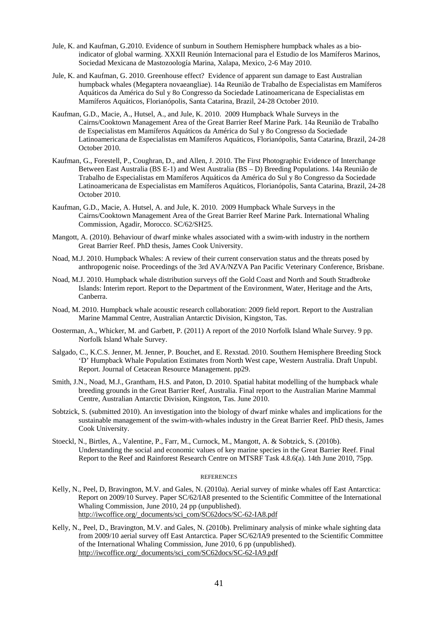- Jule, K. and Kaufman, G.2010. Evidence of sunburn in Southern Hemisphere humpback whales as a bioindicator of global warming. XXXII Reunión Internacional para el Estudio de los Mamíferos Marinos, Sociedad Mexicana de Mastozoología Marina, Xalapa, Mexico, 2-6 May 2010.
- Jule, K. and Kaufman, G. 2010. Greenhouse effect? Evidence of apparent sun damage to East Australian humpback whales (Megaptera novaeangliae). 14a Reunião de Trabalho de Especialistas em Mamíferos Aquáticos da América do Sul y 8o Congresso da Sociedade Latinoamericana de Especialistas em Mamíferos Aquáticos, Florianópolis, Santa Catarina, Brazil, 24-28 October 2010.
- Kaufman, G.D., Macie, A., Hutsel, A., and Jule, K. 2010. 2009 Humpback Whale Surveys in the Cairns/Cooktown Management Area of the Great Barrier Reef Marine Park. 14a Reunião de Trabalho de Especialistas em Mamíferos Aquáticos da América do Sul y 8o Congresso da Sociedade Latinoamericana de Especialistas em Mamíferos Aquáticos, Florianópolis, Santa Catarina, Brazil, 24-28 October 2010.
- Kaufman, G., Forestell, P., Coughran, D., and Allen, J. 2010. The First Photographic Evidence of Interchange Between East Australia (BS E-1) and West Australia (BS – D) Breeding Populations. 14a Reunião de Trabalho de Especialistas em Mamíferos Aquáticos da América do Sul y 8o Congresso da Sociedade Latinoamericana de Especialistas em Mamíferos Aquáticos, Florianópolis, Santa Catarina, Brazil, 24-28 October 2010.
- Kaufman, G.D., Macie, A. Hutsel, A. and Jule, K. 2010. 2009 Humpback Whale Surveys in the Cairns/Cooktown Management Area of the Great Barrier Reef Marine Park. International Whaling Commission, Agadir, Morocco. SC/62/SH25.
- Mangott, A. (2010). Behaviour of dwarf minke whales associated with a swim-with industry in the northern Great Barrier Reef. PhD thesis, James Cook University.
- Noad, M.J. 2010. Humpback Whales: A review of their current conservation status and the threats posed by anthropogenic noise. Proceedings of the 3rd AVA/NZVA Pan Pacific Veterinary Conference, Brisbane.
- Noad, M.J. 2010. Humpback whale distribution surveys off the Gold Coast and North and South Stradbroke Islands: Interim report. Report to the Department of the Environment, Water, Heritage and the Arts, Canberra.
- Noad, M. 2010. Humpback whale acoustic research collaboration: 2009 field report. Report to the Australian Marine Mammal Centre, Australian Antarctic Division, Kingston, Tas.
- Oosterman, A., Whicker, M. and Garbett, P. (2011) A report of the 2010 Norfolk Island Whale Survey. 9 pp. Norfolk Island Whale Survey.
- Salgado, C., K.C.S. Jenner, M. Jenner, P. Bouchet, and E. Rexstad. 2010. Southern Hemisphere Breeding Stock 'D' Humpback Whale Population Estimates from North West cape, Western Australia. Draft Unpubl. Report. Journal of Cetacean Resource Management. pp29.
- Smith, J.N., Noad, M.J., Grantham, H.S. and Paton, D. 2010. Spatial habitat modelling of the humpback whale breeding grounds in the Great Barrier Reef, Australia. Final report to the Australian Marine Mammal Centre, Australian Antarctic Division, Kingston, Tas. June 2010.
- Sobtzick, S. (submitted 2010). An investigation into the biology of dwarf minke whales and implications for the sustainable management of the swim-with-whales industry in the Great Barrier Reef. PhD thesis, James Cook University.
- Stoeckl, N., Birtles, A., Valentine, P., Farr, M., Curnock, M., Mangott, A. & Sobtzick, S. (2010b). Understanding the social and economic values of key marine species in the Great Barrier Reef. Final Report to the Reef and Rainforest Research Centre on MTSRF Task 4.8.6(a). 14th June 2010, 75pp.

#### **REFERENCES**

- Kelly, N., Peel, D, Bravington, M.V. and Gales, N. (2010a). Aerial survey of minke whales off East Antarctica: Report on 2009/10 Survey. Paper SC/62/IA8 presented to the Scientific Committee of the International Whaling Commission, June 2010, 24 pp (unpublished). http://iwcoffice.org/\_documents/sci\_com/SC62docs/SC-62-IA8.pdf
- Kelly, N., Peel, D., Bravington, M.V. and Gales, N. (2010b). Preliminary analysis of minke whale sighting data from 2009/10 aerial survey off East Antarctica. Paper SC/62/IA9 presented to the Scientific Committee of the International Whaling Commission, June 2010, 6 pp (unpublished). http://iwcoffice.org/\_documents/sci\_com/SC62docs/SC-62-IA9.pdf